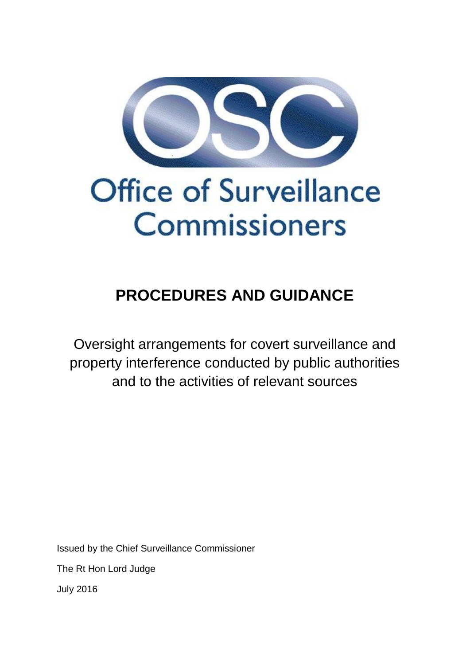

# **PROCEDURES AND GUIDANCE**

Oversight arrangements for covert surveillance and property interference conducted by public authorities and to the activities of relevant sources

Issued by the Chief Surveillance Commissioner

The Rt Hon Lord Judge

July 2016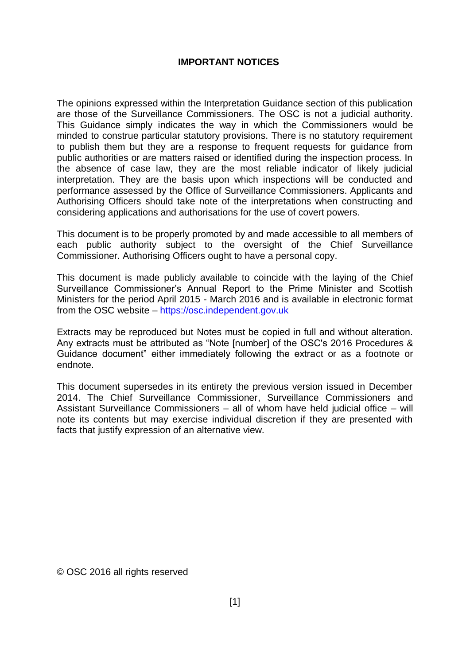#### **IMPORTANT NOTICES**

The opinions expressed within the Interpretation Guidance section of this publication are those of the Surveillance Commissioners. The OSC is not a judicial authority. This Guidance simply indicates the way in which the Commissioners would be minded to construe particular statutory provisions. There is no statutory requirement to publish them but they are a response to frequent requests for guidance from public authorities or are matters raised or identified during the inspection process. In the absence of case law, they are the most reliable indicator of likely judicial interpretation. They are the basis upon which inspections will be conducted and performance assessed by the Office of Surveillance Commissioners. Applicants and Authorising Officers should take note of the interpretations when constructing and considering applications and authorisations for the use of covert powers.

This document is to be properly promoted by and made accessible to all members of each public authority subject to the oversight of the Chief Surveillance Commissioner. Authorising Officers ought to have a personal copy.

This document is made publicly available to coincide with the laying of the Chief Surveillance Commissioner's Annual Report to the Prime Minister and Scottish Ministers for the period April 2015 - March 2016 and is available in electronic format from the OSC website – [https://osc.independent.gov.uk](https://osc.independent.gov.uk/)

Extracts may be reproduced but Notes must be copied in full and without alteration. Any extracts must be attributed as "Note [number] of the OSC's 2016 Procedures & Guidance document" either immediately following the extract or as a footnote or endnote.

This document supersedes in its entirety the previous version issued in December 2014. The Chief Surveillance Commissioner, Surveillance Commissioners and Assistant Surveillance Commissioners – all of whom have held judicial office – will note its contents but may exercise individual discretion if they are presented with facts that justify expression of an alternative view.

© OSC 2016 all rights reserved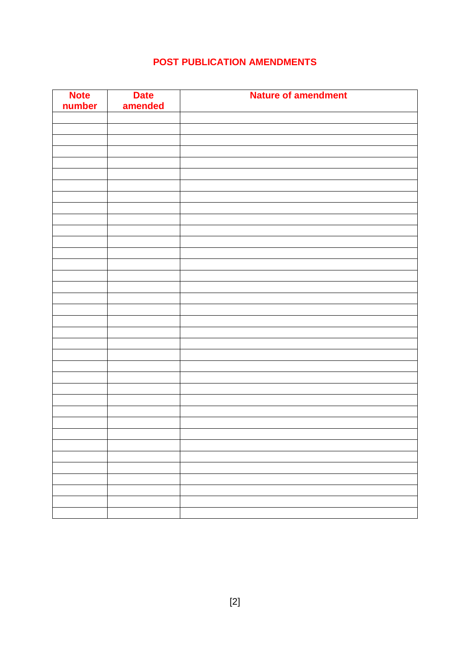# **POST PUBLICATION AMENDMENTS**

| <b>Note</b><br>number | <b>Date</b><br>amended | <b>Nature of amendment</b> |
|-----------------------|------------------------|----------------------------|
|                       |                        |                            |
|                       |                        |                            |
|                       |                        |                            |
|                       |                        |                            |
|                       |                        |                            |
|                       |                        |                            |
|                       |                        |                            |
|                       |                        |                            |
|                       |                        |                            |
|                       |                        |                            |
|                       |                        |                            |
|                       |                        |                            |
|                       |                        |                            |
|                       |                        |                            |
|                       |                        |                            |
|                       |                        |                            |
|                       |                        |                            |
|                       |                        |                            |
|                       |                        |                            |
|                       |                        |                            |
|                       |                        |                            |
|                       |                        |                            |
|                       |                        |                            |
|                       |                        |                            |
|                       |                        |                            |
|                       |                        |                            |
|                       |                        |                            |
|                       |                        |                            |
|                       |                        |                            |
|                       |                        |                            |
|                       |                        |                            |
|                       |                        |                            |
|                       |                        |                            |
|                       |                        |                            |
|                       |                        |                            |
|                       |                        |                            |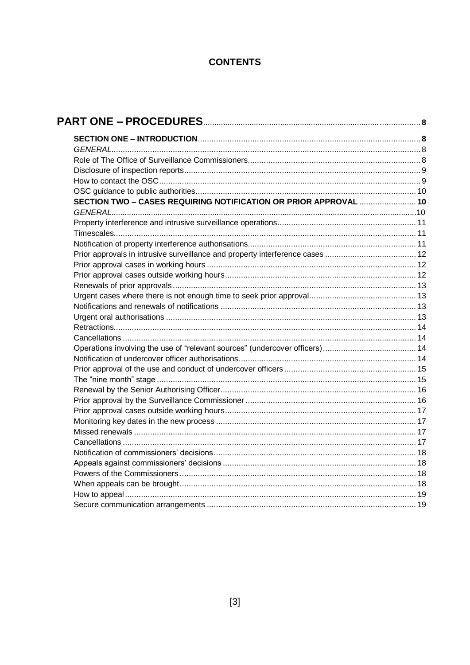# **CONTENTS**

| SECTION TWO - CASES REQUIRING NOTIFICATION OR PRIOR APPROVAL  10 |  |
|------------------------------------------------------------------|--|
|                                                                  |  |
|                                                                  |  |
|                                                                  |  |
|                                                                  |  |
|                                                                  |  |
|                                                                  |  |
|                                                                  |  |
|                                                                  |  |
|                                                                  |  |
|                                                                  |  |
|                                                                  |  |
|                                                                  |  |
|                                                                  |  |
|                                                                  |  |
|                                                                  |  |
|                                                                  |  |
|                                                                  |  |
|                                                                  |  |
|                                                                  |  |
|                                                                  |  |
|                                                                  |  |
|                                                                  |  |
|                                                                  |  |
|                                                                  |  |
|                                                                  |  |
|                                                                  |  |
|                                                                  |  |
|                                                                  |  |
|                                                                  |  |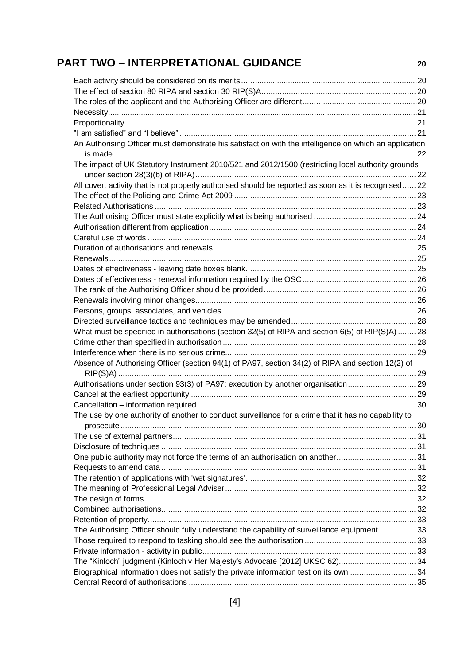| An Authorising Officer must demonstrate his satisfaction with the intelligence on which an application |  |
|--------------------------------------------------------------------------------------------------------|--|
| The impact of UK Statutory Instrument 2010/521 and 2012/1500 (restricting local authority grounds      |  |
| All covert activity that is not properly authorised should be reported as soon as it is recognised 22  |  |
|                                                                                                        |  |
|                                                                                                        |  |
|                                                                                                        |  |
|                                                                                                        |  |
|                                                                                                        |  |
|                                                                                                        |  |
|                                                                                                        |  |
|                                                                                                        |  |
|                                                                                                        |  |
|                                                                                                        |  |
|                                                                                                        |  |
|                                                                                                        |  |
|                                                                                                        |  |
| What must be specified in authorisations (section 32(5) of RIPA and section 6(5) of RIP(S)A)  28       |  |
|                                                                                                        |  |
|                                                                                                        |  |
| Absence of Authorising Officer (section 94(1) of PA97, section 34(2) of RIPA and section 12(2) of      |  |
| Authorisations under section 93(3) of PA97: execution by another organisation                          |  |
|                                                                                                        |  |
|                                                                                                        |  |
| The use by one authority of another to conduct surveillance for a crime that it has no capability to   |  |
|                                                                                                        |  |
|                                                                                                        |  |
| One public authority may not force the terms of an authorisation on another31                          |  |
|                                                                                                        |  |
|                                                                                                        |  |
|                                                                                                        |  |
|                                                                                                        |  |
|                                                                                                        |  |
|                                                                                                        |  |
| The Authorising Officer should fully understand the capability of surveillance equipment  33           |  |
|                                                                                                        |  |
|                                                                                                        |  |
| The "Kinloch" judgment (Kinloch v Her Majesty's Advocate [2012] UKSC 62) 34                            |  |
| Biographical information does not satisfy the private information test on its own 34                   |  |
|                                                                                                        |  |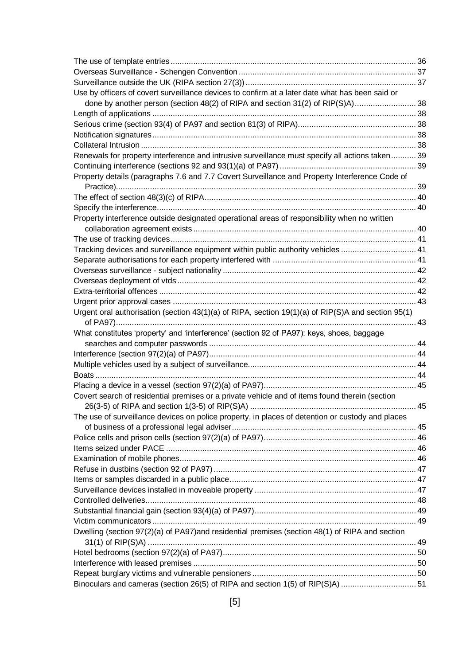| Use by officers of covert surveillance devices to confirm at a later date what has been said or    |  |
|----------------------------------------------------------------------------------------------------|--|
| done by another person (section 48(2) of RIPA and section 31(2) of RIP(S)A) 38                     |  |
|                                                                                                    |  |
|                                                                                                    |  |
|                                                                                                    |  |
|                                                                                                    |  |
| Renewals for property interference and intrusive surveillance must specify all actions taken 39    |  |
|                                                                                                    |  |
| Property details (paragraphs 7.6 and 7.7 Covert Surveillance and Property Interference Code of     |  |
|                                                                                                    |  |
|                                                                                                    |  |
| Property interference outside designated operational areas of responsibility when no written       |  |
|                                                                                                    |  |
|                                                                                                    |  |
| Tracking devices and surveillance equipment within public authority vehicles  41                   |  |
|                                                                                                    |  |
|                                                                                                    |  |
|                                                                                                    |  |
|                                                                                                    |  |
|                                                                                                    |  |
| Urgent oral authorisation (section 43(1)(a) of RIPA, section 19(1)(a) of RIP(S)A and section 95(1) |  |
|                                                                                                    |  |
|                                                                                                    |  |
| What constitutes 'property' and 'interference' (section 92 of PA97): keys, shoes, baggage          |  |
|                                                                                                    |  |
|                                                                                                    |  |
|                                                                                                    |  |
|                                                                                                    |  |
| Covert search of residential premises or a private vehicle and of items found therein (section     |  |
|                                                                                                    |  |
| The use of surveillance devices on police property, in places of detention or custody and places   |  |
|                                                                                                    |  |
|                                                                                                    |  |
|                                                                                                    |  |
|                                                                                                    |  |
|                                                                                                    |  |
|                                                                                                    |  |
|                                                                                                    |  |
|                                                                                                    |  |
|                                                                                                    |  |
| Dwelling (section 97(2)(a) of PA97)and residential premises (section 48(1) of RIPA and section     |  |
|                                                                                                    |  |
|                                                                                                    |  |
|                                                                                                    |  |
|                                                                                                    |  |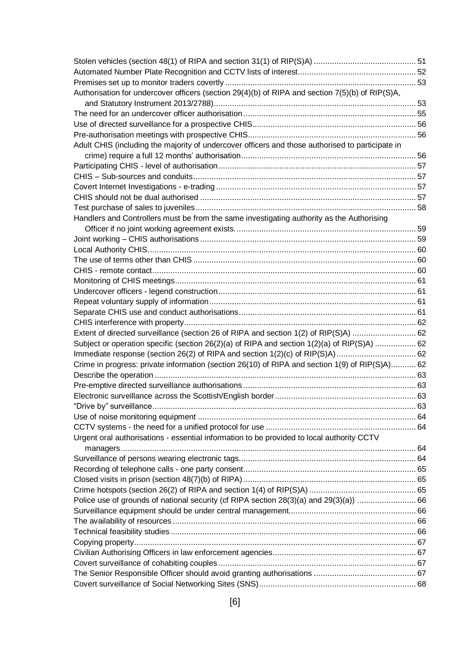| Authorisation for undercover officers (section 29(4)(b) of RIPA and section 7(5)(b) of RIP(S)A,  |  |
|--------------------------------------------------------------------------------------------------|--|
|                                                                                                  |  |
|                                                                                                  |  |
|                                                                                                  |  |
|                                                                                                  |  |
| Adult CHIS (including the majority of undercover officers and those authorised to participate in |  |
|                                                                                                  |  |
|                                                                                                  |  |
|                                                                                                  |  |
|                                                                                                  |  |
|                                                                                                  |  |
|                                                                                                  |  |
| Handlers and Controllers must be from the same investigating authority as the Authorising        |  |
|                                                                                                  |  |
|                                                                                                  |  |
|                                                                                                  |  |
|                                                                                                  |  |
|                                                                                                  |  |
|                                                                                                  |  |
|                                                                                                  |  |
|                                                                                                  |  |
|                                                                                                  |  |
|                                                                                                  |  |
| Extent of directed surveillance (section 26 of RIPA and section 1(2) of RIP(S)A)  62             |  |
| Subject or operation specific (section 26(2)(a) of RIPA and section 1(2)(a) of RIP(S)A)  62      |  |
|                                                                                                  |  |
| Crime in progress: private information (section 26(10) of RIPA and section 1(9) of RIP(S)A) 62   |  |
|                                                                                                  |  |
|                                                                                                  |  |
|                                                                                                  |  |
|                                                                                                  |  |
|                                                                                                  |  |
|                                                                                                  |  |
| Urgent oral authorisations - essential information to be provided to local authority CCTV        |  |
|                                                                                                  |  |
|                                                                                                  |  |
|                                                                                                  |  |
|                                                                                                  |  |
|                                                                                                  |  |
| Police use of grounds of national security (cf RIPA section 28(3)(a) and 29(3)(a)) 66            |  |
|                                                                                                  |  |
|                                                                                                  |  |
|                                                                                                  |  |
|                                                                                                  |  |
|                                                                                                  |  |
|                                                                                                  |  |
|                                                                                                  |  |
|                                                                                                  |  |
|                                                                                                  |  |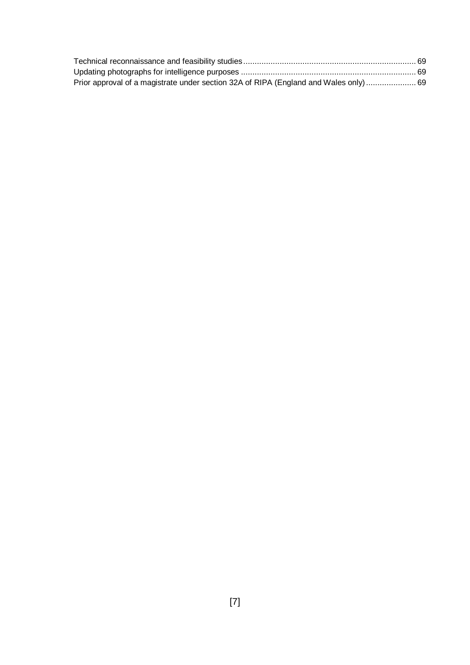| Prior approval of a magistrate under section 32A of RIPA (England and Wales only)  69 |  |
|---------------------------------------------------------------------------------------|--|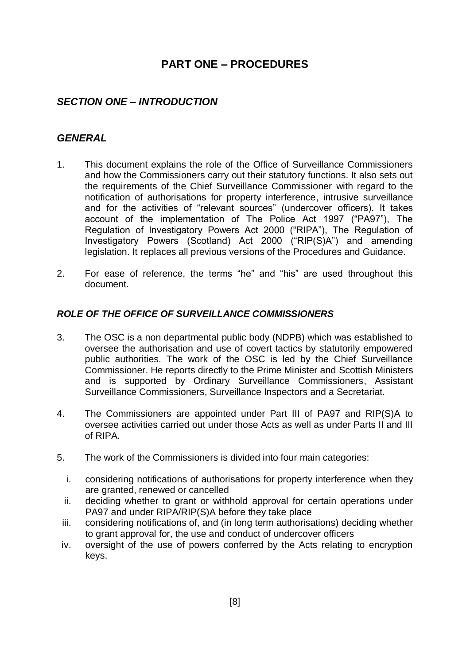# **PART ONE – PROCEDURES**

# <span id="page-8-1"></span><span id="page-8-0"></span>*SECTION ONE – INTRODUCTION*

# <span id="page-8-2"></span>*GENERAL*

- 1. This document explains the role of the Office of Surveillance Commissioners and how the Commissioners carry out their statutory functions. It also sets out the requirements of the Chief Surveillance Commissioner with regard to the notification of authorisations for property interference, intrusive surveillance and for the activities of "relevant sources" (undercover officers). It takes account of the implementation of The Police Act 1997 ("PA97"), The Regulation of Investigatory Powers Act 2000 ("RIPA"), The Regulation of Investigatory Powers (Scotland) Act 2000 ("RIP(S)A") and amending legislation. It replaces all previous versions of the Procedures and Guidance.
- 2. For ease of reference, the terms "he" and "his" are used throughout this document.

# <span id="page-8-3"></span>*ROLE OF THE OFFICE OF SURVEILLANCE COMMISSIONERS*

- 3. The OSC is a non departmental public body (NDPB) which was established to oversee the authorisation and use of covert tactics by statutorily empowered public authorities. The work of the OSC is led by the Chief Surveillance Commissioner. He reports directly to the Prime Minister and Scottish Ministers and is supported by Ordinary Surveillance Commissioners, Assistant Surveillance Commissioners, Surveillance Inspectors and a Secretariat.
- 4. The Commissioners are appointed under Part III of PA97 and RIP(S)A to oversee activities carried out under those Acts as well as under Parts II and III of RIPA.
- 5. The work of the Commissioners is divided into four main categories:
	- i. considering notifications of authorisations for property interference when they are granted, renewed or cancelled
	- ii. deciding whether to grant or withhold approval for certain operations under PA97 and under RIPA/RIP(S)A before they take place
	- iii. considering notifications of, and (in long term authorisations) deciding whether to grant approval for, the use and conduct of undercover officers
- iv. oversight of the use of powers conferred by the Acts relating to encryption keys.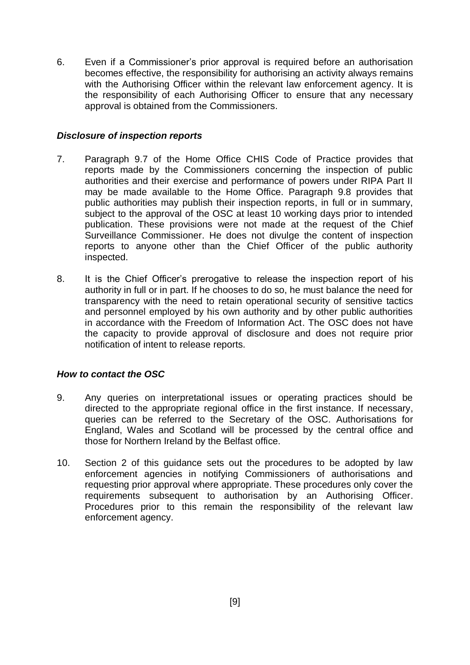6. Even if a Commissioner's prior approval is required before an authorisation becomes effective, the responsibility for authorising an activity always remains with the Authorising Officer within the relevant law enforcement agency. It is the responsibility of each Authorising Officer to ensure that any necessary approval is obtained from the Commissioners.

#### <span id="page-9-0"></span>*Disclosure of inspection reports*

- 7. Paragraph 9.7 of the Home Office CHIS Code of Practice provides that reports made by the Commissioners concerning the inspection of public authorities and their exercise and performance of powers under RIPA Part II may be made available to the Home Office. Paragraph 9.8 provides that public authorities may publish their inspection reports, in full or in summary, subject to the approval of the OSC at least 10 working days prior to intended publication. These provisions were not made at the request of the Chief Surveillance Commissioner. He does not divulge the content of inspection reports to anyone other than the Chief Officer of the public authority inspected.
- 8. It is the Chief Officer's prerogative to release the inspection report of his authority in full or in part. If he chooses to do so, he must balance the need for transparency with the need to retain operational security of sensitive tactics and personnel employed by his own authority and by other public authorities in accordance with the Freedom of Information Act. The OSC does not have the capacity to provide approval of disclosure and does not require prior notification of intent to release reports.

# <span id="page-9-1"></span>*How to contact the OSC*

- 9. Any queries on interpretational issues or operating practices should be directed to the appropriate regional office in the first instance. If necessary, queries can be referred to the Secretary of the OSC. Authorisations for England, Wales and Scotland will be processed by the central office and those for Northern Ireland by the Belfast office.
- 10. Section 2 of this guidance sets out the procedures to be adopted by law enforcement agencies in notifying Commissioners of authorisations and requesting prior approval where appropriate. These procedures only cover the requirements subsequent to authorisation by an Authorising Officer. Procedures prior to this remain the responsibility of the relevant law enforcement agency.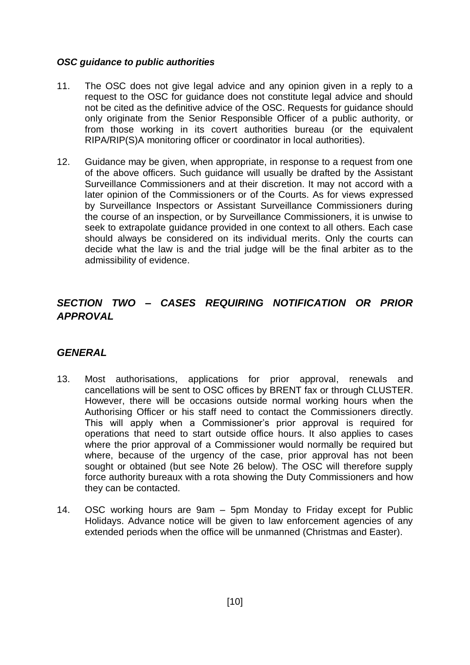#### <span id="page-10-0"></span>*OSC guidance to public authorities*

- 11. The OSC does not give legal advice and any opinion given in a reply to a request to the OSC for guidance does not constitute legal advice and should not be cited as the definitive advice of the OSC. Requests for guidance should only originate from the Senior Responsible Officer of a public authority, or from those working in its covert authorities bureau (or the equivalent RIPA/RIP(S)A monitoring officer or coordinator in local authorities).
- 12. Guidance may be given, when appropriate, in response to a request from one of the above officers. Such guidance will usually be drafted by the Assistant Surveillance Commissioners and at their discretion. It may not accord with a later opinion of the Commissioners or of the Courts. As for views expressed by Surveillance Inspectors or Assistant Surveillance Commissioners during the course of an inspection, or by Surveillance Commissioners, it is unwise to seek to extrapolate guidance provided in one context to all others. Each case should always be considered on its individual merits. Only the courts can decide what the law is and the trial judge will be the final arbiter as to the admissibility of evidence.

# <span id="page-10-1"></span>*SECTION TWO – CASES REQUIRING NOTIFICATION OR PRIOR APPROVAL*

# <span id="page-10-2"></span>*GENERAL*

- 13. Most authorisations, applications for prior approval, renewals and cancellations will be sent to OSC offices by BRENT fax or through CLUSTER. However, there will be occasions outside normal working hours when the Authorising Officer or his staff need to contact the Commissioners directly. This will apply when a Commissioner's prior approval is required for operations that need to start outside office hours. It also applies to cases where the prior approval of a Commissioner would normally be required but where, because of the urgency of the case, prior approval has not been sought or obtained (but see Note 26 below). The OSC will therefore supply force authority bureaux with a rota showing the Duty Commissioners and how they can be contacted.
- 14. OSC working hours are 9am 5pm Monday to Friday except for Public Holidays. Advance notice will be given to law enforcement agencies of any extended periods when the office will be unmanned (Christmas and Easter).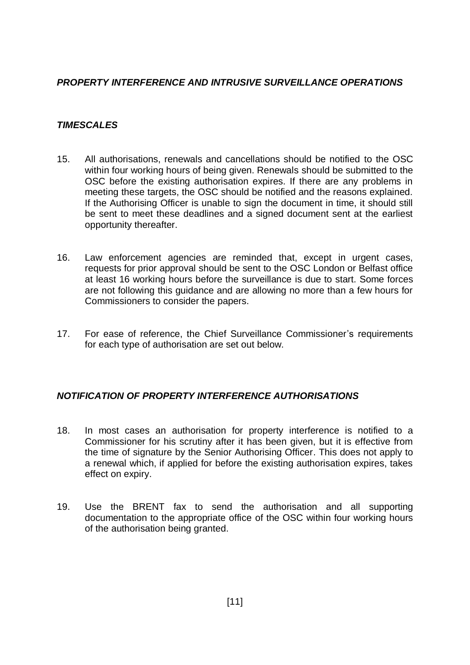# <span id="page-11-0"></span>*PROPERTY INTERFERENCE AND INTRUSIVE SURVEILLANCE OPERATIONS*

# <span id="page-11-1"></span>*TIMESCALES*

- 15. All authorisations, renewals and cancellations should be notified to the OSC within four working hours of being given. Renewals should be submitted to the OSC before the existing authorisation expires. If there are any problems in meeting these targets, the OSC should be notified and the reasons explained. If the Authorising Officer is unable to sign the document in time, it should still be sent to meet these deadlines and a signed document sent at the earliest opportunity thereafter.
- 16. Law enforcement agencies are reminded that, except in urgent cases, requests for prior approval should be sent to the OSC London or Belfast office at least 16 working hours before the surveillance is due to start. Some forces are not following this guidance and are allowing no more than a few hours for Commissioners to consider the papers.
- 17. For ease of reference, the Chief Surveillance Commissioner's requirements for each type of authorisation are set out below.

# <span id="page-11-2"></span>*NOTIFICATION OF PROPERTY INTERFERENCE AUTHORISATIONS*

- 18. In most cases an authorisation for property interference is notified to a Commissioner for his scrutiny after it has been given, but it is effective from the time of signature by the Senior Authorising Officer. This does not apply to a renewal which, if applied for before the existing authorisation expires, takes effect on expiry.
- 19. Use the BRENT fax to send the authorisation and all supporting documentation to the appropriate office of the OSC within four working hours of the authorisation being granted.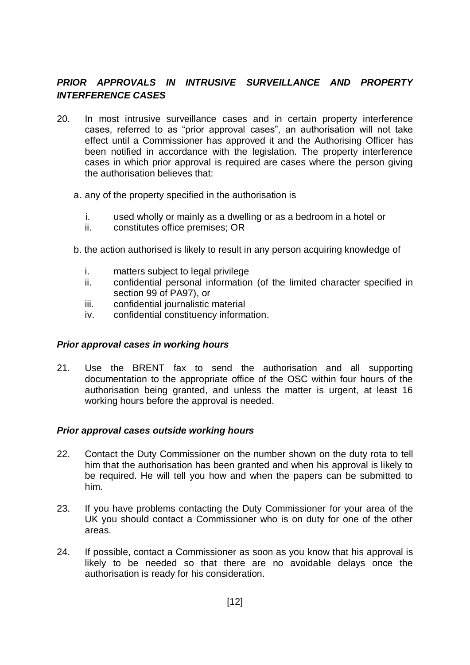# <span id="page-12-0"></span>*PRIOR APPROVALS IN INTRUSIVE SURVEILLANCE AND PROPERTY INTERFERENCE CASES*

- 20. In most intrusive surveillance cases and in certain property interference cases, referred to as "prior approval cases", an authorisation will not take effect until a Commissioner has approved it and the Authorising Officer has been notified in accordance with the legislation. The property interference cases in which prior approval is required are cases where the person giving the authorisation believes that:
	- a. any of the property specified in the authorisation is
		- i. used wholly or mainly as a dwelling or as a bedroom in a hotel or
		- ii. constitutes office premises; OR
	- b. the action authorised is likely to result in any person acquiring knowledge of
		- i. matters subject to legal privilege
		- ii. confidential personal information (of the limited character specified in section 99 of PA97), or
		- iii. confidential journalistic material
		- iv. confidential constituency information.

#### <span id="page-12-1"></span>*Prior approval cases in working hours*

21. Use the BRENT fax to send the authorisation and all supporting documentation to the appropriate office of the OSC within four hours of the authorisation being granted, and unless the matter is urgent, at least 16 working hours before the approval is needed.

#### <span id="page-12-2"></span>*Prior approval cases outside working hours*

- 22. Contact the Duty Commissioner on the number shown on the duty rota to tell him that the authorisation has been granted and when his approval is likely to be required. He will tell you how and when the papers can be submitted to him.
- 23. If you have problems contacting the Duty Commissioner for your area of the UK you should contact a Commissioner who is on duty for one of the other areas.
- 24. If possible, contact a Commissioner as soon as you know that his approval is likely to be needed so that there are no avoidable delays once the authorisation is ready for his consideration.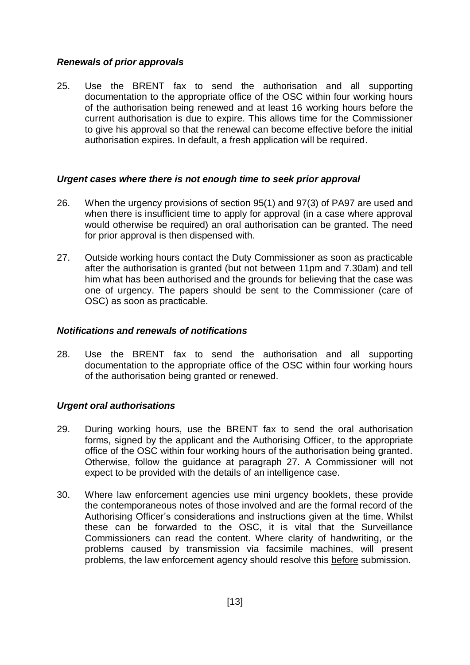# <span id="page-13-0"></span>*Renewals of prior approvals*

25. Use the BRENT fax to send the authorisation and all supporting documentation to the appropriate office of the OSC within four working hours of the authorisation being renewed and at least 16 working hours before the current authorisation is due to expire. This allows time for the Commissioner to give his approval so that the renewal can become effective before the initial authorisation expires. In default, a fresh application will be required.

#### <span id="page-13-1"></span>*Urgent cases where there is not enough time to seek prior approval*

- 26. When the urgency provisions of section 95(1) and 97(3) of PA97 are used and when there is insufficient time to apply for approval (in a case where approval would otherwise be required) an oral authorisation can be granted. The need for prior approval is then dispensed with.
- 27. Outside working hours contact the Duty Commissioner as soon as practicable after the authorisation is granted (but not between 11pm and 7.30am) and tell him what has been authorised and the grounds for believing that the case was one of urgency. The papers should be sent to the Commissioner (care of OSC) as soon as practicable.

#### <span id="page-13-2"></span>*Notifications and renewals of notifications*

28. Use the BRENT fax to send the authorisation and all supporting documentation to the appropriate office of the OSC within four working hours of the authorisation being granted or renewed.

#### <span id="page-13-3"></span>*Urgent oral authorisations*

- 29. During working hours, use the BRENT fax to send the oral authorisation forms, signed by the applicant and the Authorising Officer, to the appropriate office of the OSC within four working hours of the authorisation being granted. Otherwise, follow the guidance at paragraph 27. A Commissioner will not expect to be provided with the details of an intelligence case.
- 30. Where law enforcement agencies use mini urgency booklets, these provide the contemporaneous notes of those involved and are the formal record of the Authorising Officer's considerations and instructions given at the time. Whilst these can be forwarded to the OSC, it is vital that the Surveillance Commissioners can read the content. Where clarity of handwriting, or the problems caused by transmission via facsimile machines, will present problems, the law enforcement agency should resolve this before submission.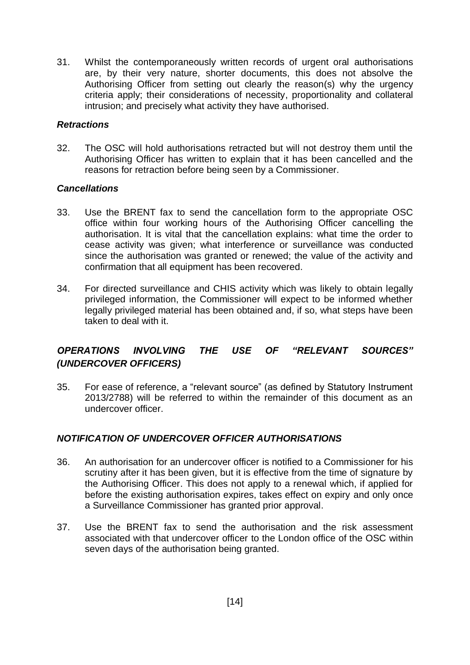31. Whilst the contemporaneously written records of urgent oral authorisations are, by their very nature, shorter documents, this does not absolve the Authorising Officer from setting out clearly the reason(s) why the urgency criteria apply; their considerations of necessity, proportionality and collateral intrusion; and precisely what activity they have authorised.

#### <span id="page-14-0"></span>*Retractions*

32. The OSC will hold authorisations retracted but will not destroy them until the Authorising Officer has written to explain that it has been cancelled and the reasons for retraction before being seen by a Commissioner.

#### <span id="page-14-1"></span>*Cancellations*

- 33. Use the BRENT fax to send the cancellation form to the appropriate OSC office within four working hours of the Authorising Officer cancelling the authorisation. It is vital that the cancellation explains: what time the order to cease activity was given; what interference or surveillance was conducted since the authorisation was granted or renewed; the value of the activity and confirmation that all equipment has been recovered.
- 34. For directed surveillance and CHIS activity which was likely to obtain legally privileged information, the Commissioner will expect to be informed whether legally privileged material has been obtained and, if so, what steps have been taken to deal with it.

# <span id="page-14-2"></span>*OPERATIONS INVOLVING THE USE OF "RELEVANT SOURCES" (UNDERCOVER OFFICERS)*

35. For ease of reference, a "relevant source" (as defined by Statutory Instrument 2013/2788) will be referred to within the remainder of this document as an undercover officer.

#### <span id="page-14-3"></span>*NOTIFICATION OF UNDERCOVER OFFICER AUTHORISATIONS*

- 36. An authorisation for an undercover officer is notified to a Commissioner for his scrutiny after it has been given, but it is effective from the time of signature by the Authorising Officer. This does not apply to a renewal which, if applied for before the existing authorisation expires, takes effect on expiry and only once a Surveillance Commissioner has granted prior approval.
- 37. Use the BRENT fax to send the authorisation and the risk assessment associated with that undercover officer to the London office of the OSC within seven days of the authorisation being granted.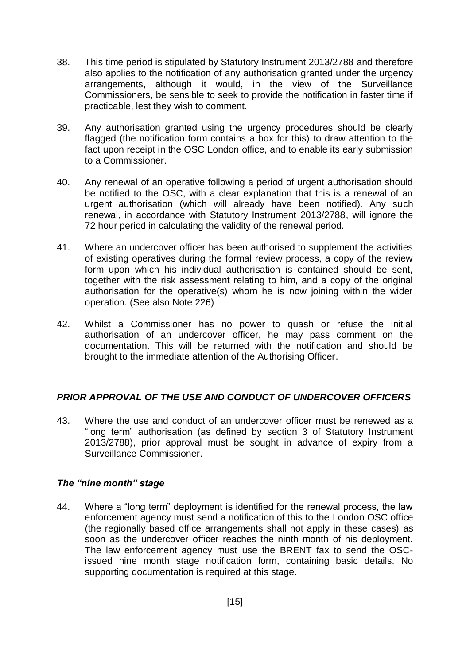- 38. This time period is stipulated by Statutory Instrument 2013/2788 and therefore also applies to the notification of any authorisation granted under the urgency arrangements, although it would, in the view of the Surveillance Commissioners, be sensible to seek to provide the notification in faster time if practicable, lest they wish to comment.
- 39. Any authorisation granted using the urgency procedures should be clearly flagged (the notification form contains a box for this) to draw attention to the fact upon receipt in the OSC London office, and to enable its early submission to a Commissioner.
- 40. Any renewal of an operative following a period of urgent authorisation should be notified to the OSC, with a clear explanation that this is a renewal of an urgent authorisation (which will already have been notified). Any such renewal, in accordance with Statutory Instrument 2013/2788, will ignore the 72 hour period in calculating the validity of the renewal period.
- 41. Where an undercover officer has been authorised to supplement the activities of existing operatives during the formal review process, a copy of the review form upon which his individual authorisation is contained should be sent, together with the risk assessment relating to him, and a copy of the original authorisation for the operative(s) whom he is now joining within the wider operation. (See also Note 226)
- 42. Whilst a Commissioner has no power to quash or refuse the initial authorisation of an undercover officer, he may pass comment on the documentation. This will be returned with the notification and should be brought to the immediate attention of the Authorising Officer.

# <span id="page-15-0"></span>*PRIOR APPROVAL OF THE USE AND CONDUCT OF UNDERCOVER OFFICERS*

43. Where the use and conduct of an undercover officer must be renewed as a "long term" authorisation (as defined by section 3 of Statutory Instrument 2013/2788), prior approval must be sought in advance of expiry from a Surveillance Commissioner.

#### <span id="page-15-1"></span>*The "nine month" stage*

44. Where a "long term" deployment is identified for the renewal process, the law enforcement agency must send a notification of this to the London OSC office (the regionally based office arrangements shall not apply in these cases) as soon as the undercover officer reaches the ninth month of his deployment. The law enforcement agency must use the BRENT fax to send the OSCissued nine month stage notification form, containing basic details. No supporting documentation is required at this stage.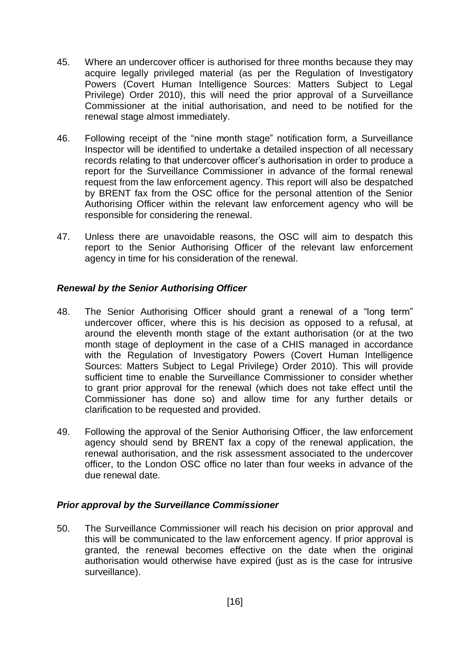- 45. Where an undercover officer is authorised for three months because they may acquire legally privileged material (as per the Regulation of Investigatory Powers (Covert Human Intelligence Sources: Matters Subject to Legal Privilege) Order 2010), this will need the prior approval of a Surveillance Commissioner at the initial authorisation, and need to be notified for the renewal stage almost immediately.
- 46. Following receipt of the "nine month stage" notification form, a Surveillance Inspector will be identified to undertake a detailed inspection of all necessary records relating to that undercover officer's authorisation in order to produce a report for the Surveillance Commissioner in advance of the formal renewal request from the law enforcement agency. This report will also be despatched by BRENT fax from the OSC office for the personal attention of the Senior Authorising Officer within the relevant law enforcement agency who will be responsible for considering the renewal.
- 47. Unless there are unavoidable reasons, the OSC will aim to despatch this report to the Senior Authorising Officer of the relevant law enforcement agency in time for his consideration of the renewal.

# <span id="page-16-0"></span>*Renewal by the Senior Authorising Officer*

- 48. The Senior Authorising Officer should grant a renewal of a "long term" undercover officer, where this is his decision as opposed to a refusal, at around the eleventh month stage of the extant authorisation (or at the two month stage of deployment in the case of a CHIS managed in accordance with the Regulation of Investigatory Powers (Covert Human Intelligence Sources: Matters Subject to Legal Privilege) Order 2010). This will provide sufficient time to enable the Surveillance Commissioner to consider whether to grant prior approval for the renewal (which does not take effect until the Commissioner has done so) and allow time for any further details or clarification to be requested and provided.
- 49. Following the approval of the Senior Authorising Officer, the law enforcement agency should send by BRENT fax a copy of the renewal application, the renewal authorisation, and the risk assessment associated to the undercover officer, to the London OSC office no later than four weeks in advance of the due renewal date.

#### <span id="page-16-1"></span>*Prior approval by the Surveillance Commissioner*

50. The Surveillance Commissioner will reach his decision on prior approval and this will be communicated to the law enforcement agency. If prior approval is granted, the renewal becomes effective on the date when the original authorisation would otherwise have expired (just as is the case for intrusive surveillance).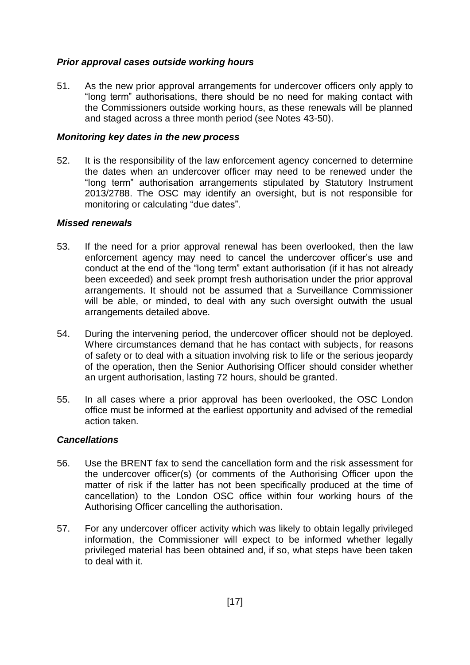#### <span id="page-17-0"></span>*Prior approval cases outside working hours*

51. As the new prior approval arrangements for undercover officers only apply to "long term" authorisations, there should be no need for making contact with the Commissioners outside working hours, as these renewals will be planned and staged across a three month period (see Notes 43-50).

#### <span id="page-17-1"></span>*Monitoring key dates in the new process*

52. It is the responsibility of the law enforcement agency concerned to determine the dates when an undercover officer may need to be renewed under the "long term" authorisation arrangements stipulated by Statutory Instrument 2013/2788. The OSC may identify an oversight, but is not responsible for monitoring or calculating "due dates".

#### <span id="page-17-2"></span>*Missed renewals*

- 53. If the need for a prior approval renewal has been overlooked, then the law enforcement agency may need to cancel the undercover officer's use and conduct at the end of the "long term" extant authorisation (if it has not already been exceeded) and seek prompt fresh authorisation under the prior approval arrangements. It should not be assumed that a Surveillance Commissioner will be able, or minded, to deal with any such oversight outwith the usual arrangements detailed above.
- 54. During the intervening period, the undercover officer should not be deployed. Where circumstances demand that he has contact with subjects, for reasons of safety or to deal with a situation involving risk to life or the serious jeopardy of the operation, then the Senior Authorising Officer should consider whether an urgent authorisation, lasting 72 hours, should be granted.
- 55. In all cases where a prior approval has been overlooked, the OSC London office must be informed at the earliest opportunity and advised of the remedial action taken.

#### <span id="page-17-3"></span>*Cancellations*

- 56. Use the BRENT fax to send the cancellation form and the risk assessment for the undercover officer(s) (or comments of the Authorising Officer upon the matter of risk if the latter has not been specifically produced at the time of cancellation) to the London OSC office within four working hours of the Authorising Officer cancelling the authorisation.
- 57. For any undercover officer activity which was likely to obtain legally privileged information, the Commissioner will expect to be informed whether legally privileged material has been obtained and, if so, what steps have been taken to deal with it.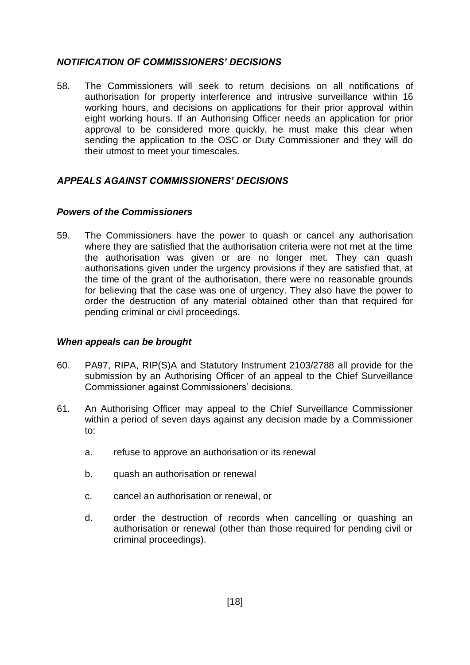#### <span id="page-18-0"></span>*NOTIFICATION OF COMMISSIONERS' DECISIONS*

58. The Commissioners will seek to return decisions on all notifications of authorisation for property interference and intrusive surveillance within 16 working hours, and decisions on applications for their prior approval within eight working hours. If an Authorising Officer needs an application for prior approval to be considered more quickly, he must make this clear when sending the application to the OSC or Duty Commissioner and they will do their utmost to meet your timescales.

# <span id="page-18-1"></span>*APPEALS AGAINST COMMISSIONERS' DECISIONS*

#### <span id="page-18-2"></span>*Powers of the Commissioners*

59. The Commissioners have the power to quash or cancel any authorisation where they are satisfied that the authorisation criteria were not met at the time the authorisation was given or are no longer met. They can quash authorisations given under the urgency provisions if they are satisfied that, at the time of the grant of the authorisation, there were no reasonable grounds for believing that the case was one of urgency. They also have the power to order the destruction of any material obtained other than that required for pending criminal or civil proceedings.

#### <span id="page-18-3"></span>*When appeals can be brought*

- 60. PA97, RIPA, RIP(S)A and Statutory Instrument 2103/2788 all provide for the submission by an Authorising Officer of an appeal to the Chief Surveillance Commissioner against Commissioners' decisions.
- 61. An Authorising Officer may appeal to the Chief Surveillance Commissioner within a period of seven days against any decision made by a Commissioner to:
	- a. refuse to approve an authorisation or its renewal
	- b. quash an authorisation or renewal
	- c. cancel an authorisation or renewal, or
	- d. order the destruction of records when cancelling or quashing an authorisation or renewal (other than those required for pending civil or criminal proceedings).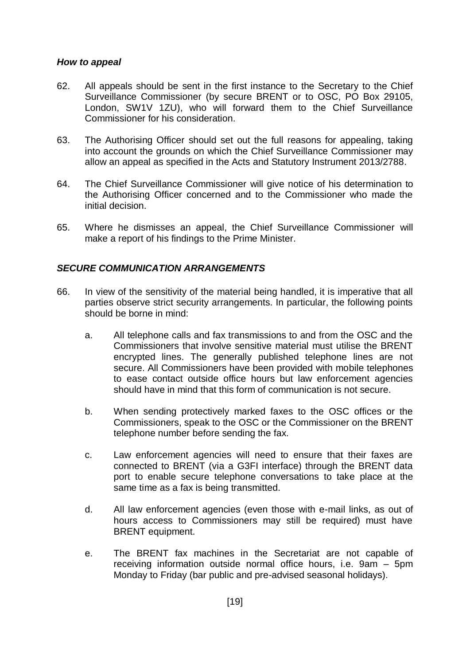#### <span id="page-19-0"></span>*How to appeal*

- 62. All appeals should be sent in the first instance to the Secretary to the Chief Surveillance Commissioner (by secure BRENT or to OSC, PO Box 29105, London, SW1V 1ZU), who will forward them to the Chief Surveillance Commissioner for his consideration.
- 63. The Authorising Officer should set out the full reasons for appealing, taking into account the grounds on which the Chief Surveillance Commissioner may allow an appeal as specified in the Acts and Statutory Instrument 2013/2788.
- 64. The Chief Surveillance Commissioner will give notice of his determination to the Authorising Officer concerned and to the Commissioner who made the initial decision.
- 65. Where he dismisses an appeal, the Chief Surveillance Commissioner will make a report of his findings to the Prime Minister.

#### <span id="page-19-1"></span>*SECURE COMMUNICATION ARRANGEMENTS*

- 66. In view of the sensitivity of the material being handled, it is imperative that all parties observe strict security arrangements. In particular, the following points should be borne in mind:
	- a. All telephone calls and fax transmissions to and from the OSC and the Commissioners that involve sensitive material must utilise the BRENT encrypted lines. The generally published telephone lines are not secure. All Commissioners have been provided with mobile telephones to ease contact outside office hours but law enforcement agencies should have in mind that this form of communication is not secure.
	- b. When sending protectively marked faxes to the OSC offices or the Commissioners, speak to the OSC or the Commissioner on the BRENT telephone number before sending the fax.
	- c. Law enforcement agencies will need to ensure that their faxes are connected to BRENT (via a G3FI interface) through the BRENT data port to enable secure telephone conversations to take place at the same time as a fax is being transmitted.
	- d. All law enforcement agencies (even those with e-mail links, as out of hours access to Commissioners may still be required) must have BRENT equipment.
	- e. The BRENT fax machines in the Secretariat are not capable of receiving information outside normal office hours, i.e. 9am – 5pm Monday to Friday (bar public and pre-advised seasonal holidays).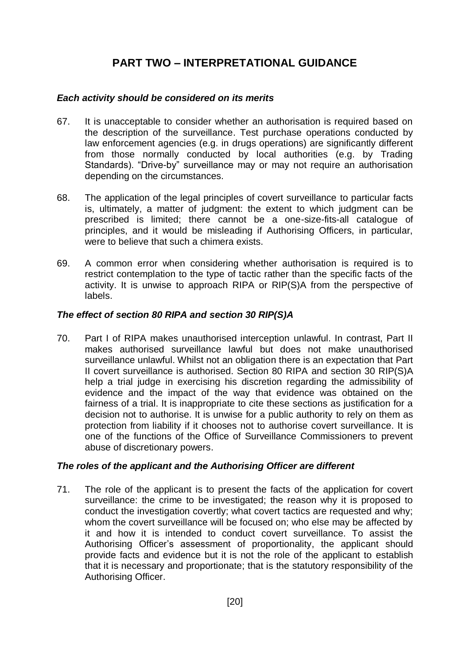# **PART TWO – INTERPRETATIONAL GUIDANCE**

#### <span id="page-20-1"></span><span id="page-20-0"></span>*Each activity should be considered on its merits*

- 67. It is unacceptable to consider whether an authorisation is required based on the description of the surveillance. Test purchase operations conducted by law enforcement agencies (e.g. in drugs operations) are significantly different from those normally conducted by local authorities (e.g. by Trading Standards). "Drive-by" surveillance may or may not require an authorisation depending on the circumstances.
- 68. The application of the legal principles of covert surveillance to particular facts is, ultimately, a matter of judgment: the extent to which judgment can be prescribed is limited; there cannot be a one-size-fits-all catalogue of principles, and it would be misleading if Authorising Officers, in particular, were to believe that such a chimera exists.
- 69. A common error when considering whether authorisation is required is to restrict contemplation to the type of tactic rather than the specific facts of the activity. It is unwise to approach RIPA or RIP(S)A from the perspective of labels.

# <span id="page-20-2"></span>*The effect of section 80 RIPA and section 30 RIP(S)A*

70. Part I of RIPA makes unauthorised interception unlawful. In contrast, Part II makes authorised surveillance lawful but does not make unauthorised surveillance unlawful. Whilst not an obligation there is an expectation that Part II covert surveillance is authorised. Section 80 RIPA and section 30 RIP(S)A help a trial judge in exercising his discretion regarding the admissibility of evidence and the impact of the way that evidence was obtained on the fairness of a trial. It is inappropriate to cite these sections as justification for a decision not to authorise. It is unwise for a public authority to rely on them as protection from liability if it chooses not to authorise covert surveillance. It is one of the functions of the Office of Surveillance Commissioners to prevent abuse of discretionary powers.

#### <span id="page-20-3"></span>*The roles of the applicant and the Authorising Officer are different*

71. The role of the applicant is to present the facts of the application for covert surveillance: the crime to be investigated; the reason why it is proposed to conduct the investigation covertly; what covert tactics are requested and why; whom the covert surveillance will be focused on; who else may be affected by it and how it is intended to conduct covert surveillance. To assist the Authorising Officer's assessment of proportionality, the applicant should provide facts and evidence but it is not the role of the applicant to establish that it is necessary and proportionate; that is the statutory responsibility of the Authorising Officer.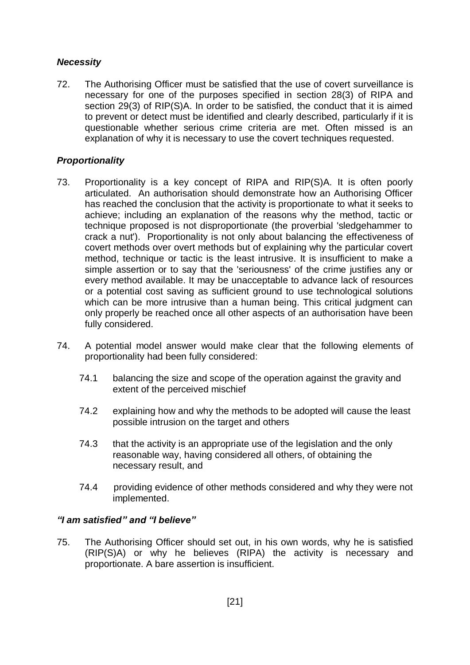# <span id="page-21-0"></span>*Necessity*

72. The Authorising Officer must be satisfied that the use of covert surveillance is necessary for one of the purposes specified in section 28(3) of RIPA and section 29(3) of RIP(S)A. In order to be satisfied, the conduct that it is aimed to prevent or detect must be identified and clearly described, particularly if it is questionable whether serious crime criteria are met. Often missed is an explanation of why it is necessary to use the covert techniques requested.

# <span id="page-21-1"></span>*Proportionality*

- 73. Proportionality is a key concept of RIPA and RIP(S)A. It is often poorly articulated. An authorisation should demonstrate how an Authorising Officer has reached the conclusion that the activity is proportionate to what it seeks to achieve; including an explanation of the reasons why the method, tactic or technique proposed is not disproportionate (the proverbial 'sledgehammer to crack a nut'). Proportionality is not only about balancing the effectiveness of covert methods over overt methods but of explaining why the particular covert method, technique or tactic is the least intrusive. It is insufficient to make a simple assertion or to say that the 'seriousness' of the crime justifies any or every method available. It may be unacceptable to advance lack of resources or a potential cost saving as sufficient ground to use technological solutions which can be more intrusive than a human being. This critical judgment can only properly be reached once all other aspects of an authorisation have been fully considered.
- 74. A potential model answer would make clear that the following elements of proportionality had been fully considered:
	- 74.1 balancing the size and scope of the operation against the gravity and extent of the perceived mischief
	- 74.2 explaining how and why the methods to be adopted will cause the least possible intrusion on the target and others
	- 74.3 that the activity is an appropriate use of the legislation and the only reasonable way, having considered all others, of obtaining the necessary result, and
	- 74.4 providing evidence of other methods considered and why they were not implemented.

#### <span id="page-21-2"></span>*"I am satisfied" and "I believe"*

75. The Authorising Officer should set out, in his own words, why he is satisfied (RIP(S)A) or why he believes (RIPA) the activity is necessary and proportionate. A bare assertion is insufficient.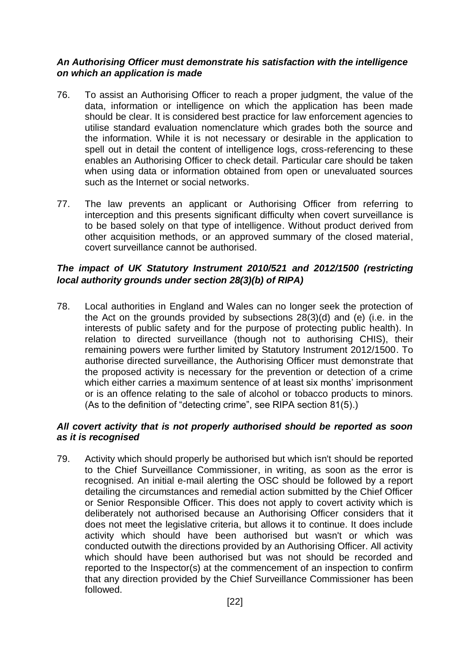#### <span id="page-22-0"></span>*An Authorising Officer must demonstrate his satisfaction with the intelligence on which an application is made*

- 76. To assist an Authorising Officer to reach a proper judgment, the value of the data, information or intelligence on which the application has been made should be clear. It is considered best practice for law enforcement agencies to utilise standard evaluation nomenclature which grades both the source and the information. While it is not necessary or desirable in the application to spell out in detail the content of intelligence logs, cross-referencing to these enables an Authorising Officer to check detail. Particular care should be taken when using data or information obtained from open or unevaluated sources such as the Internet or social networks.
- 77. The law prevents an applicant or Authorising Officer from referring to interception and this presents significant difficulty when covert surveillance is to be based solely on that type of intelligence. Without product derived from other acquisition methods, or an approved summary of the closed material, covert surveillance cannot be authorised.

# <span id="page-22-1"></span>*The impact of UK Statutory Instrument 2010/521 and 2012/1500 (restricting local authority grounds under section 28(3)(b) of RIPA)*

78. Local authorities in England and Wales can no longer seek the protection of the Act on the grounds provided by subsections 28(3)(d) and (e) (i.e. in the interests of public safety and for the purpose of protecting public health). In relation to directed surveillance (though not to authorising CHIS), their remaining powers were further limited by Statutory Instrument 2012/1500. To authorise directed surveillance, the Authorising Officer must demonstrate that the proposed activity is necessary for the prevention or detection of a crime which either carries a maximum sentence of at least six months' imprisonment or is an offence relating to the sale of alcohol or tobacco products to minors. (As to the definition of "detecting crime", see RIPA section 81(5).)

#### <span id="page-22-2"></span>*All covert activity that is not properly authorised should be reported as soon as it is recognised*

79. Activity which should properly be authorised but which isn't should be reported to the Chief Surveillance Commissioner, in writing, as soon as the error is recognised. An initial e-mail alerting the OSC should be followed by a report detailing the circumstances and remedial action submitted by the Chief Officer or Senior Responsible Officer. This does not apply to covert activity which is deliberately not authorised because an Authorising Officer considers that it does not meet the legislative criteria, but allows it to continue. It does include activity which should have been authorised but wasn't or which was conducted outwith the directions provided by an Authorising Officer. All activity which should have been authorised but was not should be recorded and reported to the Inspector(s) at the commencement of an inspection to confirm that any direction provided by the Chief Surveillance Commissioner has been followed.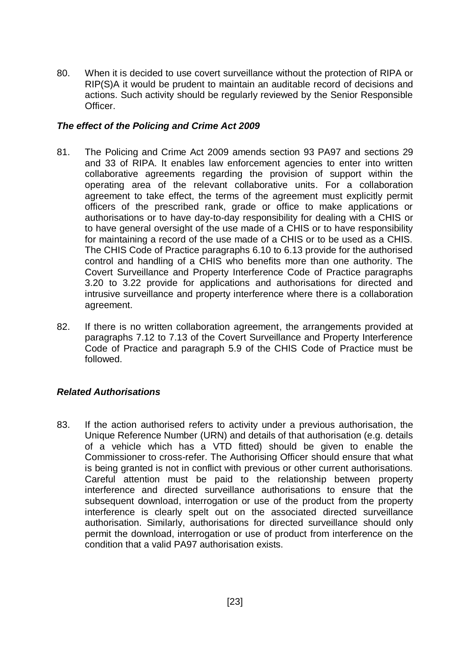80. When it is decided to use covert surveillance without the protection of RIPA or RIP(S)A it would be prudent to maintain an auditable record of decisions and actions. Such activity should be regularly reviewed by the Senior Responsible Officer.

#### <span id="page-23-0"></span>*The effect of the Policing and Crime Act 2009*

- 81. The Policing and Crime Act 2009 amends section 93 PA97 and sections 29 and 33 of RIPA. It enables law enforcement agencies to enter into written collaborative agreements regarding the provision of support within the operating area of the relevant collaborative units. For a collaboration agreement to take effect, the terms of the agreement must explicitly permit officers of the prescribed rank, grade or office to make applications or authorisations or to have day-to-day responsibility for dealing with a CHIS or to have general oversight of the use made of a CHIS or to have responsibility for maintaining a record of the use made of a CHIS or to be used as a CHIS. The CHIS Code of Practice paragraphs 6.10 to 6.13 provide for the authorised control and handling of a CHIS who benefits more than one authority. The Covert Surveillance and Property Interference Code of Practice paragraphs 3.20 to 3.22 provide for applications and authorisations for directed and intrusive surveillance and property interference where there is a collaboration agreement.
- 82. If there is no written collaboration agreement, the arrangements provided at paragraphs 7.12 to 7.13 of the Covert Surveillance and Property Interference Code of Practice and paragraph 5.9 of the CHIS Code of Practice must be followed.

#### <span id="page-23-1"></span>*Related Authorisations*

83. If the action authorised refers to activity under a previous authorisation, the Unique Reference Number (URN) and details of that authorisation (e.g. details of a vehicle which has a VTD fitted) should be given to enable the Commissioner to cross-refer. The Authorising Officer should ensure that what is being granted is not in conflict with previous or other current authorisations. Careful attention must be paid to the relationship between property interference and directed surveillance authorisations to ensure that the subsequent download, interrogation or use of the product from the property interference is clearly spelt out on the associated directed surveillance authorisation. Similarly, authorisations for directed surveillance should only permit the download, interrogation or use of product from interference on the condition that a valid PA97 authorisation exists.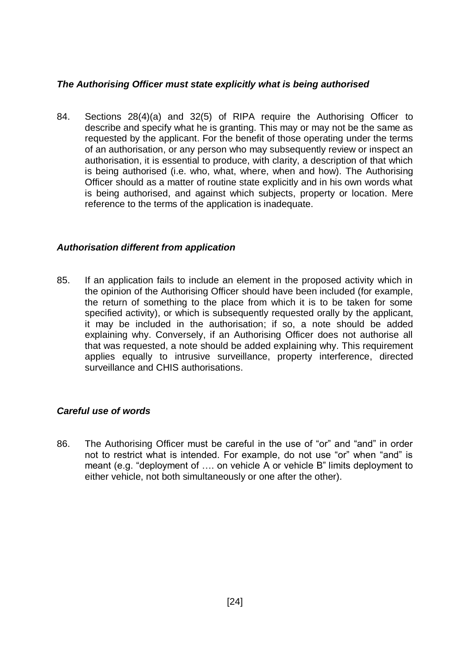# <span id="page-24-0"></span>*The Authorising Officer must state explicitly what is being authorised*

84. Sections 28(4)(a) and 32(5) of RIPA require the Authorising Officer to describe and specify what he is granting. This may or may not be the same as requested by the applicant. For the benefit of those operating under the terms of an authorisation, or any person who may subsequently review or inspect an authorisation, it is essential to produce, with clarity, a description of that which is being authorised (i.e. who, what, where, when and how). The Authorising Officer should as a matter of routine state explicitly and in his own words what is being authorised, and against which subjects, property or location. Mere reference to the terms of the application is inadequate.

#### <span id="page-24-1"></span>*Authorisation different from application*

85. If an application fails to include an element in the proposed activity which in the opinion of the Authorising Officer should have been included (for example, the return of something to the place from which it is to be taken for some specified activity), or which is subsequently requested orally by the applicant, it may be included in the authorisation; if so, a note should be added explaining why. Conversely, if an Authorising Officer does not authorise all that was requested, a note should be added explaining why. This requirement applies equally to intrusive surveillance, property interference, directed surveillance and CHIS authorisations.

# <span id="page-24-2"></span>*Careful use of words*

86. The Authorising Officer must be careful in the use of "or" and "and" in order not to restrict what is intended. For example, do not use "or" when "and" is meant (e.g. "deployment of …. on vehicle A or vehicle B" limits deployment to either vehicle, not both simultaneously or one after the other).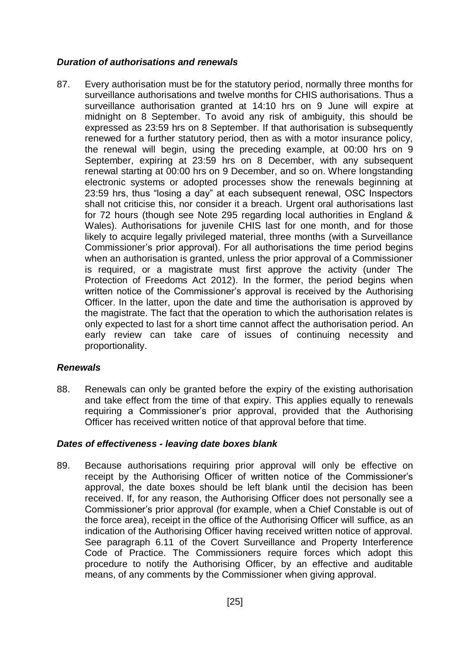# <span id="page-25-0"></span>*Duration of authorisations and renewals*

87. Every authorisation must be for the statutory period, normally three months for surveillance authorisations and twelve months for CHIS authorisations. Thus a surveillance authorisation granted at 14:10 hrs on 9 June will expire at midnight on 8 September. To avoid any risk of ambiguity, this should be expressed as 23:59 hrs on 8 September. If that authorisation is subsequently renewed for a further statutory period, then as with a motor insurance policy, the renewal will begin, using the preceding example, at 00:00 hrs on 9 September, expiring at 23:59 hrs on 8 December, with any subsequent renewal starting at 00:00 hrs on 9 December, and so on. Where longstanding electronic systems or adopted processes show the renewals beginning at 23:59 hrs, thus "losing a day" at each subsequent renewal, OSC Inspectors shall not criticise this, nor consider it a breach. Urgent oral authorisations last for 72 hours (though see Note 295 regarding local authorities in England & Wales). Authorisations for juvenile CHIS last for one month, and for those likely to acquire legally privileged material, three months (with a Surveillance Commissioner's prior approval). For all authorisations the time period begins when an authorisation is granted, unless the prior approval of a Commissioner is required, or a magistrate must first approve the activity (under The Protection of Freedoms Act 2012). In the former, the period begins when written notice of the Commissioner's approval is received by the Authorising Officer. In the latter, upon the date and time the authorisation is approved by the magistrate. The fact that the operation to which the authorisation relates is only expected to last for a short time cannot affect the authorisation period. An early review can take care of issues of continuing necessity and proportionality.

# <span id="page-25-1"></span>*Renewals*

88. Renewals can only be granted before the expiry of the existing authorisation and take effect from the time of that expiry. This applies equally to renewals requiring a Commissioner's prior approval, provided that the Authorising Officer has received written notice of that approval before that time.

#### <span id="page-25-2"></span>*Dates of effectiveness - leaving date boxes blank*

89. Because authorisations requiring prior approval will only be effective on receipt by the Authorising Officer of written notice of the Commissioner's approval, the date boxes should be left blank until the decision has been received. If, for any reason, the Authorising Officer does not personally see a Commissioner's prior approval (for example, when a Chief Constable is out of the force area), receipt in the office of the Authorising Officer will suffice, as an indication of the Authorising Officer having received written notice of approval. See paragraph 6.11 of the Covert Surveillance and Property Interference Code of Practice. The Commissioners require forces which adopt this procedure to notify the Authorising Officer, by an effective and auditable means, of any comments by the Commissioner when giving approval.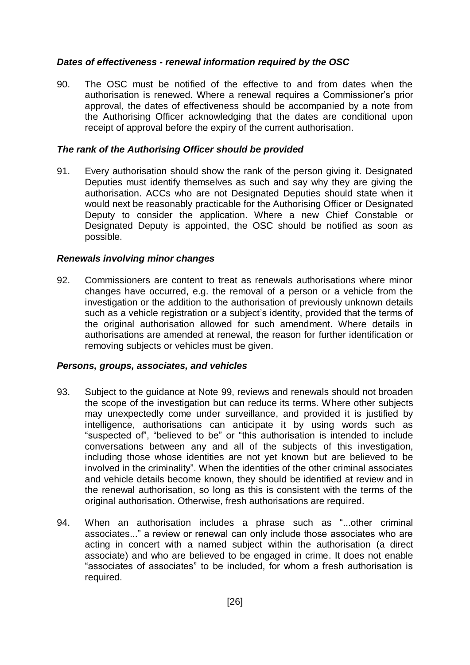#### <span id="page-26-0"></span>*Dates of effectiveness - renewal information required by the OSC*

90. The OSC must be notified of the effective to and from dates when the authorisation is renewed. Where a renewal requires a Commissioner's prior approval, the dates of effectiveness should be accompanied by a note from the Authorising Officer acknowledging that the dates are conditional upon receipt of approval before the expiry of the current authorisation.

#### <span id="page-26-1"></span>*The rank of the Authorising Officer should be provided*

91. Every authorisation should show the rank of the person giving it. Designated Deputies must identify themselves as such and say why they are giving the authorisation. ACCs who are not Designated Deputies should state when it would next be reasonably practicable for the Authorising Officer or Designated Deputy to consider the application. Where a new Chief Constable or Designated Deputy is appointed, the OSC should be notified as soon as possible.

#### <span id="page-26-2"></span>*Renewals involving minor changes*

92. Commissioners are content to treat as renewals authorisations where minor changes have occurred, e.g. the removal of a person or a vehicle from the investigation or the addition to the authorisation of previously unknown details such as a vehicle registration or a subject's identity, provided that the terms of the original authorisation allowed for such amendment. Where details in authorisations are amended at renewal, the reason for further identification or removing subjects or vehicles must be given.

#### <span id="page-26-3"></span>*Persons, groups, associates, and vehicles*

- 93. Subject to the guidance at Note 99, reviews and renewals should not broaden the scope of the investigation but can reduce its terms. Where other subjects may unexpectedly come under surveillance, and provided it is justified by intelligence, authorisations can anticipate it by using words such as "suspected of", "believed to be" or "this authorisation is intended to include conversations between any and all of the subjects of this investigation, including those whose identities are not yet known but are believed to be involved in the criminality". When the identities of the other criminal associates and vehicle details become known, they should be identified at review and in the renewal authorisation, so long as this is consistent with the terms of the original authorisation. Otherwise, fresh authorisations are required.
- 94. When an authorisation includes a phrase such as "...other criminal associates..." a review or renewal can only include those associates who are acting in concert with a named subject within the authorisation (a direct associate) and who are believed to be engaged in crime. It does not enable "associates of associates" to be included, for whom a fresh authorisation is required.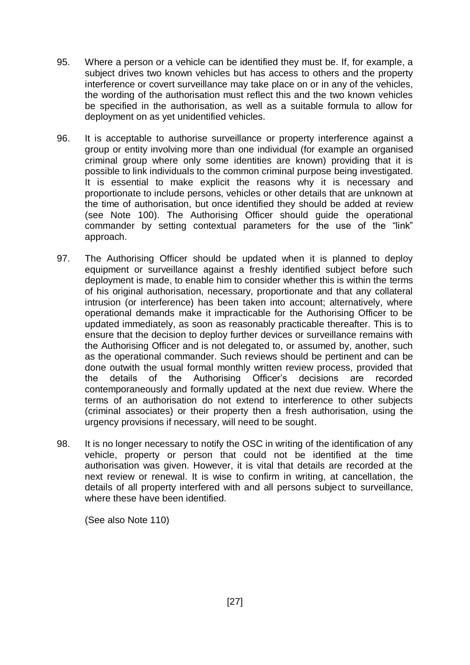- 95. Where a person or a vehicle can be identified they must be. If, for example, a subject drives two known vehicles but has access to others and the property interference or covert surveillance may take place on or in any of the vehicles, the wording of the authorisation must reflect this and the two known vehicles be specified in the authorisation, as well as a suitable formula to allow for deployment on as yet unidentified vehicles.
- 96. It is acceptable to authorise surveillance or property interference against a group or entity involving more than one individual (for example an organised criminal group where only some identities are known) providing that it is possible to link individuals to the common criminal purpose being investigated. It is essential to make explicit the reasons why it is necessary and proportionate to include persons, vehicles or other details that are unknown at the time of authorisation, but once identified they should be added at review (see Note 100). The Authorising Officer should guide the operational commander by setting contextual parameters for the use of the "link" approach.
- 97. The Authorising Officer should be updated when it is planned to deploy equipment or surveillance against a freshly identified subject before such deployment is made, to enable him to consider whether this is within the terms of his original authorisation, necessary, proportionate and that any collateral intrusion (or interference) has been taken into account; alternatively, where operational demands make it impracticable for the Authorising Officer to be updated immediately, as soon as reasonably practicable thereafter. This is to ensure that the decision to deploy further devices or surveillance remains with the Authorising Officer and is not delegated to, or assumed by, another, such as the operational commander. Such reviews should be pertinent and can be done outwith the usual formal monthly written review process, provided that the details of the Authorising Officer's decisions are recorded contemporaneously and formally updated at the next due review. Where the terms of an authorisation do not extend to interference to other subjects (criminal associates) or their property then a fresh authorisation, using the urgency provisions if necessary, will need to be sought.
- 98. It is no longer necessary to notify the OSC in writing of the identification of any vehicle, property or person that could not be identified at the time authorisation was given. However, it is vital that details are recorded at the next review or renewal. It is wise to confirm in writing, at cancellation, the details of all property interfered with and all persons subject to surveillance, where these have been identified.

(See also Note 110)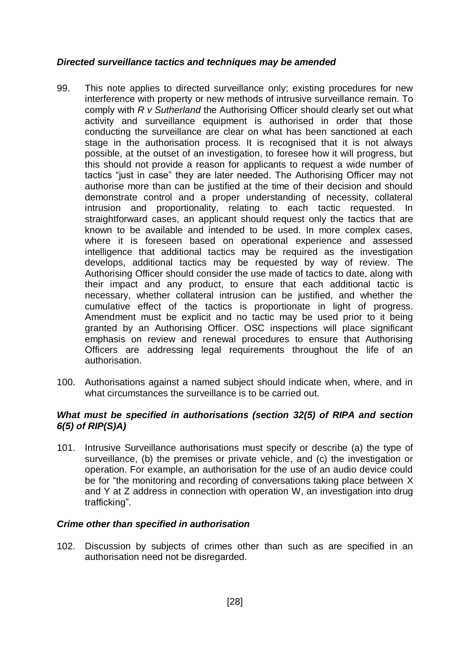#### <span id="page-28-0"></span>*Directed surveillance tactics and techniques may be amended*

- 99. This note applies to directed surveillance only; existing procedures for new interference with property or new methods of intrusive surveillance remain. To comply with *R v Sutherland* the Authorising Officer should clearly set out what activity and surveillance equipment is authorised in order that those conducting the surveillance are clear on what has been sanctioned at each stage in the authorisation process. It is recognised that it is not always possible, at the outset of an investigation, to foresee how it will progress, but this should not provide a reason for applicants to request a wide number of tactics "just in case" they are later needed. The Authorising Officer may not authorise more than can be justified at the time of their decision and should demonstrate control and a proper understanding of necessity, collateral intrusion and proportionality, relating to each tactic requested. In straightforward cases, an applicant should request only the tactics that are known to be available and intended to be used. In more complex cases, where it is foreseen based on operational experience and assessed intelligence that additional tactics may be required as the investigation develops, additional tactics may be requested by way of review. The Authorising Officer should consider the use made of tactics to date, along with their impact and any product, to ensure that each additional tactic is necessary, whether collateral intrusion can be justified, and whether the cumulative effect of the tactics is proportionate in light of progress. Amendment must be explicit and no tactic may be used prior to it being granted by an Authorising Officer. OSC inspections will place significant emphasis on review and renewal procedures to ensure that Authorising Officers are addressing legal requirements throughout the life of an authorisation.
- 100. Authorisations against a named subject should indicate when, where, and in what circumstances the surveillance is to be carried out.

#### <span id="page-28-1"></span>*What must be specified in authorisations (section 32(5) of RIPA and section 6(5) of RIP(S)A)*

101. Intrusive Surveillance authorisations must specify or describe (a) the type of surveillance, (b) the premises or private vehicle, and (c) the investigation or operation. For example, an authorisation for the use of an audio device could be for "the monitoring and recording of conversations taking place between X and Y at Z address in connection with operation W, an investigation into drug trafficking".

#### <span id="page-28-2"></span>*Crime other than specified in authorisation*

102. Discussion by subjects of crimes other than such as are specified in an authorisation need not be disregarded.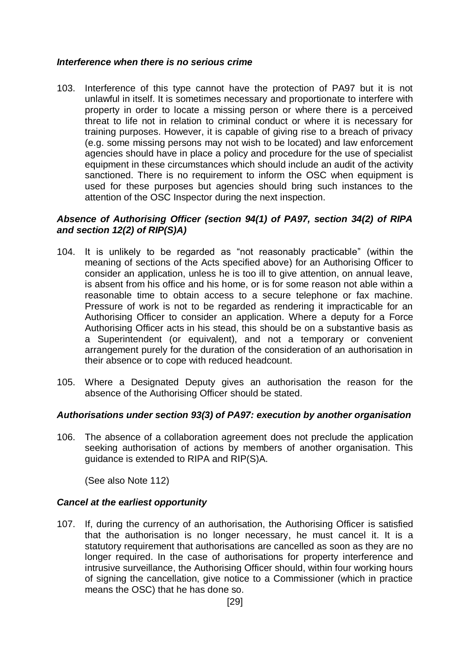#### <span id="page-29-0"></span>*Interference when there is no serious crime*

103. Interference of this type cannot have the protection of PA97 but it is not unlawful in itself. It is sometimes necessary and proportionate to interfere with property in order to locate a missing person or where there is a perceived threat to life not in relation to criminal conduct or where it is necessary for training purposes. However, it is capable of giving rise to a breach of privacy (e.g. some missing persons may not wish to be located) and law enforcement agencies should have in place a policy and procedure for the use of specialist equipment in these circumstances which should include an audit of the activity sanctioned. There is no requirement to inform the OSC when equipment is used for these purposes but agencies should bring such instances to the attention of the OSC Inspector during the next inspection.

#### <span id="page-29-1"></span>*Absence of Authorising Officer (section 94(1) of PA97, section 34(2) of RIPA and section 12(2) of RIP(S)A)*

- 104. It is unlikely to be regarded as "not reasonably practicable" (within the meaning of sections of the Acts specified above) for an Authorising Officer to consider an application, unless he is too ill to give attention, on annual leave, is absent from his office and his home, or is for some reason not able within a reasonable time to obtain access to a secure telephone or fax machine. Pressure of work is not to be regarded as rendering it impracticable for an Authorising Officer to consider an application. Where a deputy for a Force Authorising Officer acts in his stead, this should be on a substantive basis as a Superintendent (or equivalent), and not a temporary or convenient arrangement purely for the duration of the consideration of an authorisation in their absence or to cope with reduced headcount.
- 105. Where a Designated Deputy gives an authorisation the reason for the absence of the Authorising Officer should be stated.

#### <span id="page-29-2"></span>*Authorisations under section 93(3) of PA97: execution by another organisation*

<span id="page-29-4"></span>106. The absence of a collaboration agreement does not preclude the application seeking authorisation of actions by members of another organisation. This guidance is extended to RIPA and RIP(S)A.

(See also Note 112)

#### <span id="page-29-3"></span>*Cancel at the earliest opportunity*

107. If, during the currency of an authorisation, the Authorising Officer is satisfied that the authorisation is no longer necessary, he must cancel it. It is a statutory requirement that authorisations are cancelled as soon as they are no longer required. In the case of authorisations for property interference and intrusive surveillance, the Authorising Officer should, within four working hours of signing the cancellation, give notice to a Commissioner (which in practice means the OSC) that he has done so.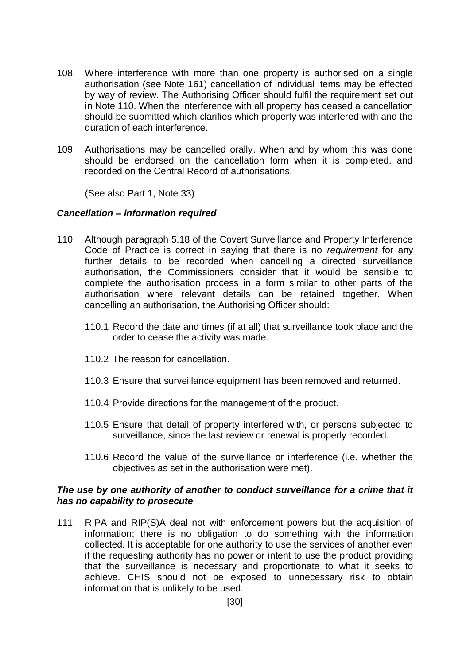- 108. Where interference with more than one property is authorised on a single authorisation (see Note 161) cancellation of individual items may be effected by way of review. The Authorising Officer should fulfil the requirement set out in Note 110. When the interference with all property has ceased a cancellation should be submitted which clarifies which property was interfered with and the duration of each interference.
- 109. Authorisations may be cancelled orally. When and by whom this was done should be endorsed on the cancellation form when it is completed, and recorded on the Central Record of authorisations.

(See also Part 1, Note 33)

#### <span id="page-30-0"></span>*Cancellation – information required*

- 110. Although paragraph 5.18 of the Covert Surveillance and Property Interference Code of Practice is correct in saying that there is no *requirement* for any further details to be recorded when cancelling a directed surveillance authorisation, the Commissioners consider that it would be sensible to complete the authorisation process in a form similar to other parts of the authorisation where relevant details can be retained together. When cancelling an authorisation, the Authorising Officer should:
	- 110.1 Record the date and times (if at all) that surveillance took place and the order to cease the activity was made.
	- 110.2 The reason for cancellation.
	- 110.3 Ensure that surveillance equipment has been removed and returned.
	- 110.4 Provide directions for the management of the product.
	- 110.5 Ensure that detail of property interfered with, or persons subjected to surveillance, since the last review or renewal is properly recorded.
	- 110.6 Record the value of the surveillance or interference (i.e. whether the objectives as set in the authorisation were met).

#### <span id="page-30-1"></span>*The use by one authority of another to conduct surveillance for a crime that it has no capability to prosecute*

111. RIPA and RIP(S)A deal not with enforcement powers but the acquisition of information; there is no obligation to do something with the information collected. It is acceptable for one authority to use the services of another even if the requesting authority has no power or intent to use the product providing that the surveillance is necessary and proportionate to what it seeks to achieve. CHIS should not be exposed to unnecessary risk to obtain information that is unlikely to be used.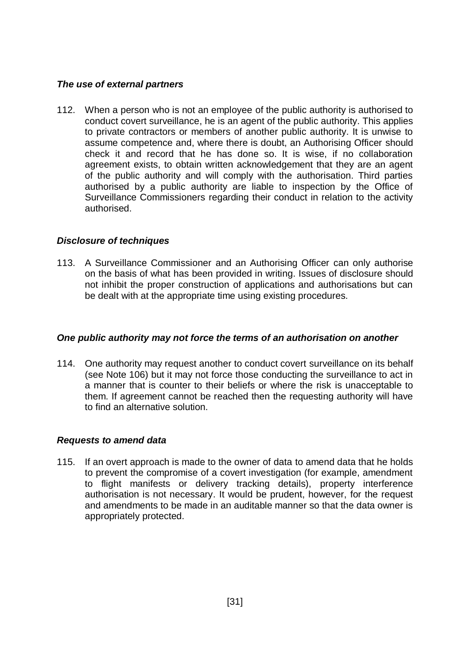#### <span id="page-31-0"></span>*The use of external partners*

112. When a person who is not an employee of the public authority is authorised to conduct covert surveillance, he is an agent of the public authority. This applies to private contractors or members of another public authority. It is unwise to assume competence and, where there is doubt, an Authorising Officer should check it and record that he has done so. It is wise, if no collaboration agreement exists, to obtain written acknowledgement that they are an agent of the public authority and will comply with the authorisation. Third parties authorised by a public authority are liable to inspection by the Office of Surveillance Commissioners regarding their conduct in relation to the activity authorised.

# <span id="page-31-1"></span>*Disclosure of techniques*

113. A Surveillance Commissioner and an Authorising Officer can only authorise on the basis of what has been provided in writing. Issues of disclosure should not inhibit the proper construction of applications and authorisations but can be dealt with at the appropriate time using existing procedures.

#### <span id="page-31-2"></span>*One public authority may not force the terms of an authorisation on another*

114. One authority may request another to conduct covert surveillance on its behalf (see Note [106\)](#page-29-4) but it may not force those conducting the surveillance to act in a manner that is counter to their beliefs or where the risk is unacceptable to them. If agreement cannot be reached then the requesting authority will have to find an alternative solution.

#### <span id="page-31-3"></span>*Requests to amend data*

<span id="page-31-4"></span>115. If an overt approach is made to the owner of data to amend data that he holds to prevent the compromise of a covert investigation (for example, amendment to flight manifests or delivery tracking details), property interference authorisation is not necessary. It would be prudent, however, for the request and amendments to be made in an auditable manner so that the data owner is appropriately protected.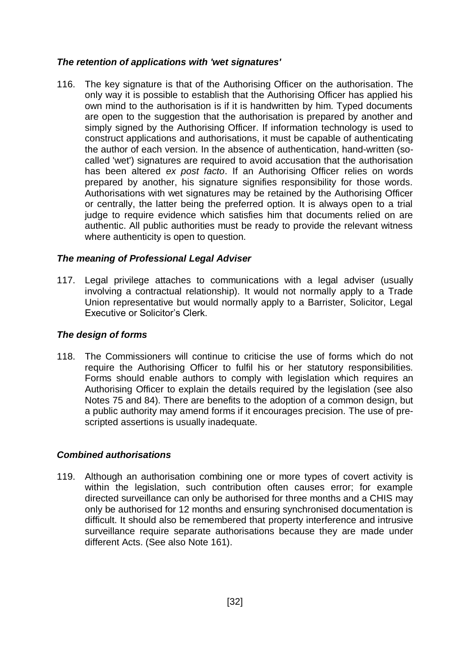# *The retention of applications with 'wet signatures'*

116. The key signature is that of the Authorising Officer on the authorisation. The only way it is possible to establish that the Authorising Officer has applied his own mind to the authorisation is if it is handwritten by him. Typed documents are open to the suggestion that the authorisation is prepared by another and simply signed by the Authorising Officer. If information technology is used to construct applications and authorisations, it must be capable of authenticating the author of each version. In the absence of authentication, hand-written (socalled 'wet') signatures are required to avoid accusation that the authorisation has been altered *ex post facto*. If an Authorising Officer relies on words prepared by another, his signature signifies responsibility for those words. Authorisations with wet signatures may be retained by the Authorising Officer or centrally, the latter being the preferred option. It is always open to a trial judge to require evidence which satisfies him that documents relied on are authentic. All public authorities must be ready to provide the relevant witness where authenticity is open to question.

# <span id="page-32-0"></span>*The meaning of Professional Legal Adviser*

117. Legal privilege attaches to communications with a legal adviser (usually involving a contractual relationship). It would not normally apply to a Trade Union representative but would normally apply to a Barrister, Solicitor, Legal Executive or Solicitor's Clerk.

#### <span id="page-32-1"></span>*The design of forms*

118. The Commissioners will continue to criticise the use of forms which do not require the Authorising Officer to fulfil his or her statutory responsibilities. Forms should enable authors to comply with legislation which requires an Authorising Officer to explain the details required by the legislation (see also Notes 75 and 84). There are benefits to the adoption of a common design, but a public authority may amend forms if it encourages precision. The use of prescripted assertions is usually inadequate.

# <span id="page-32-2"></span>*Combined authorisations*

119. Although an authorisation combining one or more types of covert activity is within the legislation, such contribution often causes error; for example directed surveillance can only be authorised for three months and a CHIS may only be authorised for 12 months and ensuring synchronised documentation is difficult. It should also be remembered that property interference and intrusive surveillance require separate authorisations because they are made under different Acts. (See also Note [161\)](#page-41-2).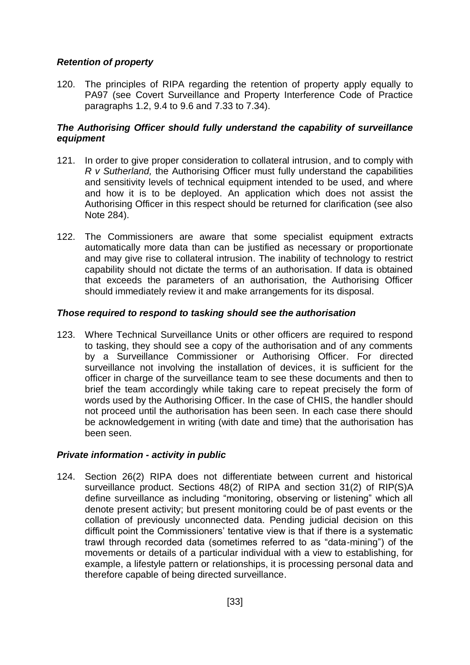# <span id="page-33-0"></span>*Retention of property*

120. The principles of RIPA regarding the retention of property apply equally to PA97 (see Covert Surveillance and Property Interference Code of Practice paragraphs 1.2, 9.4 to 9.6 and 7.33 to 7.34).

# <span id="page-33-1"></span>*The Authorising Officer should fully understand the capability of surveillance equipment*

- 121. In order to give proper consideration to collateral intrusion, and to comply with *R v Sutherland,* the Authorising Officer must fully understand the capabilities and sensitivity levels of technical equipment intended to be used, and where and how it is to be deployed. An application which does not assist the Authorising Officer in this respect should be returned for clarification (see also Note 284).
- 122. The Commissioners are aware that some specialist equipment extracts automatically more data than can be justified as necessary or proportionate and may give rise to collateral intrusion. The inability of technology to restrict capability should not dictate the terms of an authorisation. If data is obtained that exceeds the parameters of an authorisation, the Authorising Officer should immediately review it and make arrangements for its disposal.

#### <span id="page-33-2"></span>*Those required to respond to tasking should see the authorisation*

123. Where Technical Surveillance Units or other officers are required to respond to tasking, they should see a copy of the authorisation and of any comments by a Surveillance Commissioner or Authorising Officer. For directed surveillance not involving the installation of devices, it is sufficient for the officer in charge of the surveillance team to see these documents and then to brief the team accordingly while taking care to repeat precisely the form of words used by the Authorising Officer. In the case of CHIS, the handler should not proceed until the authorisation has been seen. In each case there should be acknowledgement in writing (with date and time) that the authorisation has been seen.

# <span id="page-33-3"></span>*Private information - activity in public*

124. Section 26(2) RIPA does not differentiate between current and historical surveillance product. Sections 48(2) of RIPA and section 31(2) of RIP(S)A define surveillance as including "monitoring, observing or listening" which all denote present activity; but present monitoring could be of past events or the collation of previously unconnected data. Pending judicial decision on this difficult point the Commissioners' tentative view is that if there is a systematic trawl through recorded data (sometimes referred to as "data-mining") of the movements or details of a particular individual with a view to establishing, for example, a lifestyle pattern or relationships, it is processing personal data and therefore capable of being directed surveillance.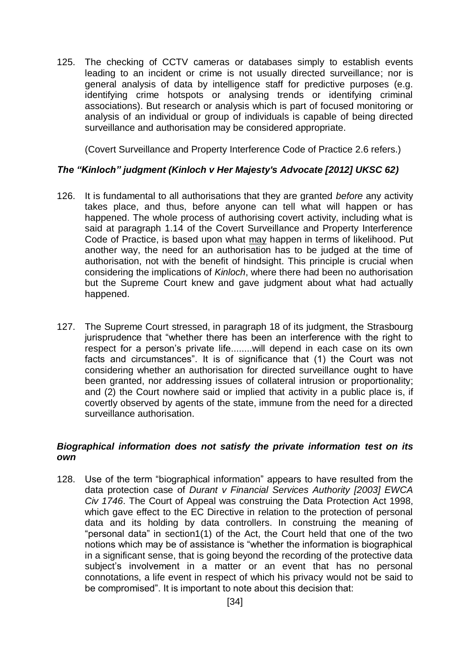125. The checking of CCTV cameras or databases simply to establish events leading to an incident or crime is not usually directed surveillance; nor is general analysis of data by intelligence staff for predictive purposes (e.g. identifying crime hotspots or analysing trends or identifying criminal associations). But research or analysis which is part of focused monitoring or analysis of an individual or group of individuals is capable of being directed surveillance and authorisation may be considered appropriate.

(Covert Surveillance and Property Interference Code of Practice 2.6 refers.)

# <span id="page-34-0"></span>*The "Kinloch" judgment (Kinloch v Her Majesty's Advocate [2012] UKSC 62)*

- 126. It is fundamental to all authorisations that they are granted *before* any activity takes place, and thus, before anyone can tell what will happen or has happened. The whole process of authorising covert activity, including what is said at paragraph 1.14 of the Covert Surveillance and Property Interference Code of Practice, is based upon what may happen in terms of likelihood. Put another way, the need for an authorisation has to be judged at the time of authorisation, not with the benefit of hindsight. This principle is crucial when considering the implications of *Kinloch*, where there had been no authorisation but the Supreme Court knew and gave judgment about what had actually happened.
- 127. The Supreme Court stressed, in paragraph 18 of its judgment, the Strasbourg jurisprudence that "whether there has been an interference with the right to respect for a person's private life........will depend in each case on its own facts and circumstances". It is of significance that (1) the Court was not considering whether an authorisation for directed surveillance ought to have been granted, nor addressing issues of collateral intrusion or proportionality; and (2) the Court nowhere said or implied that activity in a public place is, if covertly observed by agents of the state, immune from the need for a directed surveillance authorisation.

#### <span id="page-34-1"></span>*Biographical information does not satisfy the private information test on its own*

128. Use of the term "biographical information" appears to have resulted from the data protection case of *Durant v Financial Services Authority [2003] EWCA Civ 1746*. The Court of Appeal was construing the Data Protection Act 1998, which gave effect to the EC Directive in relation to the protection of personal data and its holding by data controllers. In construing the meaning of "personal data" in section1(1) of the Act, the Court held that one of the two notions which may be of assistance is "whether the information is biographical in a significant sense, that is going beyond the recording of the protective data subject's involvement in a matter or an event that has no personal connotations, a life event in respect of which his privacy would not be said to be compromised". It is important to note about this decision that: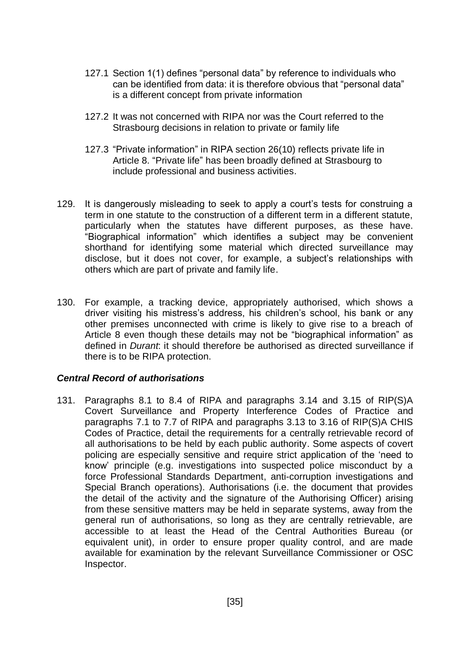- 127.1 Section 1(1) defines "personal data" by reference to individuals who can be identified from data: it is therefore obvious that "personal data" is a different concept from private information
- 127.2 It was not concerned with RIPA nor was the Court referred to the Strasbourg decisions in relation to private or family life
- 127.3 "Private information" in RIPA section 26(10) reflects private life in Article 8. "Private life" has been broadly defined at Strasbourg to include professional and business activities.
- 129. It is dangerously misleading to seek to apply a court's tests for construing a term in one statute to the construction of a different term in a different statute, particularly when the statutes have different purposes, as these have. "Biographical information" which identifies a subject may be convenient shorthand for identifying some material which directed surveillance may disclose, but it does not cover, for example, a subject's relationships with others which are part of private and family life.
- 130. For example, a tracking device, appropriately authorised, which shows a driver visiting his mistress's address, his children's school, his bank or any other premises unconnected with crime is likely to give rise to a breach of Article 8 even though these details may not be "biographical information" as defined in *Durant*: it should therefore be authorised as directed surveillance if there is to be RIPA protection.

#### <span id="page-35-0"></span>*Central Record of authorisations*

131. Paragraphs 8.1 to 8.4 of RIPA and paragraphs 3.14 and 3.15 of RIP(S)A Covert Surveillance and Property Interference Codes of Practice and paragraphs 7.1 to 7.7 of RIPA and paragraphs 3.13 to 3.16 of RIP(S)A CHIS Codes of Practice, detail the requirements for a centrally retrievable record of all authorisations to be held by each public authority. Some aspects of covert policing are especially sensitive and require strict application of the 'need to know' principle (e.g. investigations into suspected police misconduct by a force Professional Standards Department, anti-corruption investigations and Special Branch operations). Authorisations (i.e. the document that provides the detail of the activity and the signature of the Authorising Officer) arising from these sensitive matters may be held in separate systems, away from the general run of authorisations, so long as they are centrally retrievable, are accessible to at least the Head of the Central Authorities Bureau (or equivalent unit), in order to ensure proper quality control, and are made available for examination by the relevant Surveillance Commissioner or OSC Inspector.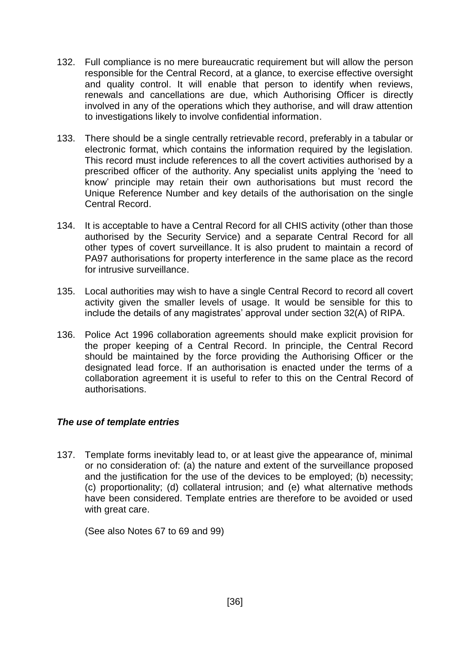- 132. Full compliance is no mere bureaucratic requirement but will allow the person responsible for the Central Record, at a glance, to exercise effective oversight and quality control. It will enable that person to identify when reviews, renewals and cancellations are due, which Authorising Officer is directly involved in any of the operations which they authorise, and will draw attention to investigations likely to involve confidential information.
- 133. There should be a single centrally retrievable record, preferably in a tabular or electronic format, which contains the information required by the legislation. This record must include references to all the covert activities authorised by a prescribed officer of the authority. Any specialist units applying the 'need to know' principle may retain their own authorisations but must record the Unique Reference Number and key details of the authorisation on the single Central Record.
- 134. It is acceptable to have a Central Record for all CHIS activity (other than those authorised by the Security Service) and a separate Central Record for all other types of covert surveillance. It is also prudent to maintain a record of PA97 authorisations for property interference in the same place as the record for intrusive surveillance.
- 135. Local authorities may wish to have a single Central Record to record all covert activity given the smaller levels of usage. It would be sensible for this to include the details of any magistrates' approval under section 32(A) of RIPA.
- 136. Police Act 1996 collaboration agreements should make explicit provision for the proper keeping of a Central Record. In principle, the Central Record should be maintained by the force providing the Authorising Officer or the designated lead force. If an authorisation is enacted under the terms of a collaboration agreement it is useful to refer to this on the Central Record of authorisations.

# *The use of template entries*

137. Template forms inevitably lead to, or at least give the appearance of, minimal or no consideration of: (a) the nature and extent of the surveillance proposed and the justification for the use of the devices to be employed; (b) necessity; (c) proportionality; (d) collateral intrusion; and (e) what alternative methods have been considered. Template entries are therefore to be avoided or used with great care.

(See also Notes 67 to 69 and 99)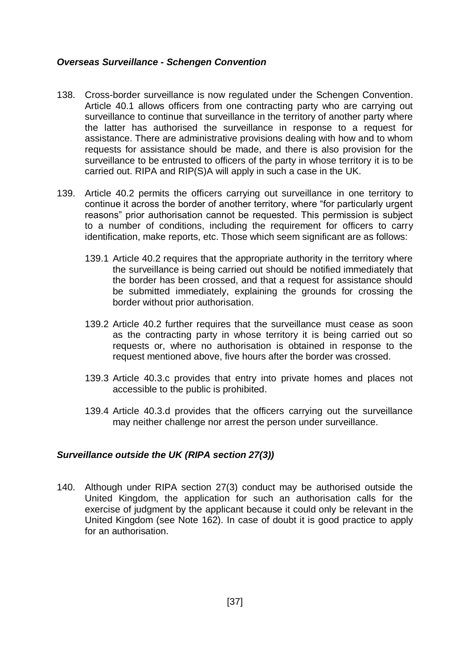#### *Overseas Surveillance - Schengen Convention*

- 138. Cross-border surveillance is now regulated under the Schengen Convention. Article 40.1 allows officers from one contracting party who are carrying out surveillance to continue that surveillance in the territory of another party where the latter has authorised the surveillance in response to a request for assistance. There are administrative provisions dealing with how and to whom requests for assistance should be made, and there is also provision for the surveillance to be entrusted to officers of the party in whose territory it is to be carried out. RIPA and RIP(S)A will apply in such a case in the UK.
- 139. Article 40.2 permits the officers carrying out surveillance in one territory to continue it across the border of another territory, where "for particularly urgent reasons" prior authorisation cannot be requested. This permission is subject to a number of conditions, including the requirement for officers to carry identification, make reports, etc. Those which seem significant are as follows:
	- 139.1 Article 40.2 requires that the appropriate authority in the territory where the surveillance is being carried out should be notified immediately that the border has been crossed, and that a request for assistance should be submitted immediately, explaining the grounds for crossing the border without prior authorisation.
	- 139.2 Article 40.2 further requires that the surveillance must cease as soon as the contracting party in whose territory it is being carried out so requests or, where no authorisation is obtained in response to the request mentioned above, five hours after the border was crossed.
	- 139.3 Article 40.3.c provides that entry into private homes and places not accessible to the public is prohibited.
	- 139.4 Article 40.3.d provides that the officers carrying out the surveillance may neither challenge nor arrest the person under surveillance.

### *Surveillance outside the UK (RIPA section 27(3))*

140. Although under RIPA section 27(3) conduct may be authorised outside the United Kingdom, the application for such an authorisation calls for the exercise of judgment by the applicant because it could only be relevant in the United Kingdom (see Note 162). In case of doubt it is good practice to apply for an authorisation.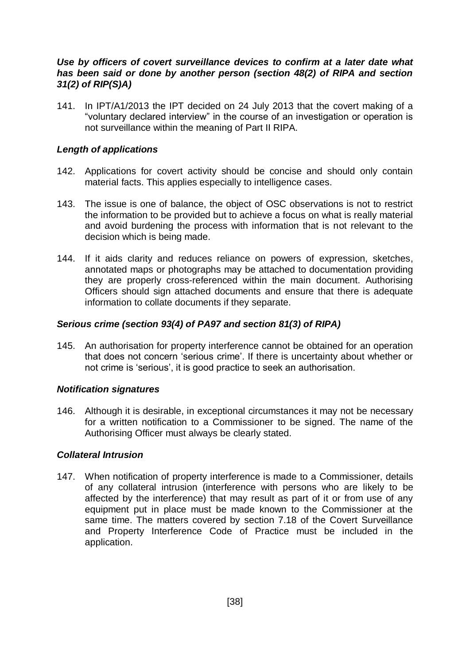### *Use by officers of covert surveillance devices to confirm at a later date what has been said or done by another person (section 48(2) of RIPA and section 31(2) of RIP(S)A)*

141. In IPT/A1/2013 the IPT decided on 24 July 2013 that the covert making of a "voluntary declared interview" in the course of an investigation or operation is not surveillance within the meaning of Part II RIPA.

### *Length of applications*

- 142. Applications for covert activity should be concise and should only contain material facts. This applies especially to intelligence cases.
- 143. The issue is one of balance, the object of OSC observations is not to restrict the information to be provided but to achieve a focus on what is really material and avoid burdening the process with information that is not relevant to the decision which is being made.
- 144. If it aids clarity and reduces reliance on powers of expression, sketches, annotated maps or photographs may be attached to documentation providing they are properly cross-referenced within the main document. Authorising Officers should sign attached documents and ensure that there is adequate information to collate documents if they separate.

### *Serious crime (section 93(4) of PA97 and section 81(3) of RIPA)*

145. An authorisation for property interference cannot be obtained for an operation that does not concern 'serious crime'. If there is uncertainty about whether or not crime is 'serious', it is good practice to seek an authorisation.

### *Notification signatures*

146. Although it is desirable, in exceptional circumstances it may not be necessary for a written notification to a Commissioner to be signed. The name of the Authorising Officer must always be clearly stated.

### *Collateral Intrusion*

147. When notification of property interference is made to a Commissioner, details of any collateral intrusion (interference with persons who are likely to be affected by the interference) that may result as part of it or from use of any equipment put in place must be made known to the Commissioner at the same time. The matters covered by section 7.18 of the Covert Surveillance and Property Interference Code of Practice must be included in the application.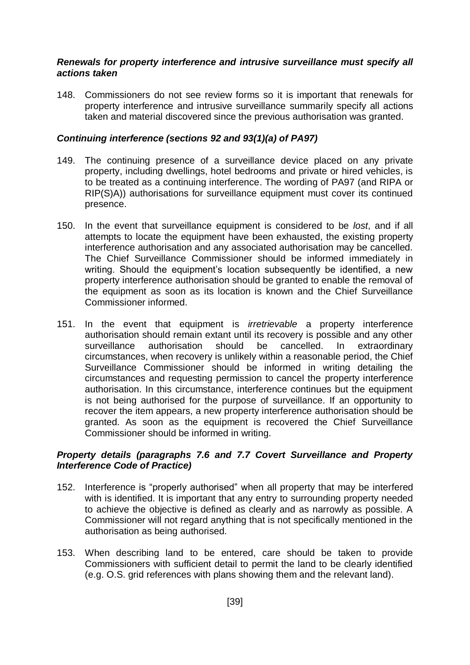#### *Renewals for property interference and intrusive surveillance must specify all actions taken*

148. Commissioners do not see review forms so it is important that renewals for property interference and intrusive surveillance summarily specify all actions taken and material discovered since the previous authorisation was granted.

### *Continuing interference (sections 92 and 93(1)(a) of PA97)*

- 149. The continuing presence of a surveillance device placed on any private property, including dwellings, hotel bedrooms and private or hired vehicles, is to be treated as a continuing interference. The wording of PA97 (and RIPA or RIP(S)A)) authorisations for surveillance equipment must cover its continued presence.
- 150. In the event that surveillance equipment is considered to be *lost*, and if all attempts to locate the equipment have been exhausted, the existing property interference authorisation and any associated authorisation may be cancelled. The Chief Surveillance Commissioner should be informed immediately in writing. Should the equipment's location subsequently be identified, a new property interference authorisation should be granted to enable the removal of the equipment as soon as its location is known and the Chief Surveillance Commissioner informed.
- 151. In the event that equipment is *irretrievable* a property interference authorisation should remain extant until its recovery is possible and any other surveillance authorisation should be cancelled. In extraordinary circumstances, when recovery is unlikely within a reasonable period, the Chief Surveillance Commissioner should be informed in writing detailing the circumstances and requesting permission to cancel the property interference authorisation. In this circumstance, interference continues but the equipment is not being authorised for the purpose of surveillance. If an opportunity to recover the item appears, a new property interference authorisation should be granted. As soon as the equipment is recovered the Chief Surveillance Commissioner should be informed in writing.

### *Property details (paragraphs 7.6 and 7.7 Covert Surveillance and Property Interference Code of Practice)*

- 152. Interference is "properly authorised" when all property that may be interfered with is identified. It is important that any entry to surrounding property needed to achieve the objective is defined as clearly and as narrowly as possible. A Commissioner will not regard anything that is not specifically mentioned in the authorisation as being authorised.
- 153. When describing land to be entered, care should be taken to provide Commissioners with sufficient detail to permit the land to be clearly identified (e.g. O.S. grid references with plans showing them and the relevant land).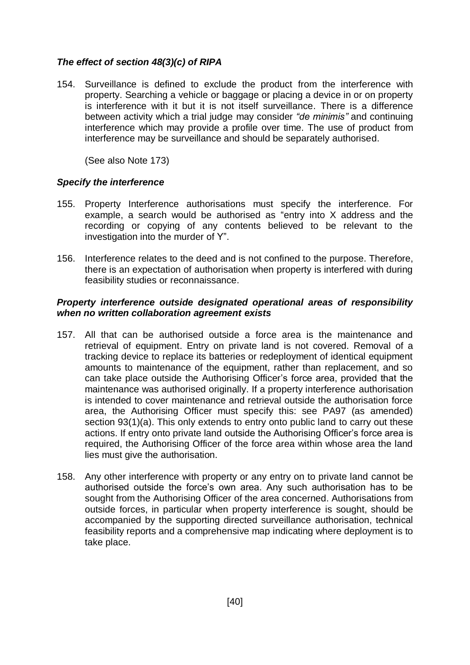# *The effect of section 48(3)(c) of RIPA*

154. Surveillance is defined to exclude the product from the interference with property. Searching a vehicle or baggage or placing a device in or on property is interference with it but it is not itself surveillance. There is a difference between activity which a trial judge may consider *"de minimis"* and continuing interference which may provide a profile over time. The use of product from interference may be surveillance and should be separately authorised.

(See also Note 173)

### *Specify the interference*

- 155. Property Interference authorisations must specify the interference. For example, a search would be authorised as "entry into X address and the recording or copying of any contents believed to be relevant to the investigation into the murder of Y".
- 156. Interference relates to the deed and is not confined to the purpose. Therefore, there is an expectation of authorisation when property is interfered with during feasibility studies or reconnaissance.

#### *Property interference outside designated operational areas of responsibility when no written collaboration agreement exists*

- 157. All that can be authorised outside a force area is the maintenance and retrieval of equipment. Entry on private land is not covered. Removal of a tracking device to replace its batteries or redeployment of identical equipment amounts to maintenance of the equipment, rather than replacement, and so can take place outside the Authorising Officer's force area, provided that the maintenance was authorised originally. If a property interference authorisation is intended to cover maintenance and retrieval outside the authorisation force area, the Authorising Officer must specify this: see PA97 (as amended) section 93(1)(a). This only extends to entry onto public land to carry out these actions. If entry onto private land outside the Authorising Officer's force area is required, the Authorising Officer of the force area within whose area the land lies must give the authorisation.
- 158. Any other interference with property or any entry on to private land cannot be authorised outside the force's own area. Any such authorisation has to be sought from the Authorising Officer of the area concerned. Authorisations from outside forces, in particular when property interference is sought, should be accompanied by the supporting directed surveillance authorisation, technical feasibility reports and a comprehensive map indicating where deployment is to take place.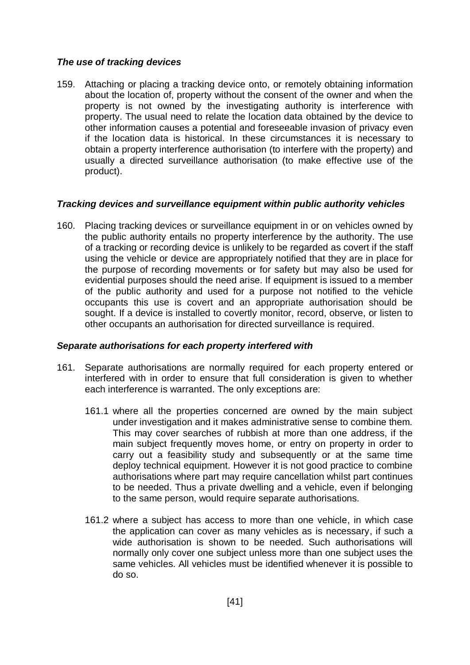## *The use of tracking devices*

159. Attaching or placing a tracking device onto, or remotely obtaining information about the location of, property without the consent of the owner and when the property is not owned by the investigating authority is interference with property. The usual need to relate the location data obtained by the device to other information causes a potential and foreseeable invasion of privacy even if the location data is historical. In these circumstances it is necessary to obtain a property interference authorisation (to interfere with the property) and usually a directed surveillance authorisation (to make effective use of the product).

## *Tracking devices and surveillance equipment within public authority vehicles*

160. Placing tracking devices or surveillance equipment in or on vehicles owned by the public authority entails no property interference by the authority. The use of a tracking or recording device is unlikely to be regarded as covert if the staff using the vehicle or device are appropriately notified that they are in place for the purpose of recording movements or for safety but may also be used for evidential purposes should the need arise. If equipment is issued to a member of the public authority and used for a purpose not notified to the vehicle occupants this use is covert and an appropriate authorisation should be sought. If a device is installed to covertly monitor, record, observe, or listen to other occupants an authorisation for directed surveillance is required.

### *Separate authorisations for each property interfered with*

- 161. Separate authorisations are normally required for each property entered or interfered with in order to ensure that full consideration is given to whether each interference is warranted. The only exceptions are:
	- 161.1 where all the properties concerned are owned by the main subject under investigation and it makes administrative sense to combine them. This may cover searches of rubbish at more than one address, if the main subject frequently moves home, or entry on property in order to carry out a feasibility study and subsequently or at the same time deploy technical equipment. However it is not good practice to combine authorisations where part may require cancellation whilst part continues to be needed. Thus a private dwelling and a vehicle, even if belonging to the same person, would require separate authorisations.
	- 161.2 where a subject has access to more than one vehicle, in which case the application can cover as many vehicles as is necessary, if such a wide authorisation is shown to be needed. Such authorisations will normally only cover one subject unless more than one subject uses the same vehicles. All vehicles must be identified whenever it is possible to do so.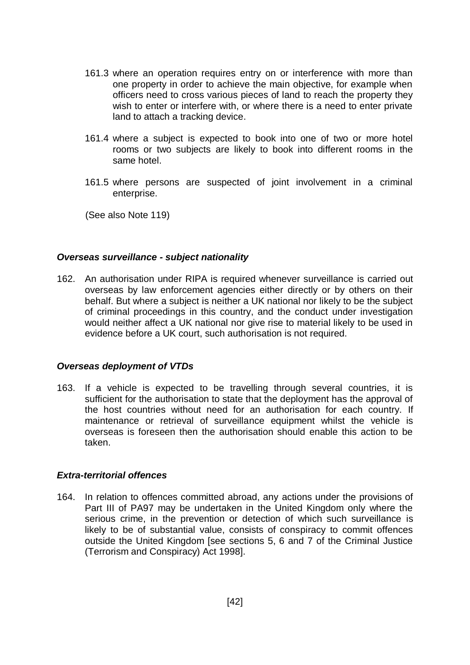- 161.3 where an operation requires entry on or interference with more than one property in order to achieve the main objective, for example when officers need to cross various pieces of land to reach the property they wish to enter or interfere with, or where there is a need to enter private land to attach a tracking device.
- 161.4 where a subject is expected to book into one of two or more hotel rooms or two subjects are likely to book into different rooms in the same hotel.
- 161.5 where persons are suspected of joint involvement in a criminal enterprise.

(See also Note [119\)](#page-32-0)

#### *Overseas surveillance - subject nationality*

162. An authorisation under RIPA is required whenever surveillance is carried out overseas by law enforcement agencies either directly or by others on their behalf. But where a subject is neither a UK national nor likely to be the subject of criminal proceedings in this country, and the conduct under investigation would neither affect a UK national nor give rise to material likely to be used in evidence before a UK court, such authorisation is not required.

### *Overseas deployment of VTDs*

163. If a vehicle is expected to be travelling through several countries, it is sufficient for the authorisation to state that the deployment has the approval of the host countries without need for an authorisation for each country. If maintenance or retrieval of surveillance equipment whilst the vehicle is overseas is foreseen then the authorisation should enable this action to be taken.

### *Extra-territorial offences*

164. In relation to offences committed abroad, any actions under the provisions of Part III of PA97 may be undertaken in the United Kingdom only where the serious crime, in the prevention or detection of which such surveillance is likely to be of substantial value, consists of conspiracy to commit offences outside the United Kingdom [see sections 5, 6 and 7 of the Criminal Justice (Terrorism and Conspiracy) Act 1998].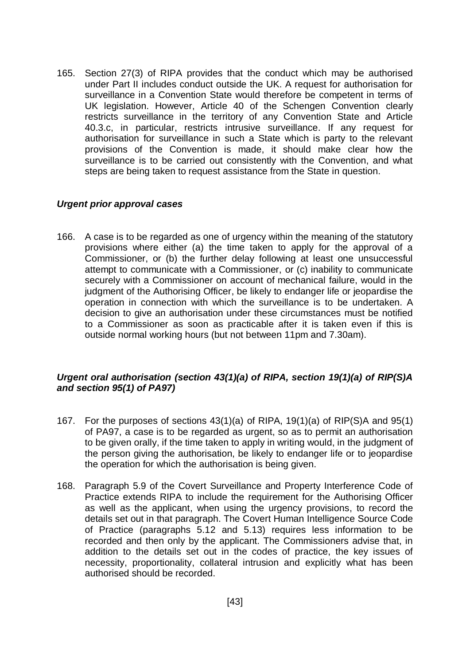165. Section 27(3) of RIPA provides that the conduct which may be authorised under Part II includes conduct outside the UK. A request for authorisation for surveillance in a Convention State would therefore be competent in terms of UK legislation. However, Article 40 of the Schengen Convention clearly restricts surveillance in the territory of any Convention State and Article 40.3.c, in particular, restricts intrusive surveillance. If any request for authorisation for surveillance in such a State which is party to the relevant provisions of the Convention is made, it should make clear how the surveillance is to be carried out consistently with the Convention, and what steps are being taken to request assistance from the State in question.

### *Urgent prior approval cases*

166. A case is to be regarded as one of urgency within the meaning of the statutory provisions where either (a) the time taken to apply for the approval of a Commissioner, or (b) the further delay following at least one unsuccessful attempt to communicate with a Commissioner, or (c) inability to communicate securely with a Commissioner on account of mechanical failure, would in the judgment of the Authorising Officer, be likely to endanger life or jeopardise the operation in connection with which the surveillance is to be undertaken. A decision to give an authorisation under these circumstances must be notified to a Commissioner as soon as practicable after it is taken even if this is outside normal working hours (but not between 11pm and 7.30am).

## *Urgent oral authorisation (section 43(1)(a) of RIPA, section 19(1)(a) of RIP(S)A and section 95(1) of PA97)*

- 167. For the purposes of sections 43(1)(a) of RIPA, 19(1)(a) of RIP(S)A and 95(1) of PA97, a case is to be regarded as urgent, so as to permit an authorisation to be given orally, if the time taken to apply in writing would, in the judgment of the person giving the authorisation, be likely to endanger life or to jeopardise the operation for which the authorisation is being given.
- 168. Paragraph 5.9 of the Covert Surveillance and Property Interference Code of Practice extends RIPA to include the requirement for the Authorising Officer as well as the applicant, when using the urgency provisions, to record the details set out in that paragraph. The Covert Human Intelligence Source Code of Practice (paragraphs 5.12 and 5.13) requires less information to be recorded and then only by the applicant. The Commissioners advise that, in addition to the details set out in the codes of practice, the key issues of necessity, proportionality, collateral intrusion and explicitly what has been authorised should be recorded.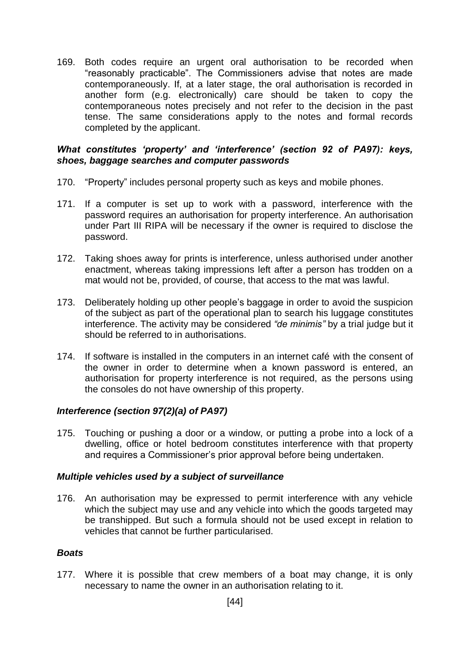169. Both codes require an urgent oral authorisation to be recorded when "reasonably practicable". The Commissioners advise that notes are made contemporaneously. If, at a later stage, the oral authorisation is recorded in another form (e.g. electronically) care should be taken to copy the contemporaneous notes precisely and not refer to the decision in the past tense. The same considerations apply to the notes and formal records completed by the applicant.

### *What constitutes 'property' and 'interference' (section 92 of PA97): keys, shoes, baggage searches and computer passwords*

- 170. "Property" includes personal property such as keys and mobile phones.
- 171. If a computer is set up to work with a password, interference with the password requires an authorisation for property interference. An authorisation under Part III RIPA will be necessary if the owner is required to disclose the password.
- 172. Taking shoes away for prints is interference, unless authorised under another enactment, whereas taking impressions left after a person has trodden on a mat would not be, provided, of course, that access to the mat was lawful.
- 173. Deliberately holding up other people's baggage in order to avoid the suspicion of the subject as part of the operational plan to search his luggage constitutes interference. The activity may be considered *"de minimis"* by a trial judge but it should be referred to in authorisations.
- 174. If software is installed in the computers in an internet café with the consent of the owner in order to determine when a known password is entered, an authorisation for property interference is not required, as the persons using the consoles do not have ownership of this property.

# *Interference (section 97(2)(a) of PA97)*

175. Touching or pushing a door or a window, or putting a probe into a lock of a dwelling, office or hotel bedroom constitutes interference with that property and requires a Commissioner's prior approval before being undertaken.

### *Multiple vehicles used by a subject of surveillance*

176. An authorisation may be expressed to permit interference with any vehicle which the subject may use and any vehicle into which the goods targeted may be transhipped. But such a formula should not be used except in relation to vehicles that cannot be further particularised.

### *Boats*

177. Where it is possible that crew members of a boat may change, it is only necessary to name the owner in an authorisation relating to it.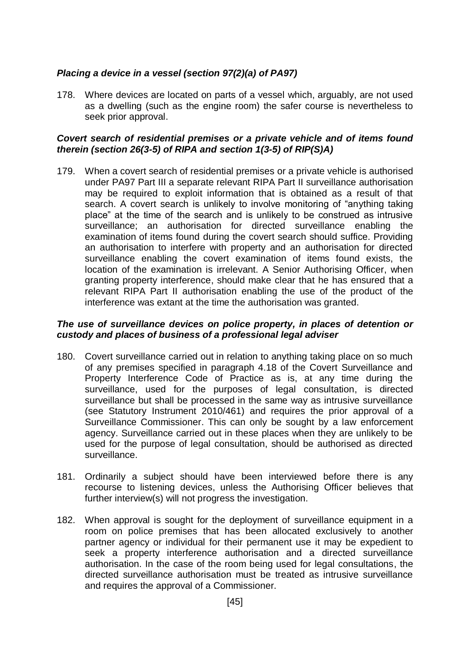# *Placing a device in a vessel (section 97(2)(a) of PA97)*

178. Where devices are located on parts of a vessel which, arguably, are not used as a dwelling (such as the engine room) the safer course is nevertheless to seek prior approval.

### *Covert search of residential premises or a private vehicle and of items found therein (section 26(3-5) of RIPA and section 1(3-5) of RIP(S)A)*

179. When a covert search of residential premises or a private vehicle is authorised under PA97 Part III a separate relevant RIPA Part II surveillance authorisation may be required to exploit information that is obtained as a result of that search. A covert search is unlikely to involve monitoring of "anything taking place" at the time of the search and is unlikely to be construed as intrusive surveillance; an authorisation for directed surveillance enabling the examination of items found during the covert search should suffice. Providing an authorisation to interfere with property and an authorisation for directed surveillance enabling the covert examination of items found exists, the location of the examination is irrelevant. A Senior Authorising Officer, when granting property interference, should make clear that he has ensured that a relevant RIPA Part II authorisation enabling the use of the product of the interference was extant at the time the authorisation was granted.

#### *The use of surveillance devices on police property, in places of detention or custody and places of business of a professional legal adviser*

- 180. Covert surveillance carried out in relation to anything taking place on so much of any premises specified in paragraph 4.18 of the Covert Surveillance and Property Interference Code of Practice as is, at any time during the surveillance, used for the purposes of legal consultation, is directed surveillance but shall be processed in the same way as intrusive surveillance (see Statutory Instrument 2010/461) and requires the prior approval of a Surveillance Commissioner. This can only be sought by a law enforcement agency. Surveillance carried out in these places when they are unlikely to be used for the purpose of legal consultation, should be authorised as directed surveillance.
- 181. Ordinarily a subject should have been interviewed before there is any recourse to listening devices, unless the Authorising Officer believes that further interview(s) will not progress the investigation.
- 182. When approval is sought for the deployment of surveillance equipment in a room on police premises that has been allocated exclusively to another partner agency or individual for their permanent use it may be expedient to seek a property interference authorisation and a directed surveillance authorisation. In the case of the room being used for legal consultations, the directed surveillance authorisation must be treated as intrusive surveillance and requires the approval of a Commissioner.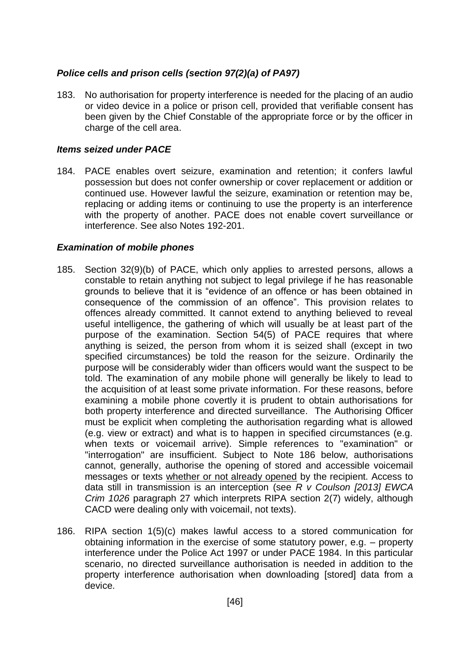## *Police cells and prison cells (section 97(2)(a) of PA97)*

183. No authorisation for property interference is needed for the placing of an audio or video device in a police or prison cell, provided that verifiable consent has been given by the Chief Constable of the appropriate force or by the officer in charge of the cell area.

### *Items seized under PACE*

184. PACE enables overt seizure, examination and retention; it confers lawful possession but does not confer ownership or cover replacement or addition or continued use. However lawful the seizure, examination or retention may be, replacing or adding items or continuing to use the property is an interference with the property of another. PACE does not enable covert surveillance or interference. See also Notes 192-201.

### *Examination of mobile phones*

- 185. Section 32(9)(b) of PACE, which only applies to arrested persons, allows a constable to retain anything not subject to legal privilege if he has reasonable grounds to believe that it is "evidence of an offence or has been obtained in consequence of the commission of an offence". This provision relates to offences already committed. It cannot extend to anything believed to reveal useful intelligence, the gathering of which will usually be at least part of the purpose of the examination. Section 54(5) of PACE requires that where anything is seized, the person from whom it is seized shall (except in two specified circumstances) be told the reason for the seizure. Ordinarily the purpose will be considerably wider than officers would want the suspect to be told. The examination of any mobile phone will generally be likely to lead to the acquisition of at least some private information. For these reasons, before examining a mobile phone covertly it is prudent to obtain authorisations for both property interference and directed surveillance. The Authorising Officer must be explicit when completing the authorisation regarding what is allowed (e.g. view or extract) and what is to happen in specified circumstances (e.g. when texts or voicemail arrive). Simple references to "examination" or "interrogation" are insufficient. Subject to Note 186 below, authorisations cannot, generally, authorise the opening of stored and accessible voicemail messages or texts whether or not already opened by the recipient. Access to data still in transmission is an interception (see *R v Coulson [2013] EWCA Crim 1026* paragraph 27 which interprets RIPA section 2(7) widely, although CACD were dealing only with voicemail, not texts).
- 186. RIPA section 1(5)(c) makes lawful access to a stored communication for obtaining information in the exercise of some statutory power, e.g. – property interference under the Police Act 1997 or under PACE 1984. In this particular scenario, no directed surveillance authorisation is needed in addition to the property interference authorisation when downloading [stored] data from a device.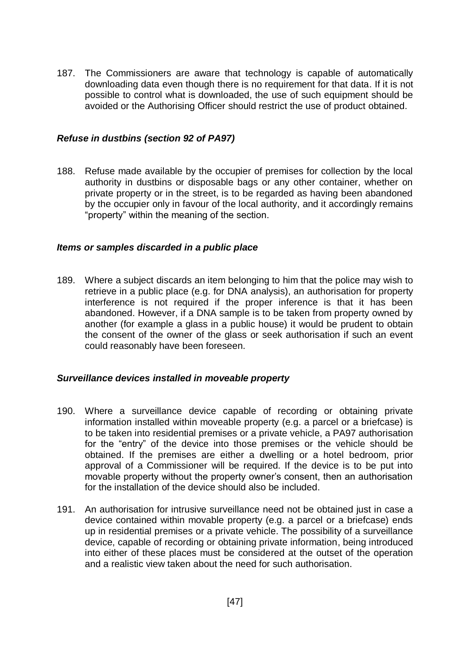187. The Commissioners are aware that technology is capable of automatically downloading data even though there is no requirement for that data. If it is not possible to control what is downloaded, the use of such equipment should be avoided or the Authorising Officer should restrict the use of product obtained.

#### *Refuse in dustbins (section 92 of PA97)*

188. Refuse made available by the occupier of premises for collection by the local authority in dustbins or disposable bags or any other container, whether on private property or in the street, is to be regarded as having been abandoned by the occupier only in favour of the local authority, and it accordingly remains "property" within the meaning of the section.

#### *Items or samples discarded in a public place*

189. Where a subject discards an item belonging to him that the police may wish to retrieve in a public place (e.g. for DNA analysis), an authorisation for property interference is not required if the proper inference is that it has been abandoned. However, if a DNA sample is to be taken from property owned by another (for example a glass in a public house) it would be prudent to obtain the consent of the owner of the glass or seek authorisation if such an event could reasonably have been foreseen.

### *Surveillance devices installed in moveable property*

- 190. Where a surveillance device capable of recording or obtaining private information installed within moveable property (e.g. a parcel or a briefcase) is to be taken into residential premises or a private vehicle, a PA97 authorisation for the "entry" of the device into those premises or the vehicle should be obtained. If the premises are either a dwelling or a hotel bedroom, prior approval of a Commissioner will be required. If the device is to be put into movable property without the property owner's consent, then an authorisation for the installation of the device should also be included.
- 191. An authorisation for intrusive surveillance need not be obtained just in case a device contained within movable property (e.g. a parcel or a briefcase) ends up in residential premises or a private vehicle. The possibility of a surveillance device, capable of recording or obtaining private information, being introduced into either of these places must be considered at the outset of the operation and a realistic view taken about the need for such authorisation.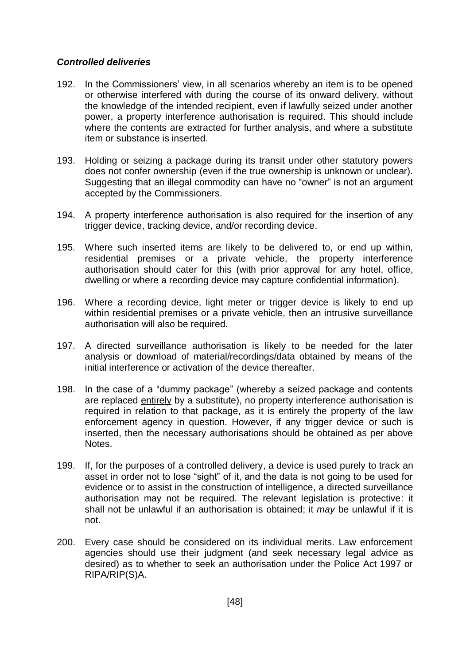### *Controlled deliveries*

- 192. In the Commissioners' view, in all scenarios whereby an item is to be opened or otherwise interfered with during the course of its onward delivery, without the knowledge of the intended recipient, even if lawfully seized under another power, a property interference authorisation is required. This should include where the contents are extracted for further analysis, and where a substitute item or substance is inserted.
- 193. Holding or seizing a package during its transit under other statutory powers does not confer ownership (even if the true ownership is unknown or unclear). Suggesting that an illegal commodity can have no "owner" is not an argument accepted by the Commissioners.
- 194. A property interference authorisation is also required for the insertion of any trigger device, tracking device, and/or recording device.
- 195. Where such inserted items are likely to be delivered to, or end up within, residential premises or a private vehicle, the property interference authorisation should cater for this (with prior approval for any hotel, office, dwelling or where a recording device may capture confidential information).
- 196. Where a recording device, light meter or trigger device is likely to end up within residential premises or a private vehicle, then an intrusive surveillance authorisation will also be required.
- 197. A directed surveillance authorisation is likely to be needed for the later analysis or download of material/recordings/data obtained by means of the initial interference or activation of the device thereafter.
- 198. In the case of a "dummy package" (whereby a seized package and contents are replaced entirely by a substitute), no property interference authorisation is required in relation to that package, as it is entirely the property of the law enforcement agency in question. However, if any trigger device or such is inserted, then the necessary authorisations should be obtained as per above Notes.
- 199. If, for the purposes of a controlled delivery, a device is used purely to track an asset in order not to lose "sight" of it, and the data is not going to be used for evidence or to assist in the construction of intelligence, a directed surveillance authorisation may not be required. The relevant legislation is protective: it shall not be unlawful if an authorisation is obtained; it *may* be unlawful if it is not.
- 200. Every case should be considered on its individual merits. Law enforcement agencies should use their judgment (and seek necessary legal advice as desired) as to whether to seek an authorisation under the Police Act 1997 or RIPA/RIP(S)A.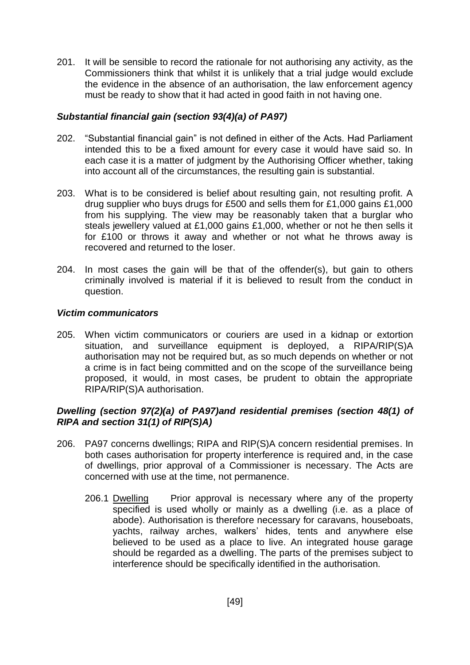201. It will be sensible to record the rationale for not authorising any activity, as the Commissioners think that whilst it is unlikely that a trial judge would exclude the evidence in the absence of an authorisation, the law enforcement agency must be ready to show that it had acted in good faith in not having one.

## *Substantial financial gain (section 93(4)(a) of PA97)*

- 202. "Substantial financial gain" is not defined in either of the Acts. Had Parliament intended this to be a fixed amount for every case it would have said so. In each case it is a matter of judgment by the Authorising Officer whether, taking into account all of the circumstances, the resulting gain is substantial.
- 203. What is to be considered is belief about resulting gain, not resulting profit. A drug supplier who buys drugs for £500 and sells them for £1,000 gains £1,000 from his supplying. The view may be reasonably taken that a burglar who steals jewellery valued at £1,000 gains £1,000, whether or not he then sells it for £100 or throws it away and whether or not what he throws away is recovered and returned to the loser.
- 204. In most cases the gain will be that of the offender(s), but gain to others criminally involved is material if it is believed to result from the conduct in question.

### *Victim communicators*

205. When victim communicators or couriers are used in a kidnap or extortion situation, and surveillance equipment is deployed, a RIPA/RIP(S)A authorisation may not be required but, as so much depends on whether or not a crime is in fact being committed and on the scope of the surveillance being proposed, it would, in most cases, be prudent to obtain the appropriate RIPA/RIP(S)A authorisation.

## *Dwelling (section 97(2)(a) of PA97)and residential premises (section 48(1) of RIPA and section 31(1) of RIP(S)A)*

- 206. PA97 concerns dwellings; RIPA and RIP(S)A concern residential premises. In both cases authorisation for property interference is required and, in the case of dwellings, prior approval of a Commissioner is necessary. The Acts are concerned with use at the time, not permanence.
	- 206.1 Dwelling Prior approval is necessary where any of the property specified is used wholly or mainly as a dwelling (i.e. as a place of abode). Authorisation is therefore necessary for caravans, houseboats, yachts, railway arches, walkers' hides, tents and anywhere else believed to be used as a place to live. An integrated house garage should be regarded as a dwelling. The parts of the premises subject to interference should be specifically identified in the authorisation.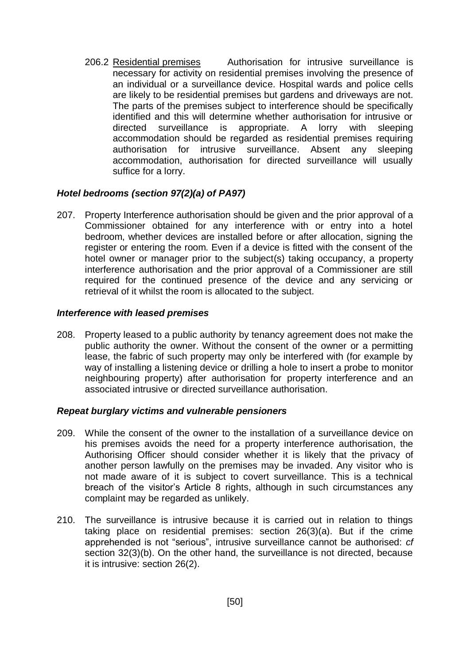206.2 Residential premises Authorisation for intrusive surveillance is necessary for activity on residential premises involving the presence of an individual or a surveillance device. Hospital wards and police cells are likely to be residential premises but gardens and driveways are not. The parts of the premises subject to interference should be specifically identified and this will determine whether authorisation for intrusive or directed surveillance is appropriate. A lorry with sleeping accommodation should be regarded as residential premises requiring authorisation for intrusive surveillance. Absent any sleeping accommodation, authorisation for directed surveillance will usually suffice for a lorry.

### *Hotel bedrooms (section 97(2)(a) of PA97)*

207. Property Interference authorisation should be given and the prior approval of a Commissioner obtained for any interference with or entry into a hotel bedroom, whether devices are installed before or after allocation, signing the register or entering the room. Even if a device is fitted with the consent of the hotel owner or manager prior to the subject(s) taking occupancy, a property interference authorisation and the prior approval of a Commissioner are still required for the continued presence of the device and any servicing or retrieval of it whilst the room is allocated to the subject.

#### *Interference with leased premises*

208. Property leased to a public authority by tenancy agreement does not make the public authority the owner. Without the consent of the owner or a permitting lease, the fabric of such property may only be interfered with (for example by way of installing a listening device or drilling a hole to insert a probe to monitor neighbouring property) after authorisation for property interference and an associated intrusive or directed surveillance authorisation.

### *Repeat burglary victims and vulnerable pensioners*

- 209. While the consent of the owner to the installation of a surveillance device on his premises avoids the need for a property interference authorisation, the Authorising Officer should consider whether it is likely that the privacy of another person lawfully on the premises may be invaded. Any visitor who is not made aware of it is subject to covert surveillance. This is a technical breach of the visitor's Article 8 rights, although in such circumstances any complaint may be regarded as unlikely.
- 210. The surveillance is intrusive because it is carried out in relation to things taking place on residential premises: section 26(3)(a). But if the crime apprehended is not "serious", intrusive surveillance cannot be authorised: *cf* section 32(3)(b). On the other hand, the surveillance is not directed, because it is intrusive: section 26(2).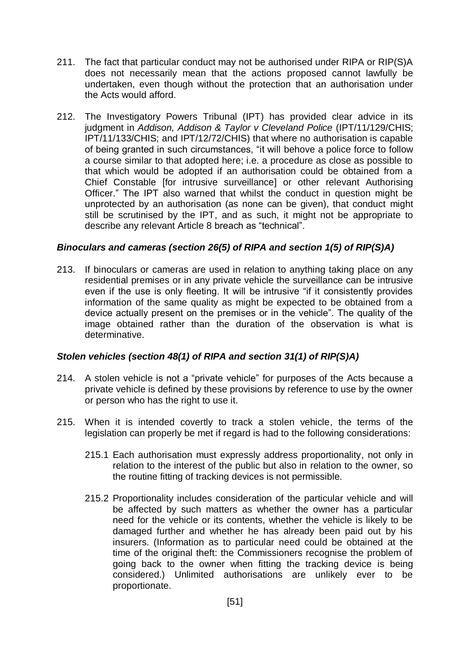- 211. The fact that particular conduct may not be authorised under RIPA or RIP(S)A does not necessarily mean that the actions proposed cannot lawfully be undertaken, even though without the protection that an authorisation under the Acts would afford.
- 212. The Investigatory Powers Tribunal (IPT) has provided clear advice in its judgment in *Addison, Addison & Taylor v Cleveland Police* (IPT/11/129/CHIS; IPT/11/133/CHIS; and IPT/12/72/CHIS) that where no authorisation is capable of being granted in such circumstances, "it will behove a police force to follow a course similar to that adopted here; i.e. a procedure as close as possible to that which would be adopted if an authorisation could be obtained from a Chief Constable [for intrusive surveillance] or other relevant Authorising Officer." The IPT also warned that whilst the conduct in question might be unprotected by an authorisation (as none can be given), that conduct might still be scrutinised by the IPT, and as such, it might not be appropriate to describe any relevant Article 8 breach as "technical".

## *Binoculars and cameras (section 26(5) of RIPA and section 1(5) of RIP(S)A)*

213. If binoculars or cameras are used in relation to anything taking place on any residential premises or in any private vehicle the surveillance can be intrusive even if the use is only fleeting. It will be intrusive "if it consistently provides information of the same quality as might be expected to be obtained from a device actually present on the premises or in the vehicle". The quality of the image obtained rather than the duration of the observation is what is determinative.

# *Stolen vehicles (section 48(1) of RIPA and section 31(1) of RIP(S)A)*

- 214. A stolen vehicle is not a "private vehicle" for purposes of the Acts because a private vehicle is defined by these provisions by reference to use by the owner or person who has the right to use it.
- 215. When it is intended covertly to track a stolen vehicle, the terms of the legislation can properly be met if regard is had to the following considerations:
	- 215.1 Each authorisation must expressly address proportionality, not only in relation to the interest of the public but also in relation to the owner, so the routine fitting of tracking devices is not permissible.
	- 215.2 Proportionality includes consideration of the particular vehicle and will be affected by such matters as whether the owner has a particular need for the vehicle or its contents, whether the vehicle is likely to be damaged further and whether he has already been paid out by his insurers. (Information as to particular need could be obtained at the time of the original theft: the Commissioners recognise the problem of going back to the owner when fitting the tracking device is being considered.) Unlimited authorisations are unlikely ever to be proportionate.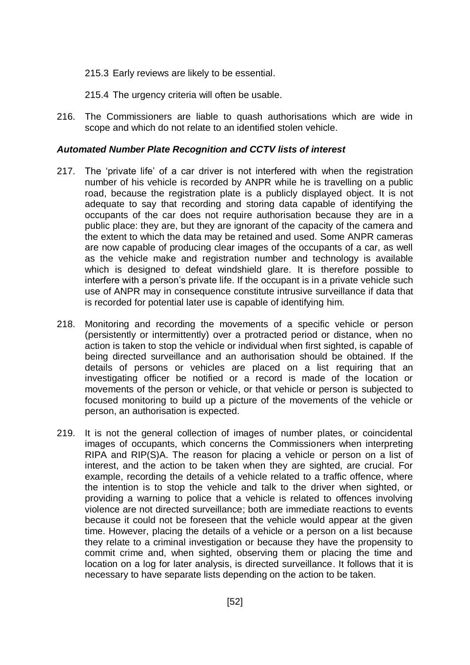- 215.3 Early reviews are likely to be essential.
- 215.4 The urgency criteria will often be usable.
- 216. The Commissioners are liable to quash authorisations which are wide in scope and which do not relate to an identified stolen vehicle.

#### *Automated Number Plate Recognition and CCTV lists of interest*

- 217. The 'private life' of a car driver is not interfered with when the registration number of his vehicle is recorded by ANPR while he is travelling on a public road, because the registration plate is a publicly displayed object. It is not adequate to say that recording and storing data capable of identifying the occupants of the car does not require authorisation because they are in a public place: they are, but they are ignorant of the capacity of the camera and the extent to which the data may be retained and used. Some ANPR cameras are now capable of producing clear images of the occupants of a car, as well as the vehicle make and registration number and technology is available which is designed to defeat windshield glare. It is therefore possible to interfere with a person's private life. If the occupant is in a private vehicle such use of ANPR may in consequence constitute intrusive surveillance if data that is recorded for potential later use is capable of identifying him.
- 218. Monitoring and recording the movements of a specific vehicle or person (persistently or intermittently) over a protracted period or distance, when no action is taken to stop the vehicle or individual when first sighted, is capable of being directed surveillance and an authorisation should be obtained. If the details of persons or vehicles are placed on a list requiring that an investigating officer be notified or a record is made of the location or movements of the person or vehicle, or that vehicle or person is subjected to focused monitoring to build up a picture of the movements of the vehicle or person, an authorisation is expected.
- 219. It is not the general collection of images of number plates, or coincidental images of occupants, which concerns the Commissioners when interpreting RIPA and RIP(S)A. The reason for placing a vehicle or person on a list of interest, and the action to be taken when they are sighted, are crucial. For example, recording the details of a vehicle related to a traffic offence, where the intention is to stop the vehicle and talk to the driver when sighted, or providing a warning to police that a vehicle is related to offences involving violence are not directed surveillance; both are immediate reactions to events because it could not be foreseen that the vehicle would appear at the given time. However, placing the details of a vehicle or a person on a list because they relate to a criminal investigation or because they have the propensity to commit crime and, when sighted, observing them or placing the time and location on a log for later analysis, is directed surveillance. It follows that it is necessary to have separate lists depending on the action to be taken.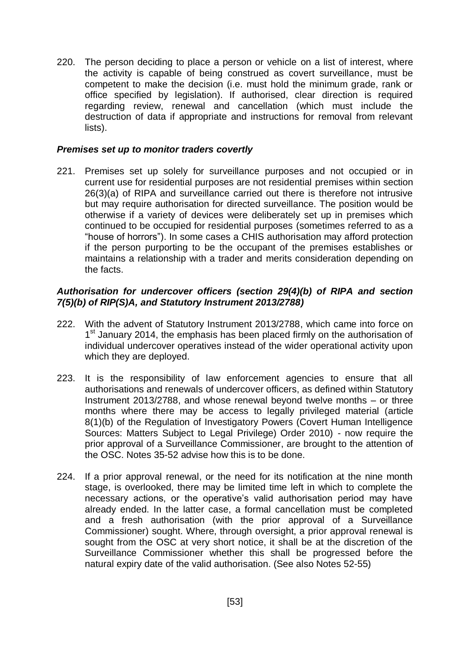220. The person deciding to place a person or vehicle on a list of interest, where the activity is capable of being construed as covert surveillance, must be competent to make the decision (i.e. must hold the minimum grade, rank or office specified by legislation). If authorised, clear direction is required regarding review, renewal and cancellation (which must include the destruction of data if appropriate and instructions for removal from relevant lists).

#### *Premises set up to monitor traders covertly*

221. Premises set up solely for surveillance purposes and not occupied or in current use for residential purposes are not residential premises within section 26(3)(a) of RIPA and surveillance carried out there is therefore not intrusive but may require authorisation for directed surveillance. The position would be otherwise if a variety of devices were deliberately set up in premises which continued to be occupied for residential purposes (sometimes referred to as a "house of horrors"). In some cases a CHIS authorisation may afford protection if the person purporting to be the occupant of the premises establishes or maintains a relationship with a trader and merits consideration depending on the facts.

### *Authorisation for undercover officers (section 29(4)(b) of RIPA and section 7(5)(b) of RIP(S)A, and Statutory Instrument 2013/2788)*

- 222. With the advent of Statutory Instrument 2013/2788, which came into force on 1<sup>st</sup> January 2014, the emphasis has been placed firmly on the authorisation of individual undercover operatives instead of the wider operational activity upon which they are deployed.
- 223. It is the responsibility of law enforcement agencies to ensure that all authorisations and renewals of undercover officers, as defined within Statutory Instrument 2013/2788, and whose renewal beyond twelve months – or three months where there may be access to legally privileged material (article 8(1)(b) of the Regulation of Investigatory Powers (Covert Human Intelligence Sources: Matters Subject to Legal Privilege) Order 2010) - now require the prior approval of a Surveillance Commissioner, are brought to the attention of the OSC. Notes 35-52 advise how this is to be done.
- 224. If a prior approval renewal, or the need for its notification at the nine month stage, is overlooked, there may be limited time left in which to complete the necessary actions, or the operative's valid authorisation period may have already ended. In the latter case, a formal cancellation must be completed and a fresh authorisation (with the prior approval of a Surveillance Commissioner) sought. Where, through oversight, a prior approval renewal is sought from the OSC at very short notice, it shall be at the discretion of the Surveillance Commissioner whether this shall be progressed before the natural expiry date of the valid authorisation. (See also Notes 52-55)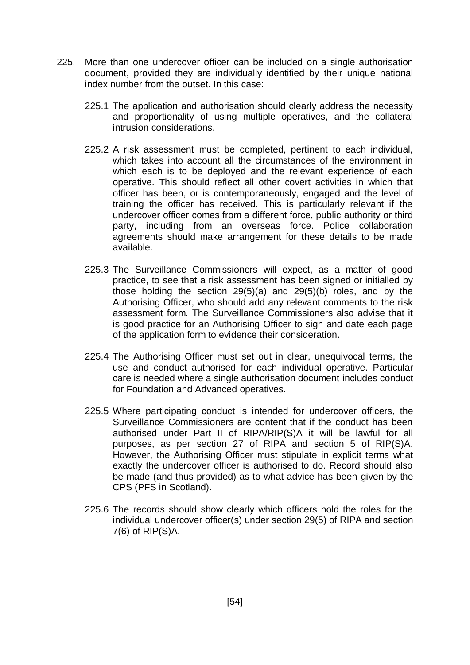- 225. More than one undercover officer can be included on a single authorisation document, provided they are individually identified by their unique national index number from the outset. In this case:
	- 225.1 The application and authorisation should clearly address the necessity and proportionality of using multiple operatives, and the collateral intrusion considerations.
	- 225.2 A risk assessment must be completed, pertinent to each individual, which takes into account all the circumstances of the environment in which each is to be deployed and the relevant experience of each operative. This should reflect all other covert activities in which that officer has been, or is contemporaneously, engaged and the level of training the officer has received. This is particularly relevant if the undercover officer comes from a different force, public authority or third party, including from an overseas force. Police collaboration agreements should make arrangement for these details to be made available.
	- 225.3 The Surveillance Commissioners will expect, as a matter of good practice, to see that a risk assessment has been signed or initialled by those holding the section 29(5)(a) and 29(5)(b) roles, and by the Authorising Officer, who should add any relevant comments to the risk assessment form. The Surveillance Commissioners also advise that it is good practice for an Authorising Officer to sign and date each page of the application form to evidence their consideration.
	- 225.4 The Authorising Officer must set out in clear, unequivocal terms, the use and conduct authorised for each individual operative. Particular care is needed where a single authorisation document includes conduct for Foundation and Advanced operatives.
	- 225.5 Where participating conduct is intended for undercover officers, the Surveillance Commissioners are content that if the conduct has been authorised under Part II of RIPA/RIP(S)A it will be lawful for all purposes, as per section 27 of RIPA and section 5 of RIP(S)A. However, the Authorising Officer must stipulate in explicit terms what exactly the undercover officer is authorised to do. Record should also be made (and thus provided) as to what advice has been given by the CPS (PFS in Scotland).
	- 225.6 The records should show clearly which officers hold the roles for the individual undercover officer(s) under section 29(5) of RIPA and section 7(6) of RIP(S)A.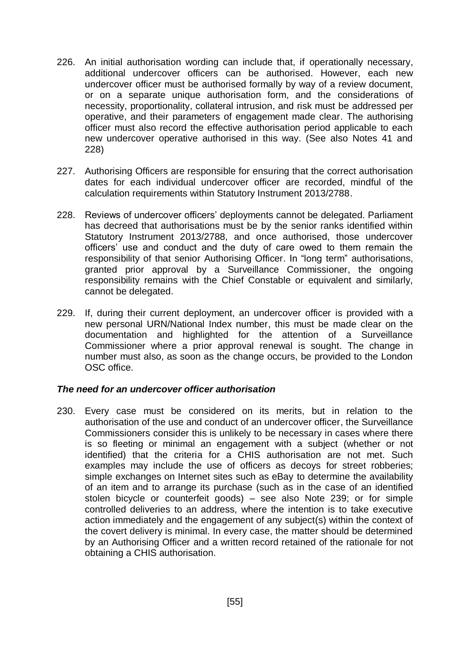- 226. An initial authorisation wording can include that, if operationally necessary, additional undercover officers can be authorised. However, each new undercover officer must be authorised formally by way of a review document, or on a separate unique authorisation form, and the considerations of necessity, proportionality, collateral intrusion, and risk must be addressed per operative, and their parameters of engagement made clear. The authorising officer must also record the effective authorisation period applicable to each new undercover operative authorised in this way. (See also Notes 41 and 228)
- 227. Authorising Officers are responsible for ensuring that the correct authorisation dates for each individual undercover officer are recorded, mindful of the calculation requirements within Statutory Instrument 2013/2788.
- 228. Reviews of undercover officers' deployments cannot be delegated. Parliament has decreed that authorisations must be by the senior ranks identified within Statutory Instrument 2013/2788, and once authorised, those undercover officers' use and conduct and the duty of care owed to them remain the responsibility of that senior Authorising Officer. In "long term" authorisations, granted prior approval by a Surveillance Commissioner, the ongoing responsibility remains with the Chief Constable or equivalent and similarly, cannot be delegated.
- 229. If, during their current deployment, an undercover officer is provided with a new personal URN/National Index number, this must be made clear on the documentation and highlighted for the attention of a Surveillance Commissioner where a prior approval renewal is sought. The change in number must also, as soon as the change occurs, be provided to the London OSC office.

#### *The need for an undercover officer authorisation*

230. Every case must be considered on its merits, but in relation to the authorisation of the use and conduct of an undercover officer, the Surveillance Commissioners consider this is unlikely to be necessary in cases where there is so fleeting or minimal an engagement with a subject (whether or not identified) that the criteria for a CHIS authorisation are not met. Such examples may include the use of officers as decoys for street robberies; simple exchanges on Internet sites such as eBay to determine the availability of an item and to arrange its purchase (such as in the case of an identified stolen bicycle or counterfeit goods) – see also Note 239; or for simple controlled deliveries to an address, where the intention is to take executive action immediately and the engagement of any subject(s) within the context of the covert delivery is minimal. In every case, the matter should be determined by an Authorising Officer and a written record retained of the rationale for not obtaining a CHIS authorisation.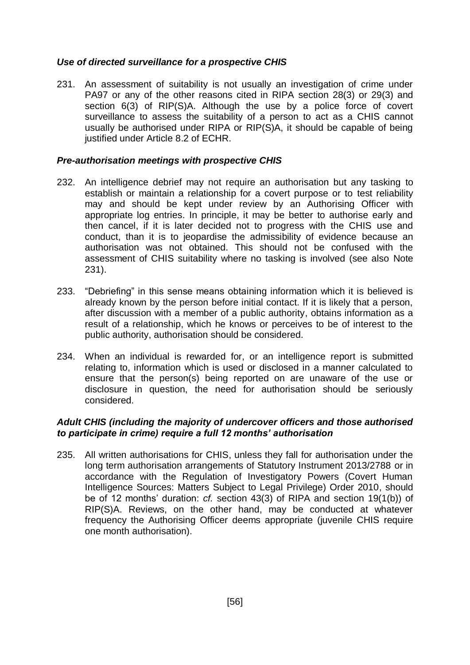## *Use of directed surveillance for a prospective CHIS*

<span id="page-56-0"></span>231. An assessment of suitability is not usually an investigation of crime under PA97 or any of the other reasons cited in RIPA section 28(3) or 29(3) and section 6(3) of RIP(S)A. Although the use by a police force of covert surveillance to assess the suitability of a person to act as a CHIS cannot usually be authorised under RIPA or RIP(S)A, it should be capable of being justified under Article 8.2 of ECHR.

## *Pre-authorisation meetings with prospective CHIS*

- 232. An intelligence debrief may not require an authorisation but any tasking to establish or maintain a relationship for a covert purpose or to test reliability may and should be kept under review by an Authorising Officer with appropriate log entries. In principle, it may be better to authorise early and then cancel, if it is later decided not to progress with the CHIS use and conduct, than it is to jeopardise the admissibility of evidence because an authorisation was not obtained. This should not be confused with the assessment of CHIS suitability where no tasking is involved (see also Note [231\)](#page-56-0).
- 233. "Debriefing" in this sense means obtaining information which it is believed is already known by the person before initial contact. If it is likely that a person, after discussion with a member of a public authority, obtains information as a result of a relationship, which he knows or perceives to be of interest to the public authority, authorisation should be considered.
- 234. When an individual is rewarded for, or an intelligence report is submitted relating to, information which is used or disclosed in a manner calculated to ensure that the person(s) being reported on are unaware of the use or disclosure in question, the need for authorisation should be seriously considered.

## *Adult CHIS (including the majority of undercover officers and those authorised to participate in crime) require a full 12 months' authorisation*

235. All written authorisations for CHIS, unless they fall for authorisation under the long term authorisation arrangements of Statutory Instrument 2013/2788 or in accordance with the Regulation of Investigatory Powers (Covert Human Intelligence Sources: Matters Subject to Legal Privilege) Order 2010, should be of 12 months' duration: *cf.* section 43(3) of RIPA and section 19(1(b)) of RIP(S)A. Reviews, on the other hand, may be conducted at whatever frequency the Authorising Officer deems appropriate (juvenile CHIS require one month authorisation).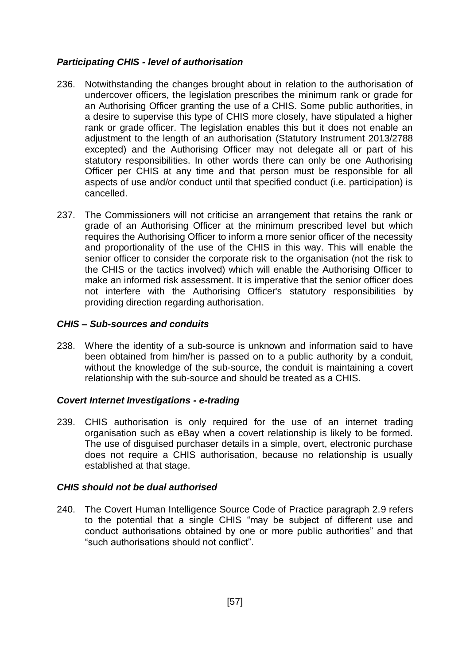## *Participating CHIS - level of authorisation*

- 236. Notwithstanding the changes brought about in relation to the authorisation of undercover officers, the legislation prescribes the minimum rank or grade for an Authorising Officer granting the use of a CHIS. Some public authorities, in a desire to supervise this type of CHIS more closely, have stipulated a higher rank or grade officer. The legislation enables this but it does not enable an adjustment to the length of an authorisation (Statutory Instrument 2013/2788 excepted) and the Authorising Officer may not delegate all or part of his statutory responsibilities. In other words there can only be one Authorising Officer per CHIS at any time and that person must be responsible for all aspects of use and/or conduct until that specified conduct (i.e. participation) is cancelled.
- 237. The Commissioners will not criticise an arrangement that retains the rank or grade of an Authorising Officer at the minimum prescribed level but which requires the Authorising Officer to inform a more senior officer of the necessity and proportionality of the use of the CHIS in this way. This will enable the senior officer to consider the corporate risk to the organisation (not the risk to the CHIS or the tactics involved) which will enable the Authorising Officer to make an informed risk assessment. It is imperative that the senior officer does not interfere with the Authorising Officer's statutory responsibilities by providing direction regarding authorisation.

### *CHIS – Sub-sources and conduits*

238. Where the identity of a sub-source is unknown and information said to have been obtained from him/her is passed on to a public authority by a conduit, without the knowledge of the sub-source, the conduit is maintaining a covert relationship with the sub-source and should be treated as a CHIS.

### *Covert Internet Investigations - e-trading*

239. CHIS authorisation is only required for the use of an internet trading organisation such as eBay when a covert relationship is likely to be formed. The use of disguised purchaser details in a simple, overt, electronic purchase does not require a CHIS authorisation, because no relationship is usually established at that stage.

### *CHIS should not be dual authorised*

240. The Covert Human Intelligence Source Code of Practice paragraph 2.9 refers to the potential that a single CHIS "may be subject of different use and conduct authorisations obtained by one or more public authorities" and that "such authorisations should not conflict".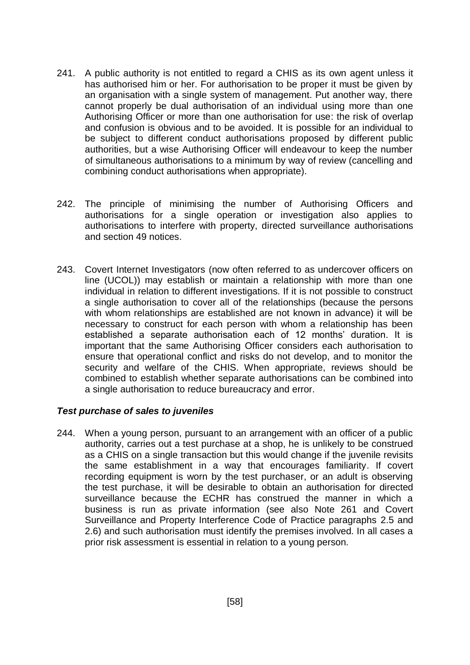- 241. A public authority is not entitled to regard a CHIS as its own agent unless it has authorised him or her. For authorisation to be proper it must be given by an organisation with a single system of management. Put another way, there cannot properly be dual authorisation of an individual using more than one Authorising Officer or more than one authorisation for use: the risk of overlap and confusion is obvious and to be avoided. It is possible for an individual to be subject to different conduct authorisations proposed by different public authorities, but a wise Authorising Officer will endeavour to keep the number of simultaneous authorisations to a minimum by way of review (cancelling and combining conduct authorisations when appropriate).
- 242. The principle of minimising the number of Authorising Officers and authorisations for a single operation or investigation also applies to authorisations to interfere with property, directed surveillance authorisations and section 49 notices.
- 243. Covert Internet Investigators (now often referred to as undercover officers on line (UCOL)) may establish or maintain a relationship with more than one individual in relation to different investigations. If it is not possible to construct a single authorisation to cover all of the relationships (because the persons with whom relationships are established are not known in advance) it will be necessary to construct for each person with whom a relationship has been established a separate authorisation each of 12 months' duration. It is important that the same Authorising Officer considers each authorisation to ensure that operational conflict and risks do not develop, and to monitor the security and welfare of the CHIS. When appropriate, reviews should be combined to establish whether separate authorisations can be combined into a single authorisation to reduce bureaucracy and error.

### *Test purchase of sales to juveniles*

244. When a young person, pursuant to an arrangement with an officer of a public authority, carries out a test purchase at a shop, he is unlikely to be construed as a CHIS on a single transaction but this would change if the juvenile revisits the same establishment in a way that encourages familiarity. If covert recording equipment is worn by the test purchaser, or an adult is observing the test purchase, it will be desirable to obtain an authorisation for directed surveillance because the ECHR has construed the manner in which a business is run as private information (see also Note 261 and Covert Surveillance and Property Interference Code of Practice paragraphs 2.5 and 2.6) and such authorisation must identify the premises involved. In all cases a prior risk assessment is essential in relation to a young person.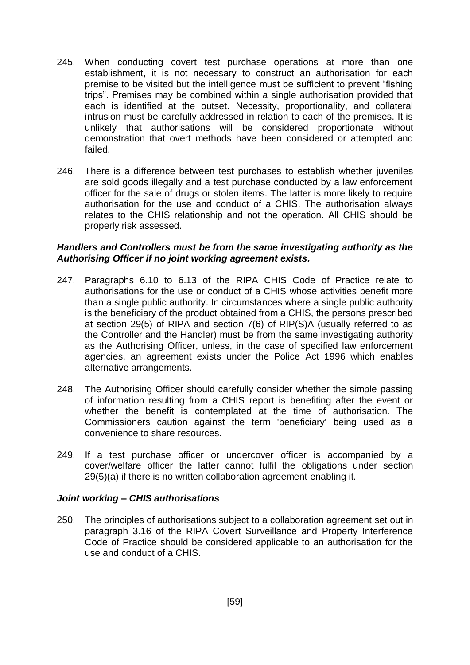- 245. When conducting covert test purchase operations at more than one establishment, it is not necessary to construct an authorisation for each premise to be visited but the intelligence must be sufficient to prevent "fishing trips". Premises may be combined within a single authorisation provided that each is identified at the outset. Necessity, proportionality, and collateral intrusion must be carefully addressed in relation to each of the premises. It is unlikely that authorisations will be considered proportionate without demonstration that overt methods have been considered or attempted and failed.
- 246. There is a difference between test purchases to establish whether juveniles are sold goods illegally and a test purchase conducted by a law enforcement officer for the sale of drugs or stolen items. The latter is more likely to require authorisation for the use and conduct of a CHIS. The authorisation always relates to the CHIS relationship and not the operation. All CHIS should be properly risk assessed.

#### *Handlers and Controllers must be from the same investigating authority as the Authorising Officer if no joint working agreement exists.*

- 247. Paragraphs 6.10 to 6.13 of the RIPA CHIS Code of Practice relate to authorisations for the use or conduct of a CHIS whose activities benefit more than a single public authority. In circumstances where a single public authority is the beneficiary of the product obtained from a CHIS, the persons prescribed at section 29(5) of RIPA and section 7(6) of RIP(S)A (usually referred to as the Controller and the Handler) must be from the same investigating authority as the Authorising Officer, unless, in the case of specified law enforcement agencies, an agreement exists under the Police Act 1996 which enables alternative arrangements.
- 248. The Authorising Officer should carefully consider whether the simple passing of information resulting from a CHIS report is benefiting after the event or whether the benefit is contemplated at the time of authorisation. The Commissioners caution against the term 'beneficiary' being used as a convenience to share resources.
- 249. If a test purchase officer or undercover officer is accompanied by a cover/welfare officer the latter cannot fulfil the obligations under section 29(5)(a) if there is no written collaboration agreement enabling it.

#### *Joint working – CHIS authorisations*

250. The principles of authorisations subject to a collaboration agreement set out in paragraph 3.16 of the RIPA Covert Surveillance and Property Interference Code of Practice should be considered applicable to an authorisation for the use and conduct of a CHIS.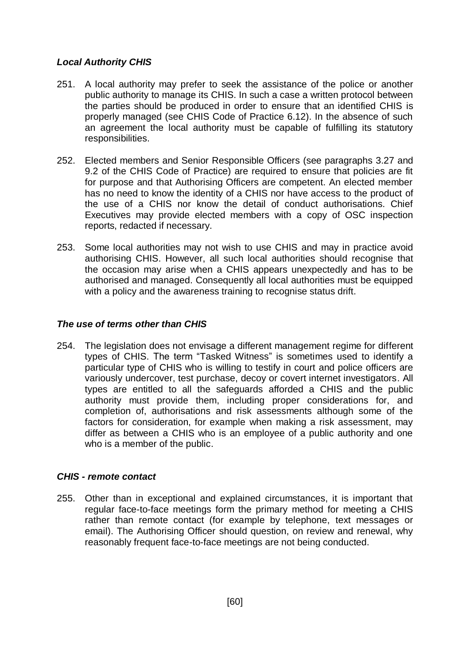# *Local Authority CHIS*

- 251. A local authority may prefer to seek the assistance of the police or another public authority to manage its CHIS. In such a case a written protocol between the parties should be produced in order to ensure that an identified CHIS is properly managed (see CHIS Code of Practice 6.12). In the absence of such an agreement the local authority must be capable of fulfilling its statutory responsibilities.
- 252. Elected members and Senior Responsible Officers (see paragraphs 3.27 and 9.2 of the CHIS Code of Practice) are required to ensure that policies are fit for purpose and that Authorising Officers are competent. An elected member has no need to know the identity of a CHIS nor have access to the product of the use of a CHIS nor know the detail of conduct authorisations. Chief Executives may provide elected members with a copy of OSC inspection reports, redacted if necessary.
- 253. Some local authorities may not wish to use CHIS and may in practice avoid authorising CHIS. However, all such local authorities should recognise that the occasion may arise when a CHIS appears unexpectedly and has to be authorised and managed. Consequently all local authorities must be equipped with a policy and the awareness training to recognise status drift.

## *The use of terms other than CHIS*

254. The legislation does not envisage a different management regime for different types of CHIS. The term "Tasked Witness" is sometimes used to identify a particular type of CHIS who is willing to testify in court and police officers are variously undercover, test purchase, decoy or covert internet investigators. All types are entitled to all the safeguards afforded a CHIS and the public authority must provide them, including proper considerations for, and completion of, authorisations and risk assessments although some of the factors for consideration, for example when making a risk assessment, may differ as between a CHIS who is an employee of a public authority and one who is a member of the public.

### *CHIS - remote contact*

255. Other than in exceptional and explained circumstances, it is important that regular face-to-face meetings form the primary method for meeting a CHIS rather than remote contact (for example by telephone, text messages or email). The Authorising Officer should question, on review and renewal, why reasonably frequent face-to-face meetings are not being conducted.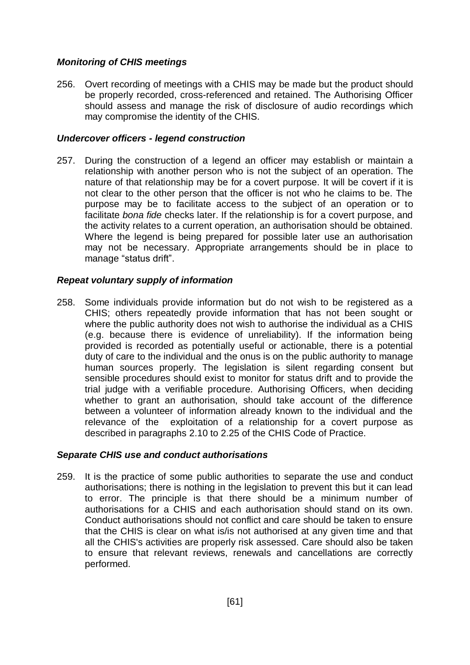## *Monitoring of CHIS meetings*

256. Overt recording of meetings with a CHIS may be made but the product should be properly recorded, cross-referenced and retained. The Authorising Officer should assess and manage the risk of disclosure of audio recordings which may compromise the identity of the CHIS.

### *Undercover officers - legend construction*

257. During the construction of a legend an officer may establish or maintain a relationship with another person who is not the subject of an operation. The nature of that relationship may be for a covert purpose. It will be covert if it is not clear to the other person that the officer is not who he claims to be. The purpose may be to facilitate access to the subject of an operation or to facilitate *bona fide* checks later. If the relationship is for a covert purpose, and the activity relates to a current operation, an authorisation should be obtained. Where the legend is being prepared for possible later use an authorisation may not be necessary. Appropriate arrangements should be in place to manage "status drift".

### *Repeat voluntary supply of information*

258. Some individuals provide information but do not wish to be registered as a CHIS; others repeatedly provide information that has not been sought or where the public authority does not wish to authorise the individual as a CHIS (e.g. because there is evidence of unreliability). If the information being provided is recorded as potentially useful or actionable, there is a potential duty of care to the individual and the onus is on the public authority to manage human sources properly. The legislation is silent regarding consent but sensible procedures should exist to monitor for status drift and to provide the trial judge with a verifiable procedure. Authorising Officers, when deciding whether to grant an authorisation, should take account of the difference between a volunteer of information already known to the individual and the relevance of the exploitation of a relationship for a covert purpose as described in paragraphs 2.10 to 2.25 of the CHIS Code of Practice.

### *Separate CHIS use and conduct authorisations*

259. It is the practice of some public authorities to separate the use and conduct authorisations; there is nothing in the legislation to prevent this but it can lead to error. The principle is that there should be a minimum number of authorisations for a CHIS and each authorisation should stand on its own. Conduct authorisations should not conflict and care should be taken to ensure that the CHIS is clear on what is/is not authorised at any given time and that all the CHIS's activities are properly risk assessed. Care should also be taken to ensure that relevant reviews, renewals and cancellations are correctly performed.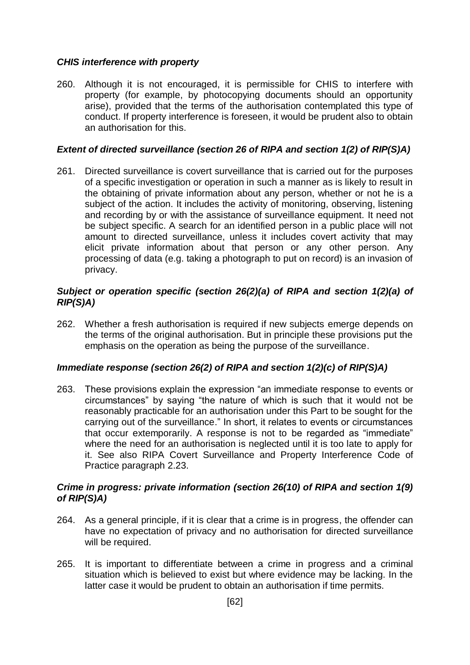## *CHIS interference with property*

260. Although it is not encouraged, it is permissible for CHIS to interfere with property (for example, by photocopying documents should an opportunity arise), provided that the terms of the authorisation contemplated this type of conduct. If property interference is foreseen, it would be prudent also to obtain an authorisation for this.

## *Extent of directed surveillance (section 26 of RIPA and section 1(2) of RIP(S)A)*

261. Directed surveillance is covert surveillance that is carried out for the purposes of a specific investigation or operation in such a manner as is likely to result in the obtaining of private information about any person, whether or not he is a subject of the action. It includes the activity of monitoring, observing, listening and recording by or with the assistance of surveillance equipment. It need not be subject specific. A search for an identified person in a public place will not amount to directed surveillance, unless it includes covert activity that may elicit private information about that person or any other person. Any processing of data (e.g. taking a photograph to put on record) is an invasion of privacy.

## *Subject or operation specific (section 26(2)(a) of RIPA and section 1(2)(a) of RIP(S)A)*

262. Whether a fresh authorisation is required if new subjects emerge depends on the terms of the original authorisation. But in principle these provisions put the emphasis on the operation as being the purpose of the surveillance.

### *Immediate response (section 26(2) of RIPA and section 1(2)(c) of RIP(S)A)*

263. These provisions explain the expression "an immediate response to events or circumstances" by saying "the nature of which is such that it would not be reasonably practicable for an authorisation under this Part to be sought for the carrying out of the surveillance." In short, it relates to events or circumstances that occur extemporarily. A response is not to be regarded as "immediate" where the need for an authorisation is neglected until it is too late to apply for it. See also RIPA Covert Surveillance and Property Interference Code of Practice paragraph 2.23.

### *Crime in progress: private information (section 26(10) of RIPA and section 1(9) of RIP(S)A)*

- 264. As a general principle, if it is clear that a crime is in progress, the offender can have no expectation of privacy and no authorisation for directed surveillance will be required.
- 265. It is important to differentiate between a crime in progress and a criminal situation which is believed to exist but where evidence may be lacking. In the latter case it would be prudent to obtain an authorisation if time permits.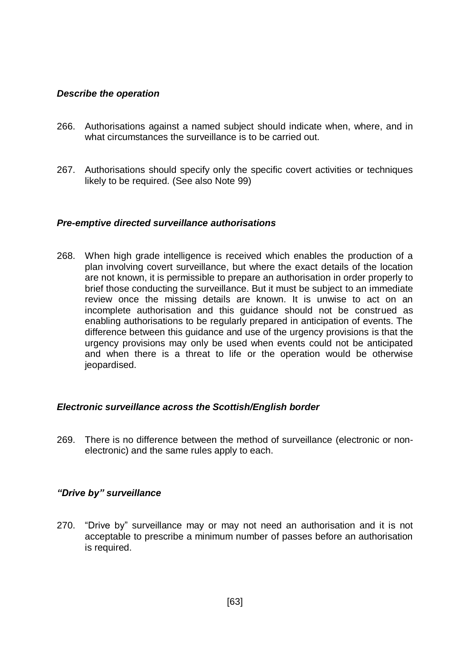#### *Describe the operation*

- 266. Authorisations against a named subject should indicate when, where, and in what circumstances the surveillance is to be carried out.
- 267. Authorisations should specify only the specific covert activities or techniques likely to be required. (See also Note 99)

#### *Pre-emptive directed surveillance authorisations*

268. When high grade intelligence is received which enables the production of a plan involving covert surveillance, but where the exact details of the location are not known, it is permissible to prepare an authorisation in order properly to brief those conducting the surveillance. But it must be subject to an immediate review once the missing details are known. It is unwise to act on an incomplete authorisation and this guidance should not be construed as enabling authorisations to be regularly prepared in anticipation of events. The difference between this guidance and use of the urgency provisions is that the urgency provisions may only be used when events could not be anticipated and when there is a threat to life or the operation would be otherwise jeopardised.

#### *Electronic surveillance across the Scottish/English border*

269. There is no difference between the method of surveillance (electronic or nonelectronic) and the same rules apply to each.

### *"Drive by" surveillance*

270. "Drive by" surveillance may or may not need an authorisation and it is not acceptable to prescribe a minimum number of passes before an authorisation is required.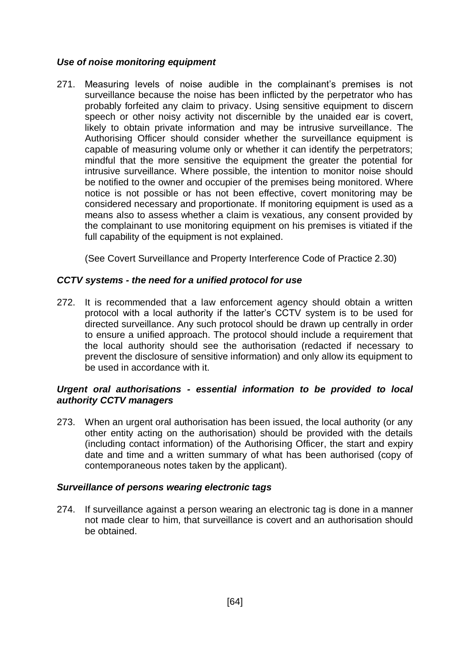## *Use of noise monitoring equipment*

271. Measuring levels of noise audible in the complainant's premises is not surveillance because the noise has been inflicted by the perpetrator who has probably forfeited any claim to privacy. Using sensitive equipment to discern speech or other noisy activity not discernible by the unaided ear is covert, likely to obtain private information and may be intrusive surveillance. The Authorising Officer should consider whether the surveillance equipment is capable of measuring volume only or whether it can identify the perpetrators; mindful that the more sensitive the equipment the greater the potential for intrusive surveillance. Where possible, the intention to monitor noise should be notified to the owner and occupier of the premises being monitored. Where notice is not possible or has not been effective, covert monitoring may be considered necessary and proportionate. If monitoring equipment is used as a means also to assess whether a claim is vexatious, any consent provided by the complainant to use monitoring equipment on his premises is vitiated if the full capability of the equipment is not explained.

(See Covert Surveillance and Property Interference Code of Practice 2.30)

# *CCTV systems - the need for a unified protocol for use*

272. It is recommended that a law enforcement agency should obtain a written protocol with a local authority if the latter's CCTV system is to be used for directed surveillance. Any such protocol should be drawn up centrally in order to ensure a unified approach. The protocol should include a requirement that the local authority should see the authorisation (redacted if necessary to prevent the disclosure of sensitive information) and only allow its equipment to be used in accordance with it.

## *Urgent oral authorisations - essential information to be provided to local authority CCTV managers*

273. When an urgent oral authorisation has been issued, the local authority (or any other entity acting on the authorisation) should be provided with the details (including contact information) of the Authorising Officer, the start and expiry date and time and a written summary of what has been authorised (copy of contemporaneous notes taken by the applicant).

### *Surveillance of persons wearing electronic tags*

274. If surveillance against a person wearing an electronic tag is done in a manner not made clear to him, that surveillance is covert and an authorisation should be obtained.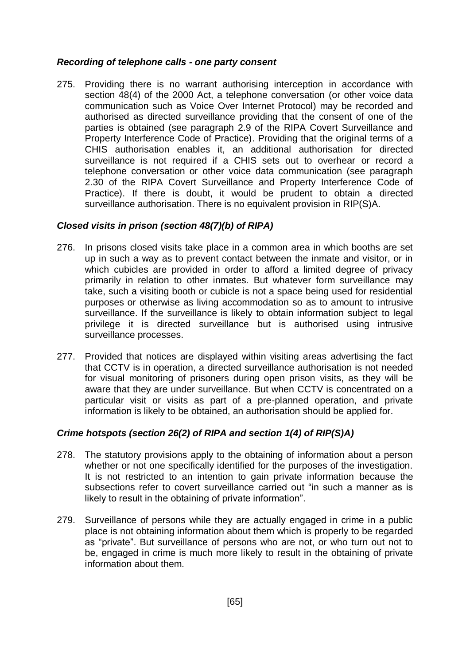### *Recording of telephone calls - one party consent*

275. Providing there is no warrant authorising interception in accordance with section 48(4) of the 2000 Act, a telephone conversation (or other voice data communication such as Voice Over Internet Protocol) may be recorded and authorised as directed surveillance providing that the consent of one of the parties is obtained (see paragraph 2.9 of the RIPA Covert Surveillance and Property Interference Code of Practice). Providing that the original terms of a CHIS authorisation enables it, an additional authorisation for directed surveillance is not required if a CHIS sets out to overhear or record a telephone conversation or other voice data communication (see paragraph 2.30 of the RIPA Covert Surveillance and Property Interference Code of Practice). If there is doubt, it would be prudent to obtain a directed surveillance authorisation. There is no equivalent provision in RIP(S)A.

## *Closed visits in prison (section 48(7)(b) of RIPA)*

- 276. In prisons closed visits take place in a common area in which booths are set up in such a way as to prevent contact between the inmate and visitor, or in which cubicles are provided in order to afford a limited degree of privacy primarily in relation to other inmates. But whatever form surveillance may take, such a visiting booth or cubicle is not a space being used for residential purposes or otherwise as living accommodation so as to amount to intrusive surveillance. If the surveillance is likely to obtain information subject to legal privilege it is directed surveillance but is authorised using intrusive surveillance processes.
- 277. Provided that notices are displayed within visiting areas advertising the fact that CCTV is in operation, a directed surveillance authorisation is not needed for visual monitoring of prisoners during open prison visits, as they will be aware that they are under surveillance. But when CCTV is concentrated on a particular visit or visits as part of a pre-planned operation, and private information is likely to be obtained, an authorisation should be applied for.

# *Crime hotspots (section 26(2) of RIPA and section 1(4) of RIP(S)A)*

- 278. The statutory provisions apply to the obtaining of information about a person whether or not one specifically identified for the purposes of the investigation. It is not restricted to an intention to gain private information because the subsections refer to covert surveillance carried out "in such a manner as is likely to result in the obtaining of private information".
- 279. Surveillance of persons while they are actually engaged in crime in a public place is not obtaining information about them which is properly to be regarded as "private". But surveillance of persons who are not, or who turn out not to be, engaged in crime is much more likely to result in the obtaining of private information about them.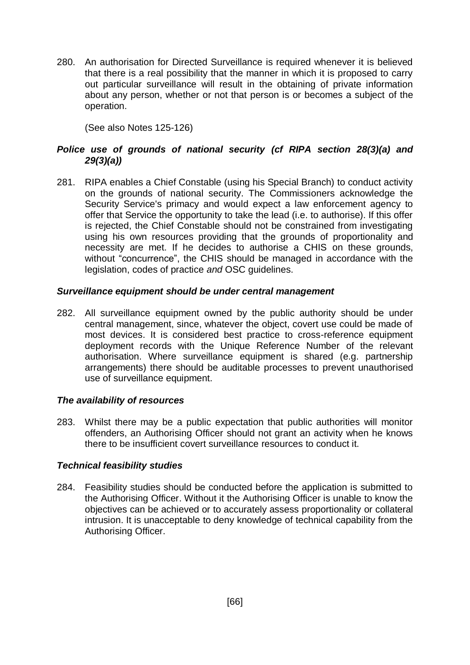280. An authorisation for Directed Surveillance is required whenever it is believed that there is a real possibility that the manner in which it is proposed to carry out particular surveillance will result in the obtaining of private information about any person, whether or not that person is or becomes a subject of the operation.

(See also Notes 125-126)

# *Police use of grounds of national security (cf RIPA section 28(3)(a) and 29(3)(a))*

281. RIPA enables a Chief Constable (using his Special Branch) to conduct activity on the grounds of national security. The Commissioners acknowledge the Security Service's primacy and would expect a law enforcement agency to offer that Service the opportunity to take the lead (i.e. to authorise). If this offer is rejected, the Chief Constable should not be constrained from investigating using his own resources providing that the grounds of proportionality and necessity are met. If he decides to authorise a CHIS on these grounds, without "concurrence", the CHIS should be managed in accordance with the legislation, codes of practice *and* OSC guidelines.

## *Surveillance equipment should be under central management*

282. All surveillance equipment owned by the public authority should be under central management, since, whatever the object, covert use could be made of most devices. It is considered best practice to cross-reference equipment deployment records with the Unique Reference Number of the relevant authorisation. Where surveillance equipment is shared (e.g. partnership arrangements) there should be auditable processes to prevent unauthorised use of surveillance equipment.

# *The availability of resources*

283. Whilst there may be a public expectation that public authorities will monitor offenders, an Authorising Officer should not grant an activity when he knows there to be insufficient covert surveillance resources to conduct it.

### *Technical feasibility studies*

284. Feasibility studies should be conducted before the application is submitted to the Authorising Officer. Without it the Authorising Officer is unable to know the objectives can be achieved or to accurately assess proportionality or collateral intrusion. It is unacceptable to deny knowledge of technical capability from the Authorising Officer.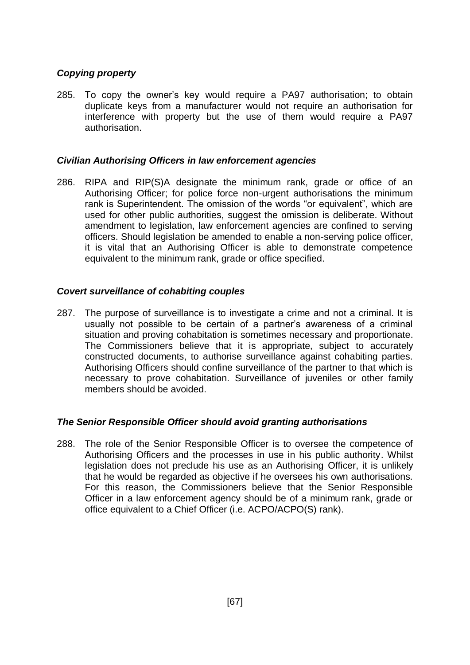## *Copying property*

285. To copy the owner's key would require a PA97 authorisation; to obtain duplicate keys from a manufacturer would not require an authorisation for interference with property but the use of them would require a PA97 authorisation.

### *Civilian Authorising Officers in law enforcement agencies*

286. RIPA and RIP(S)A designate the minimum rank, grade or office of an Authorising Officer; for police force non-urgent authorisations the minimum rank is Superintendent. The omission of the words "or equivalent", which are used for other public authorities, suggest the omission is deliberate. Without amendment to legislation, law enforcement agencies are confined to serving officers. Should legislation be amended to enable a non-serving police officer, it is vital that an Authorising Officer is able to demonstrate competence equivalent to the minimum rank, grade or office specified.

### *Covert surveillance of cohabiting couples*

287. The purpose of surveillance is to investigate a crime and not a criminal. It is usually not possible to be certain of a partner's awareness of a criminal situation and proving cohabitation is sometimes necessary and proportionate. The Commissioners believe that it is appropriate, subject to accurately constructed documents, to authorise surveillance against cohabiting parties. Authorising Officers should confine surveillance of the partner to that which is necessary to prove cohabitation. Surveillance of juveniles or other family members should be avoided.

### *The Senior Responsible Officer should avoid granting authorisations*

288. The role of the Senior Responsible Officer is to oversee the competence of Authorising Officers and the processes in use in his public authority. Whilst legislation does not preclude his use as an Authorising Officer, it is unlikely that he would be regarded as objective if he oversees his own authorisations. For this reason, the Commissioners believe that the Senior Responsible Officer in a law enforcement agency should be of a minimum rank, grade or office equivalent to a Chief Officer (i.e. ACPO/ACPO(S) rank).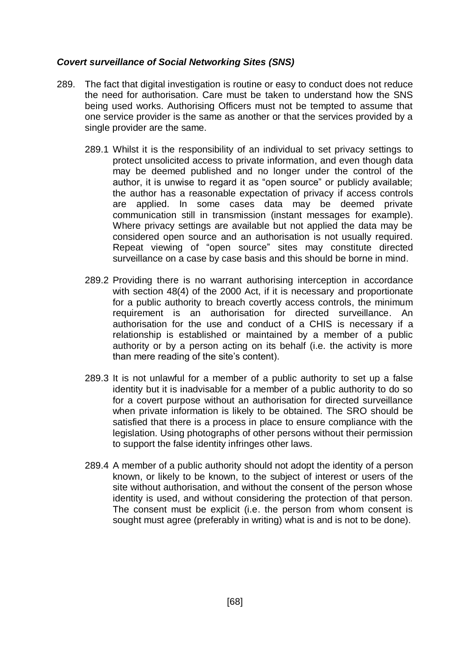#### *Covert surveillance of Social Networking Sites (SNS)*

- 289. The fact that digital investigation is routine or easy to conduct does not reduce the need for authorisation. Care must be taken to understand how the SNS being used works. Authorising Officers must not be tempted to assume that one service provider is the same as another or that the services provided by a single provider are the same.
	- 289.1 Whilst it is the responsibility of an individual to set privacy settings to protect unsolicited access to private information, and even though data may be deemed published and no longer under the control of the author, it is unwise to regard it as "open source" or publicly available; the author has a reasonable expectation of privacy if access controls are applied. In some cases data may be deemed private communication still in transmission (instant messages for example). Where privacy settings are available but not applied the data may be considered open source and an authorisation is not usually required. Repeat viewing of "open source" sites may constitute directed surveillance on a case by case basis and this should be borne in mind.
	- 289.2 Providing there is no warrant authorising interception in accordance with section 48(4) of the 2000 Act, if it is necessary and proportionate for a public authority to breach covertly access controls, the minimum requirement is an authorisation for directed surveillance. An authorisation for the use and conduct of a CHIS is necessary if a relationship is established or maintained by a member of a public authority or by a person acting on its behalf (i.e. the activity is more than mere reading of the site's content).
	- 289.3 It is not unlawful for a member of a public authority to set up a false identity but it is inadvisable for a member of a public authority to do so for a covert purpose without an authorisation for directed surveillance when private information is likely to be obtained. The SRO should be satisfied that there is a process in place to ensure compliance with the legislation. Using photographs of other persons without their permission to support the false identity infringes other laws.
	- 289.4 A member of a public authority should not adopt the identity of a person known, or likely to be known, to the subject of interest or users of the site without authorisation, and without the consent of the person whose identity is used, and without considering the protection of that person. The consent must be explicit (i.e. the person from whom consent is sought must agree (preferably in writing) what is and is not to be done).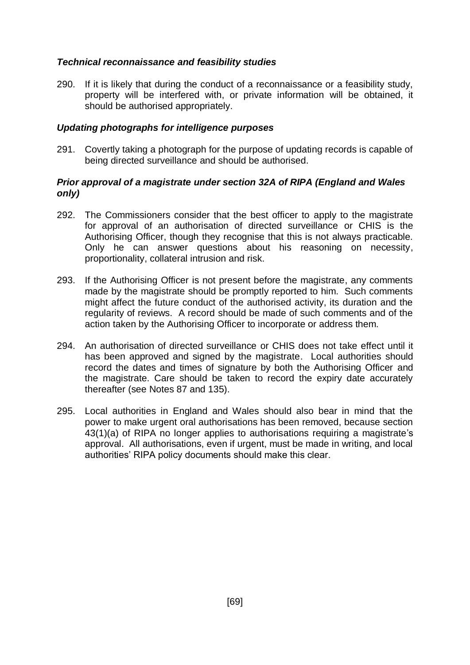## *Technical reconnaissance and feasibility studies*

290. If it is likely that during the conduct of a reconnaissance or a feasibility study, property will be interfered with, or private information will be obtained, it should be authorised appropriately.

## *Updating photographs for intelligence purposes*

291. Covertly taking a photograph for the purpose of updating records is capable of being directed surveillance and should be authorised.

### *Prior approval of a magistrate under section 32A of RIPA (England and Wales only)*

- 292. The Commissioners consider that the best officer to apply to the magistrate for approval of an authorisation of directed surveillance or CHIS is the Authorising Officer, though they recognise that this is not always practicable. Only he can answer questions about his reasoning on necessity, proportionality, collateral intrusion and risk.
- 293. If the Authorising Officer is not present before the magistrate, any comments made by the magistrate should be promptly reported to him. Such comments might affect the future conduct of the authorised activity, its duration and the regularity of reviews. A record should be made of such comments and of the action taken by the Authorising Officer to incorporate or address them.
- 294. An authorisation of directed surveillance or CHIS does not take effect until it has been approved and signed by the magistrate. Local authorities should record the dates and times of signature by both the Authorising Officer and the magistrate. Care should be taken to record the expiry date accurately thereafter (see Notes 87 and 135).
- 295. Local authorities in England and Wales should also bear in mind that the power to make urgent oral authorisations has been removed, because section 43(1)(a) of RIPA no longer applies to authorisations requiring a magistrate's approval. All authorisations, even if urgent, must be made in writing, and local authorities' RIPA policy documents should make this clear.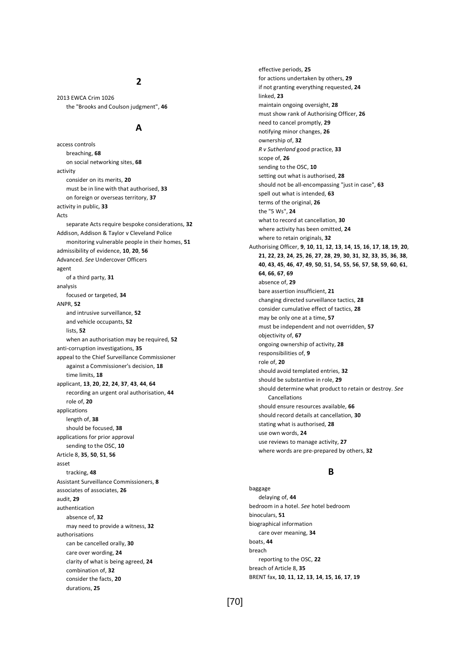#### **2**

2013 EWCA Crim 1026 the "Brooks and Coulson judgment", **46**

#### **A**

access controls breaching, **68** on social networking sites, **68** activity consider on its merits, **20** must be in line with that authorised, **33** on foreign or overseas territory, **37** activity in public, **33** Acts separate Acts require bespoke considerations, **32** Addison, Addison & Taylor v Cleveland Police monitoring vulnerable people in their homes, **51** admissibility of evidence, **10**, **20**, **56** Advanced. *See* Undercover Officers agent of a third party, **31** analysis focused or targeted, **34** ANPR, **52** and intrusive surveillance, **52** and vehicle occupants, **52** lists, **52** when an authorisation may be required, **52** anti-corruption investigations, **35** appeal to the Chief Surveillance Commissioner against a Commissioner's decision, **18** time limits, **18** applicant, **13**, **20**, **22**, **24**, **37**, **43**, **44**, **64** recording an urgent oral authorisation, **44** role of, **20** applications length of, **38** should be focused, **38** applications for prior approval sending to the OSC, **10** Article 8, **35**, **50**, **51**, **56** asset tracking, **48** Assistant Surveillance Commissioners, **8** associates of associates, **26** audit, **29** authentication absence of, **32** may need to provide a witness, **32** authorisations can be cancelled orally, **30** care over wording, **24** clarity of what is being agreed, **24** combination of, **32** consider the facts, **20** durations, **25**

effective periods, **25** for actions undertaken by others, **29** if not granting everything requested, **24** linked, **23** maintain ongoing oversight, **28** must show rank of Authorising Officer, **26** need to cancel promptly, **29** notifying minor changes, **26** ownership of, **32** *R v Sutherland* good practice, **33** scope of, **26** sending to the OSC, **10** setting out what is authorised, **28** should not be all-encompassing "just in case", **63** spell out what is intended, **63** terms of the original, **26** the "5 Ws", **24** what to record at cancellation, **30** where activity has been omitted, **24** where to retain originals, **32** Authorising Officer, **9**, **10**, **11**, **12**, **13**, **14**, **15**, **16**, **17**, **18**, **19**, **20**, **21**, **22**, **23**, **24**, **25**, **26**, **27**, **28**, **29**, **30**, **31**, **32**, **33**, **35**, **36**, **38**, **40**, **43**, **45**, **46**, **47**, **49**, **50**, **51**, **54**, **55**, **56**, **57**, **58**, **59**, **60**, **61**, **64**, **66**, **67**, **69** absence of, **29** bare assertion insufficient, **21** changing directed surveillance tactics, **28** consider cumulative effect of tactics, **28** may be only one at a time, **57** must be independent and not overridden, **57** objectivity of, **67** ongoing ownership of activity, **28** responsibilities of, **9** role of, **20** should avoid templated entries, **32** should be substantive in role, **29** should determine what product to retain or destroy. *See* Cancellations should ensure resources available, **66** should record details at cancellation, **30** stating what is authorised, **28** use own words, **24** use reviews to manage activity, **27** where words are pre-prepared by others, **32**

#### **B**

baggage delaying of, **44** bedroom in a hotel. *See* hotel bedroom binoculars, **51** biographical information care over meaning, **34** boats, **44** breach reporting to the OSC, **22** breach of Article 8, **35** BRENT fax, **10**, **11**, **12**, **13**, **14**, **15**, **16**, **17**, **19**

[70]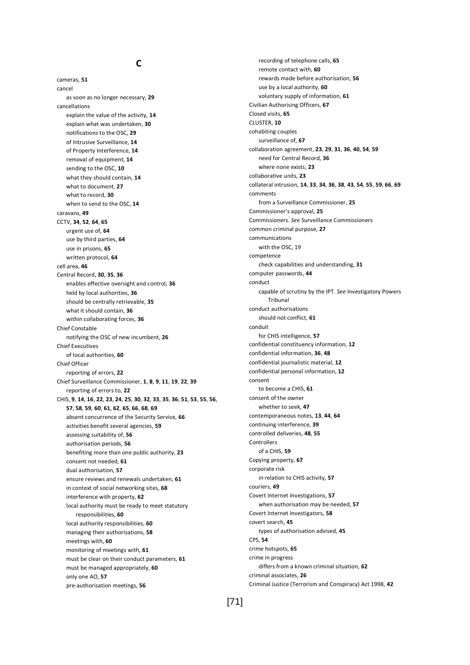#### **C**

cameras, **51** cancel as soon as no longer necessary, **29** cancellations explain the value of the activity, **14** explain what was undertaken, **30** notifications to the OSC, **29** of Intrusive Surveillance, **14** of Property Interference, **14** removal of equipment, **14** sending to the OSC, **10** what they should contain, **14** what to document, **27** what to record, **30** when to send to the OSC, **14** caravans, **49** CCTV, **34**, **52**, **64**, **65** urgent use of, **64** use by third parties, **64** use in prisons, **65** written protocol, **64** cell area, **46** Central Record, **30**, **35**, **36** enables effective oversight and control, **36** held by local authorities, **36** should be centrally retrievable, **35** what it should contain, **36** within collaborating forces, **36** Chief Constable notifying the OSC of new incumbent, **26** Chief Executives of local authorities, **60** Chief Officer reporting of errors, **22** Chief Surveillance Commissioner, **1**, **8**, **9**, **11**, **19**, **22**, **39** reporting of errors to, **22** CHIS, **9**, **14**, **16**, **22**, **23**, **24**, **25**, **30**, **32**, **33**, **35**, **36**, **51**, **53**, **55**, **56**, **57**, **58**, **59**, **60**, **61**, **62**, **65**, **66**, **68**, **69** absent concurrence of the Security Service, **66** activities benefit several agencies, **59** assessing suitability of, **56** authorisation periods, **56** benefiting more than one public authority, **23** consent not needed, **61** dual authorisation, **57** ensure reviews and renewals undertaken, **61** in context of social networking sites, **68** interference with property, **62** local authority must be ready to meet statutory responsibilities, **60** local authority responsibilities, **60** managing their authorisations, **58** meetings with, **60** monitoring of meetings with, **61** must be clear on their conduct parameters, **61** must be managed appropriately, **60** only one AO, **57** pre-authorisation meetings, **56**

recording of telephone calls, **65** remote contact with, **60** rewards made before authorisation, **56** use by a local authority, **60** voluntary supply of information, **61** Civilian Authorising Officers, **67** Closed visits, **65** CLUSTER, **10** cohabiting couples surveillance of, **67** collaboration agreement, **23**, **29**, **31**, **36**, **40**, **54**, **59** need for Central Record, **36** where none exists, **23** collaborative units, **23** collateral intrusion, **14**, **33**, **34**, **36**, **38**, **43**, **54**, **55**, **59**, **66**, **69** comments from a Surveillance Commissioner, **25** Commissioner's approval, **25** Commissioners. *See* Surveillance Commissioners common criminal purpose, **27** communications with the OSC, 19 competence check capabilities and understanding, **31** computer passwords, **44** conduct capable of scrutiny by the IPT. *See* Investigatory Powers Tribunal conduct authorisations should not conflict, **61** conduit for CHIS intelligence, **57** confidential constituency information, **12** confidential information, **36**, **48** confidential journalistic material, **12** confidential personal information, **12** consent to become a CHIS, **61** consent of the owner whether to seek, **47** contemporaneous notes, **13**, **44**, **64** continuing interference, **39** controlled deliveries, **48**, **55 Controllers** of a CHIS, **59** Copying property, **67** corporate risk in relation to CHIS activity, **57** couriers, **49** Covert Internet Investigations, **57** when authorisation may be needed, **57** Covert Internet Investigators, **58** covert search, **45** types of authorisation advised, **45** CPS, **54** crime hotspots, **65** crime in progress differs from a known criminal situation, **62** criminal associates, **26** Criminal Justice (Terrorism and Conspiracy) Act 1998, **42**

#### [71]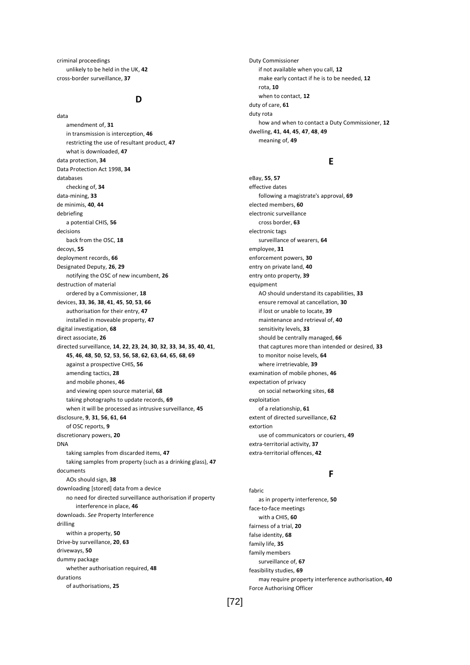criminal proceedings unlikely to be held in the UK, **42** cross-border surveillance, **37**

## **D**

data amendment of, **31** in transmission is interception, **46** restricting the use of resultant product, **47** what is downloaded, **47** data protection, **34** Data Protection Act 1998, **34** databases checking of, **34** data-mining, **33** de minimis, **40**, **44** debriefing a potential CHIS, **56** decisions back from the OSC, **18** decoys, **55** deployment records, **66** Designated Deputy, **26**, **29** notifying the OSC of new incumbent, **26** destruction of material ordered by a Commissioner, **18** devices, **33**, **36**, **38**, **41**, **45**, **50**, **53**, **66** authorisation for their entry, **47** installed in moveable property, **47** digital investigation, **68** direct associate, **26** directed surveillance, **14**, **22**, **23**, **24**, **30**, **32**, **33**, **34**, **35**, **40**, **41**, **45**, **46**, **48**, **50**, **52**, **53**, **56**, **58**, **62**, **63**, **64**, **65**, **68**, **69** against a prospective CHIS, **56** amending tactics, **28** and mobile phones, **46** and viewing open source material, **68** taking photographs to update records, **69** when it will be processed as intrusive surveillance, **45** disclosure, **9**, **31**, **56**, **61**, **64** of OSC reports, **9** discretionary powers, **20** DNA taking samples from discarded items, **47** taking samples from property (such as a drinking glass), **47** documents AOs should sign, **38** downloading [stored] data from a device no need for directed surveillance authorisation if property interference in place, **46** downloads. *See* Property Interference drilling within a property, **50** Drive-by surveillance, **20**, **63** driveways, **50** dummy package whether authorisation required, **48** durations of authorisations, **25**

Duty Commissioner if not available when you call, **12** make early contact if he is to be needed, **12** rota, **10** when to contact, **12** duty of care, **61** duty rota how and when to contact a Duty Commissioner, **12** dwelling, **41**, **44**, **45**, **47**, **48**, **49** meaning of, **49**

## **E**

eBay, **55**, **57** effective dates following a magistrate's approval, **69** elected members, **60** electronic surveillance cross border, **63** electronic tags surveillance of wearers, **64** employee, **31** enforcement powers, **30** entry on private land, **40** entry onto property, **39** equipment AO should understand its capabilities, **33** ensure removal at cancellation, **30** if lost or unable to locate, **39** maintenance and retrieval of, **40** sensitivity levels, **33** should be centrally managed, **66** that captures more than intended or desired, **33** to monitor noise levels, **64** where irretrievable, **39** examination of mobile phones, **46** expectation of privacy on social networking sites, **68** exploitation of a relationship, **61** extent of directed surveillance, **62** extortion use of communicators or couriers, **49** extra-territorial activity, **37** extra-territorial offences, **42**

# **F**

fabric as in property interference, **50** face-to-face meetings with a CHIS, **60** fairness of a trial, **20** false identity, **68** family life, **35** family members surveillance of, **67** feasibility studies, **69** may require property interference authorisation, **40** Force Authorising Officer

[72]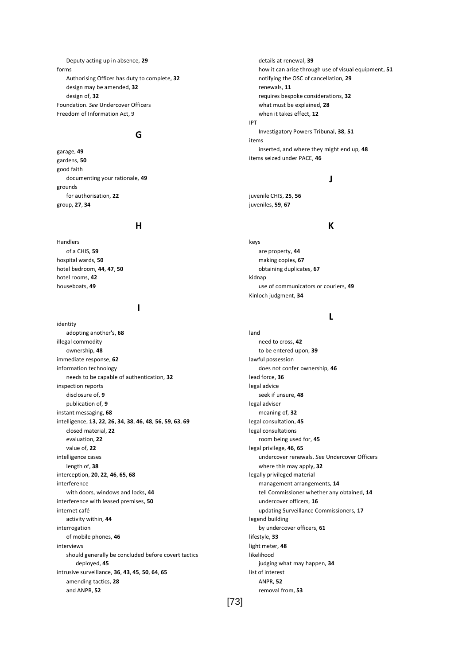Deputy acting up in absence, **29** forms Authorising Officer has duty to complete, **32** design may be amended, **32** design of, **32** Foundation. *See* Undercover Officers Freedom of Information Act, 9

## **G**

garage, **49** gardens, **50** good faith documenting your rationale, **49** grounds for authorisation, **22** group, **27**, **34**

### **H**

Handlers of a CHIS, **59** hospital wards, **50** hotel bedroom, **44**, **47**, **50** hotel rooms, **42** houseboats, **49**

#### **I**

identity adopting another's, **68** illegal commodity ownership, **48** immediate response, **62** information technology needs to be capable of authentication, **32** inspection reports disclosure of, **9** publication of, **9** instant messaging, **68** intelligence, **13**, **22**, **26**, **34**, **38**, **46**, **48**, **56**, **59**, **63**, **69** closed material, **22** evaluation, **22** value of, **22** intelligence cases length of, **38** interception, **20**, **22**, **46**, **65**, **68** interference with doors, windows and locks, **44** interference with leased premises, **50** internet café activity within, **44** interrogation of mobile phones, **46** interviews should generally be concluded before covert tactics deployed, **45** intrusive surveillance, **36**, **43**, **45**, **50**, **64**, **65** amending tactics, **28** and ANPR, **52**

details at renewal, **39** how it can arise through use of visual equipment, **51** notifying the OSC of cancellation, **29** renewals, **11** requires bespoke considerations, **32** what must be explained, **28** when it takes effect, **12** IPT Investigatory Powers Tribunal, **38**, **51** items

inserted, and where they might end up, **48**

**J**

### juvenile CHIS, **25**, **56** juveniles, **59**, **67**

items seized under PACE, **46**

#### **K**

keys are property, **44** making copies, **67** obtaining duplicates, **67** kidnap use of communicators or couriers, **49** Kinloch judgment, **34**

### **L**

land need to cross, **42** to be entered upon, **39** lawful possession does not confer ownership, **46** lead force, **36** legal advice seek if unsure, **48** legal adviser meaning of, **32** legal consultation, **45** legal consultations room being used for, **45** legal privilege, **46**, **65** undercover renewals. *See* Undercover Officers where this may apply, **32** legally privileged material management arrangements, **14** tell Commissioner whether any obtained, **14** undercover officers, **16** updating Surveillance Commissioners, **17** legend building by undercover officers, **61** lifestyle, **33** light meter, **48** likelihood judging what may happen, **34** list of interest ANPR, **52** removal from, **53**

[73]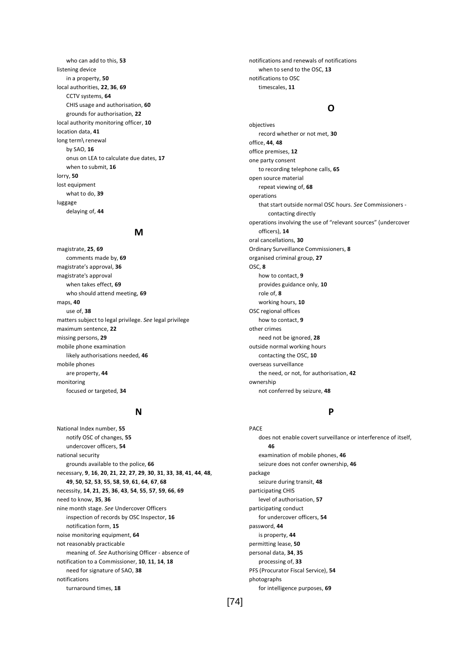who can add to this, **53** listening device in a property, **50** local authorities, **22**, **36**, **69** CCTV systems, **64** CHIS usage and authorisation, **60** grounds for authorisation, **22** local authority monitoring officer, **10** location data, **41** long term\ renewal by SAO, **16** onus on LEA to calculate due dates, **17** when to submit, **16** lorry, **50** lost equipment what to do, **39** luggage delaying of, **44**

#### **M**

magistrate, **25**, **69** comments made by, **69** magistrate's approval, **36** magistrate's approval when takes effect, **69** who should attend meeting, **69** maps, **40** use of, **38** matters subject to legal privilege. *See* legal privilege maximum sentence, **22** missing persons, **29** mobile phone examination likely authorisations needed, **46** mobile phones are property, **44** monitoring focused or targeted, **34**

#### **N**

National Index number, **55** notify OSC of changes, **55** undercover officers, **54** national security grounds available to the police, **66** necessary, **9**, **16**, **20**, **21**, **22**, **27**, **29**, **30**, **31**, **33**, **38**, **41**, **44**, **48**, **49**, **50**, **52**, **53**, **55**, **58**, **59**, **61**, **64**, **67**, **68** necessity, **14**, **21**, **25**, **36**, **43**, **54**, **55**, **57**, **59**, **66**, **69** need to know, **35**, **36** nine month stage. *See* Undercover Officers inspection of records by OSC Inspector, **16** notification form, **15** noise monitoring equipment, **64** not reasonably practicable meaning of. *See* Authorising Officer - absence of notification to a Commissioner, **10**, **11**, **14**, **18** need for signature of SAO, **38** notifications turnaround times, **18**

notifications and renewals of notifications when to send to the OSC, **13** notifications to OSC timescales, **11**

## **O**

objectives record whether or not met, **30** office, **44**, **48** office premises, **12** one party consent to recording telephone calls, **65** open source material repeat viewing of, **68** operations that start outside normal OSC hours. *See* Commissioners contacting directly operations involving the use of "relevant sources" (undercover officers), **14** oral cancellations, **30** Ordinary Surveillance Commissioners, **8** organised criminal group, **27** OSC, **8** how to contact, **9** provides guidance only, **10** role of, **8** working hours, **10** OSC regional offices how to contact, **9** other crimes need not be ignored, **28** outside normal working hours contacting the OSC, **10** overseas surveillance the need, or not, for authorisation, **42** ownership not conferred by seizure, **48**

### **P**

PACE does not enable covert surveillance or interference of itself, **46** examination of mobile phones, **46** seizure does not confer ownership, **46** package seizure during transit, **48** participating CHIS level of authorisation, **57** participating conduct for undercover officers, **54** password, **44** is property, **44** permitting lease, **50** personal data, **34**, **35** processing of, **33** PFS (Procurator Fiscal Service), **54** photographs for intelligence purposes, **69**

[74]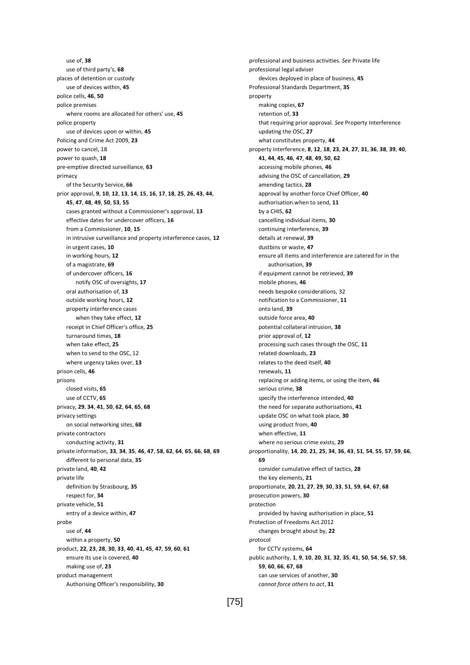use of, **38** use of third party's, **68** places of detention or custody use of devices within, **45** police cells, **46**, **50** police premises where rooms are allocated for others' use, **45** police property use of devices upon or within, **45** Policing and Crime Act 2009, **23** power to cancel, 18 power to quash, **18** pre-emptive directed surveillance, **63** primacy of the Security Service, **66** prior approval, **9**, **10**, **12**, **13**, **14**, **15**, **16**, **17**, **18**, **25**, **26**, **43**, **44**, **45**, **47**, **48**, **49**, **50**, **53**, **55** cases granted without a Commissioner's approval, **13** effective dates for undercover officers, **16** from a Commissioner, **10**, **15** in intrusive surveillance and property interference cases, **12** in urgent cases, **10** in working hours, **12** of a magistrate, **69** of undercover officers, **16** notify OSC of oversights, **17** oral authorisation of, **13** outside working hours, **12** property interference cases when they take effect, **12** receipt in Chief Officer's office, **25** turnaround times, **18** when take effect, **25** when to send to the OSC, 12 where urgency takes over, **13** prison cells, **46** prisons closed visits, **65** use of CCTV, **65** privacy, **29**, **34**, **41**, **50**, **62**, **64**, **65**, **68** privacy settings on social networking sites, **68** private contractors conducting activity, **31** private information, **33**, **34**, **35**, **46**, **47**, **58**, **62**, **64**, **65**, **66**, **68**, **69** different to personal data, **35** private land, **40**, **42** private life definition by Strasbourg, **35** respect for, **34** private vehicle, **51** entry of a device within, **47** probe use of, **44** within a property, **50** product, **22**, **23**, **28**, **30**, **33**, **40**, **41**, **45**, **47**, **59**, **60**, **61** ensure its use is covered, **40** making use of, **23** product management Authorising Officer's responsibility, **30**

professional and business activities. *See* Private life professional legal adviser devices deployed in place of business, **45** Professional Standards Department, **35** property making copies, **67** retention of, **33** that requiring prior approval. *See* Property Interference updating the OSC, **27** what constitutes property, **44** property interference, **8**, **12**, **18**, **23**, **24**, **27**, **31**, **36**, **38**, **39**, **40**, **41**, **44**, **45**, **46**, **47**, **48**, **49**, **50**, **62** accessing mobile phones, **46** advising the OSC of cancellation, **29** amending tactics, **28** approval by another force Chief Officer, **40** authorisation.when to send, **11** by a CHIS, **62** cancelling individual items, **30** continuing interference, **39** details at renewal, **39** dustbins or waste, **47** ensure all items and interference are catered for in the authorisation, **39** if equipment cannot be retrieved, **39** mobile phones, **46** needs bespoke considerations, 32 notification to a Commissioner, **11** onto land, **39** outside force area, **40** potential collateral intrusion, **38** prior approval of, **12** processing such cases through the OSC, **11** related downloads, **23** relates to the deed itself, **40** renewals, **11** replacing or adding items, or using the item, **46** serious crime, **38** specify the interference intended, **40** the need for separate authorisations, **41** update OSC on what took place, **30** using product from, **40** when effective, **11** where no serious crime exists, **29** proportionality, **14**, **20**, **21**, **25**, **34**, **36**, **43**, **51**, **54**, **55**, **57**, **59**, **66**, **69** consider cumulative effect of tactics, **28** the key elements, **21** proportionate, **20**, **21**, **27**, **29**, **30**, **33**, **51**, **59**, **64**, **67**, **68** prosecution powers, **30** protection provided by having authorisation in place, **51** Protection of Freedoms Act.2012 changes brought about by, **22** protocol for CCTV systems, **64** public authority, **1**, **9**, **10**, **20**, **31**, **32**, **35**, **41**, **50**, **54**, **56**, **57**, **58**, **59**, **60**, **66**, **67**, **68** can use services of another, **30** *cannot force others to act*, **31**

[75]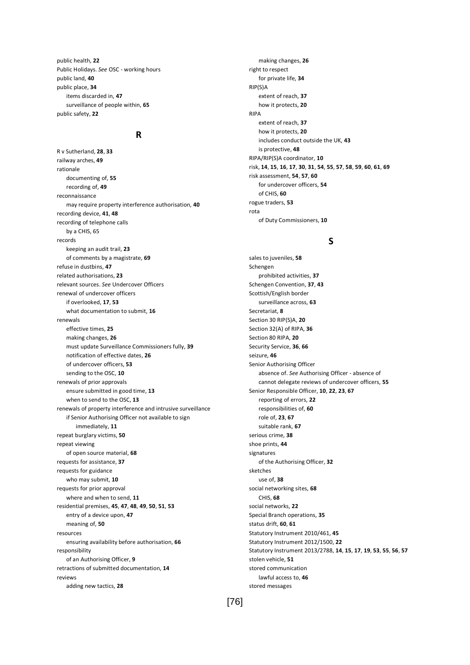public health, **22** Public Holidays. *See* OSC - working hours public land, **40** public place, **34** items discarded in, **47** surveillance of people within, **65** public safety, **22**

### **R**

R v Sutherland, **28**, **33** railway arches, **49** rationale documenting of, **55** recording of, **49** reconnaissance may require property interference authorisation, **40** recording device, **41**, **48** recording of telephone calls by a CHIS, 65 records keeping an audit trail, **23** of comments by a magistrate, **69** refuse in dustbins, **47** related authorisations, **23** relevant sources. *See* Undercover Officers renewal of undercover officers if overlooked, **17**, **53** what documentation to submit, **16** renewals effective times, **25** making changes, **26** must update Surveillance Commissioners fully, **39** notification of effective dates, **26** of undercover officers, **53** sending to the OSC, **10** renewals of prior approvals ensure submitted in good time, **13** when to send to the OSC, **13** renewals of property interference and intrusive surveillance if Senior Authorising Officer not available to sign immediately, **11** repeat burglary victims, **50** repeat viewing of open source material, **68** requests for assistance, **37** requests for guidance who may submit, **10** requests for prior approval where and when to send, **11** residential premises, **45**, **47**, **48**, **49**, **50**, **51**, **53** entry of a device upon, **47** meaning of, **50** resources ensuring availability before authorisation, **66** responsibility of an Authorising Officer, **9** retractions of submitted documentation, **14** reviews adding new tactics, **28**

making changes, **26** right to respect for private life, **34** RIP(S)A extent of reach, **37** how it protects, **20** RIPA extent of reach, **37** how it protects, **20** includes conduct outside the UK, **43** is protective, **48** RIPA/RIP(S)A coordinator, **10** risk, **14**, **15**, **16**, **17**, **30**, **31**, **54**, **55**, **57**, **58**, **59**, **60**, **61**, **69** risk assessment, **54**, **57**, **60** for undercover officers, **54** of CHIS, **60** rogue traders, **53** rota of Duty Commissioners, **10**

## **S**

sales to juveniles, **58** Schengen prohibited activities, **37** Schengen Convention, **37**, **43** Scottish/English border surveillance across, **63** Secretariat, **8** Section 30 RIP(S)A, **20** Section 32(A) of RIPA, **36** Section 80 RIPA, **20** Security Service, **36**, **66** seizure, **46** Senior Authorising Officer absence of. *See* Authorising Officer - absence of cannot delegate reviews of undercover officers, **55** Senior Responsible Officer, **10**, **22**, **23**, **67** reporting of errors, **22** responsibilities of, **60** role of, **23**, **67** suitable rank, **67** serious crime, **38** shoe prints, **44** signatures of the Authorising Officer, **32** sketches use of, **38** social networking sites, **68** CHIS, **68** social networks, **22** Special Branch operations, **35** status drift, **60**, **61** Statutory Instrument 2010/461, **45** Statutory Instrument 2012/1500, **22** Statutory Instrument 2013/2788, **14**, **15**, **17**, **19**, **53**, **55**, **56**, **57** stolen vehicle, **51** stored communication lawful access to, **46** stored messages

### [76]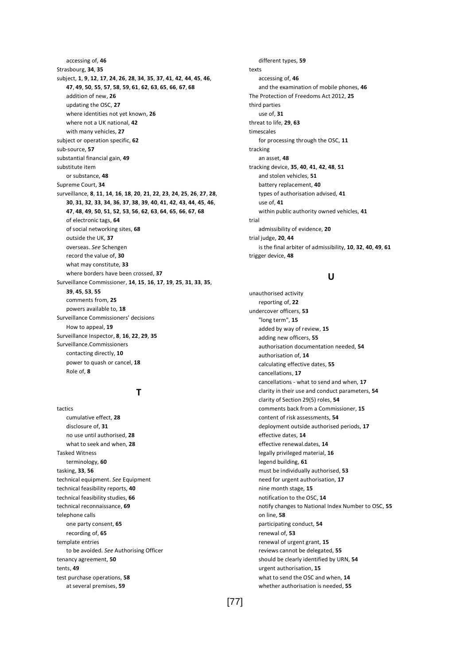accessing of, **46** Strasbourg, **34**, **35** subject, **1**, **9**, **12**, **17**, **24**, **26**, **28**, **34**, **35**, **37**, **41**, **42**, **44**, **45**, **46**, **47**, **49**, **50**, **55**, **57**, **58**, **59**, **61**, **62**, **63**, **65**, **66**, **67**, **68** addition of new, **26** updating the OSC, **27** where identities not yet known, **26** where not a UK national, **42** with many vehicles, **27** subject or operation specific, **62** sub-source, **57** substantial financial gain, **49** substitute item or substance, **48** Supreme Court, **34** surveillance, **8**, **11**, **14**, **16**, **18**, **20**, **21**, **22**, **23**, **24**, **25**, **26**, **27**, **28**, **30**, **31**, **32**, **33**, **34**, **36**, **37**, **38**, **39**, **40**, **41**, **42**, **43**, **44**, **45**, **46**, **47**, **48**, **49**, **50**, **51**, **52**, **53**, **56**, **62**, **63**, **64**, **65**, **66**, **67**, **68** of electronic tags, **64** of social networking sites, **68** outside the UK, **37** overseas. *See* Schengen record the value of, **30** what may constitute, **33** where borders have been crossed, **37** Surveillance Commissioner, **14**, **15**, **16**, **17**, **19**, **25**, **31**, **33**, **35**, **39**, **45**, **53**, **55** comments from, **25** powers available to, **18** Surveillance Commissioners' decisions How to appeal, **19** Surveillance Inspector, **8**, **16**, **22**, **29**, **35** Surveillance.Commissioners contacting directly, **10** power to quash or cancel, **18** Role of, **8**

## **T**

tactics cumulative effect, **28** disclosure of, **31** no use until authorised, **28** what to seek and when, **28** Tasked Witness terminology, **60** tasking, **33**, **56** technical equipment. *See* Equipment technical feasibility reports, **40** technical feasibility studies, **66** technical reconnaissance, **69** telephone calls one party consent, **65** recording of, **65** template entries to be avoided. *See* Authorising Officer tenancy agreement, **50** tents, **49** test purchase operations, **58** at several premises, **59**

different types, **59** texts accessing of, **46** and the examination of mobile phones, **46** The Protection of Freedoms Act 2012, **25** third parties use of, **31** threat to life, **29**, **63** timescales for processing through the OSC, **11** tracking an asset, **48** tracking device, **35**, **40**, **41**, **42**, **48**, **51** and stolen vehicles, **51** battery replacement, **40** types of authorisation advised, **41** use of, **41** within public authority owned vehicles, **41** trial admissibility of evidence, **20** trial judge, **20**, **44** is the final arbiter of admissibility, **10**, **32**, **40**, **49**, **61** trigger device, **48**

#### **U**

unauthorised activity reporting of, **22** undercover officers, **53** "long term", **15** added by way of review, **15** adding new officers, **55** authorisation documentation needed, **54** authorisation of, **14** calculating effective dates, **55** cancellations, **17** cancellations - what to send and when, **17** clarity in their use and conduct parameters, **54** clarity of Section 29(5) roles, **54** comments back from a Commissioner, **15** content of risk assessments, **54** deployment outside authorised periods, **17** effective dates, **14** effective renewal.dates, **14** legally privileged material, **16** legend building, **61** must be individually authorised, **53** need for urgent authorisation, **17** nine month stage, **15** notification to the OSC, **14** notify changes to National Index Number to OSC, **55** on line, **58** participating conduct, **54** renewal of, **53** renewal of urgent grant, **15** reviews cannot be delegated, **55** should be clearly identified by URN, **54** urgent authorisation, **15** what to send the OSC and when, **14** whether authorisation is needed, **55**